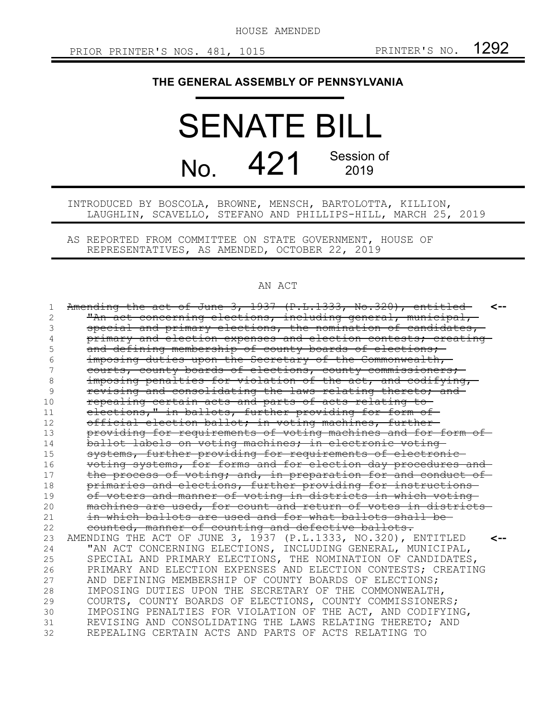HOUSE AMENDED

## **THE GENERAL ASSEMBLY OF PENNSYLVANIA**

## SENATE BILL No. 421 Session of 2019

INTRODUCED BY BOSCOLA, BROWNE, MENSCH, BARTOLOTTA, KILLION, LAUGHLIN, SCAVELLO, STEFANO AND PHILLIPS-HILL, MARCH 25, 2019

AS REPORTED FROM COMMITTEE ON STATE GOVERNMENT, HOUSE OF REPRESENTATIVES, AS AMENDED, OCTOBER 22, 2019

## AN ACT

| 1  | Amending the act of June 3, 1937 (P.L.1333, No.320), entitled<br>$\leftarrow$ |
|----|-------------------------------------------------------------------------------|
| 2  | "An act concerning elections, including general, municipal,                   |
| 3  | special and primary elections, the nomination of candidates,                  |
|    | primary and election expenses and election contests; creating                 |
| 5  | and defining membership of county boards of elections,                        |
| 6  | imposing duties upon the Secretary of the Commonwealth,                       |
|    | courts, county boards of elections, county commissioners;                     |
| 8  | imposing penalties for violation of the act, and codifying,                   |
| 9  | revising and consolidating the laws relating thereto; and                     |
| 10 | repealing certain acts and parts of acts relating to-                         |
| 11 | elections," in ballots, further providing for form of                         |
| 12 | official election ballot; in voting machines, further-                        |
| 13 | providing for requirements of voting machines and for form of                 |
| 14 | ballot labels on voting machines; in electronic voting                        |
| 15 | systems, further providing for requirements of electronic-                    |
| 16 | voting systems, for forms and for election day procedures and                 |
| 17 | the process of voting; and, in preparation for and conduct of                 |
| 18 | primaries and elections, further providing for instructions                   |
| 19 | of voters and manner of voting in districts in which voting                   |
| 20 | machines are used, for count and return of votes in districts-                |
| 21 | in which ballots are used and for what ballots shall be-                      |
| 22 | counted, manner of counting and defective ballots.                            |
| 23 | AMENDING THE ACT OF JUNE 3, 1937 (P.L.1333, NO.320), ENTITLED                 |
| 24 | "AN ACT CONCERNING ELECTIONS, INCLUDING GENERAL, MUNICIPAL,                   |
| 25 | SPECIAL AND PRIMARY ELECTIONS, THE NOMINATION OF CANDIDATES,                  |
| 26 | PRIMARY AND ELECTION EXPENSES AND ELECTION CONTESTS; CREATING                 |
| 27 | AND DEFINING MEMBERSHIP OF COUNTY BOARDS OF ELECTIONS;                        |
| 28 | IMPOSING DUTIES UPON THE SECRETARY OF THE COMMONWEALTH,                       |
| 29 | COURTS, COUNTY BOARDS OF ELECTIONS, COUNTY COMMISSIONERS;                     |
| 30 | IMPOSING PENALTIES FOR VIOLATION OF THE ACT, AND CODIFYING,                   |
| 31 | REVISING AND CONSOLIDATING THE LAWS RELATING THERETO; AND                     |
| 32 | REPEALING CERTAIN ACTS AND PARTS OF ACTS RELATING TO                          |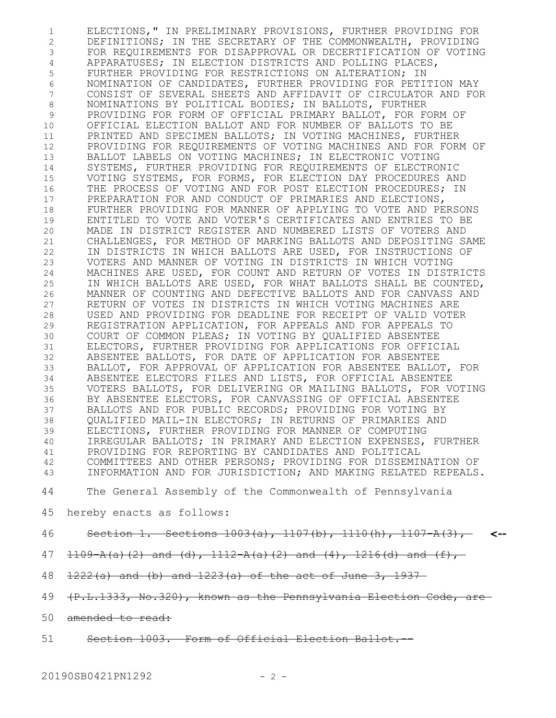ELECTIONS," IN PRELIMINARY PROVISIONS, FURTHER PROVIDING FOR DEFINITIONS; IN THE SECRETARY OF THE COMMONWEALTH, PROVIDING FOR REQUIREMENTS FOR DISAPPROVAL OR DECERTIFICATION OF VOTING APPARATUSES; IN ELECTION DISTRICTS AND POLLING PLACES, FURTHER PROVIDING FOR RESTRICTIONS ON ALTERATION; IN NOMINATION OF CANDIDATES, FURTHER PROVIDING FOR PETITION MAY CONSIST OF SEVERAL SHEETS AND AFFIDAVIT OF CIRCULATOR AND FOR NOMINATIONS BY POLITICAL BODIES; IN BALLOTS, FURTHER PROVIDING FOR FORM OF OFFICIAL PRIMARY BALLOT, FOR FORM OF OFFICIAL ELECTION BALLOT AND FOR NUMBER OF BALLOTS TO BE PRINTED AND SPECIMEN BALLOTS; IN VOTING MACHINES, FURTHER PROVIDING FOR REQUIREMENTS OF VOTING MACHINES AND FOR FORM OF BALLOT LABELS ON VOTING MACHINES; IN ELECTRONIC VOTING SYSTEMS, FURTHER PROVIDING FOR REQUIREMENTS OF ELECTRONIC VOTING SYSTEMS, FOR FORMS, FOR ELECTION DAY PROCEDURES AND THE PROCESS OF VOTING AND FOR POST ELECTION PROCEDURES; IN PREPARATION FOR AND CONDUCT OF PRIMARIES AND ELECTIONS, FURTHER PROVIDING FOR MANNER OF APPLYING TO VOTE AND PERSONS ENTITLED TO VOTE AND VOTER'S CERTIFICATES AND ENTRIES TO BE MADE IN DISTRICT REGISTER AND NUMBERED LISTS OF VOTERS AND CHALLENGES, FOR METHOD OF MARKING BALLOTS AND DEPOSITING SAME IN DISTRICTS IN WHICH BALLOTS ARE USED, FOR INSTRUCTIONS OF VOTERS AND MANNER OF VOTING IN DISTRICTS IN WHICH VOTING MACHINES ARE USED, FOR COUNT AND RETURN OF VOTES IN DISTRICTS IN WHICH BALLOTS ARE USED, FOR WHAT BALLOTS SHALL BE COUNTED, MANNER OF COUNTING AND DEFECTIVE BALLOTS AND FOR CANVASS AND RETURN OF VOTES IN DISTRICTS IN WHICH VOTING MACHINES ARE USED AND PROVIDING FOR DEADLINE FOR RECEIPT OF VALID VOTER REGISTRATION APPLICATION, FOR APPEALS AND FOR APPEALS TO COURT OF COMMON PLEAS; IN VOTING BY QUALIFIED ABSENTEE ELECTORS, FURTHER PROVIDING FOR APPLICATIONS FOR OFFICIAL ABSENTEE BALLOTS, FOR DATE OF APPLICATION FOR ABSENTEE BALLOT, FOR APPROVAL OF APPLICATION FOR ABSENTEE BALLOT, FOR ABSENTEE ELECTORS FILES AND LISTS, FOR OFFICIAL ABSENTEE VOTERS BALLOTS, FOR DELIVERING OR MAILING BALLOTS, FOR VOTING BY ABSENTEE ELECTORS, FOR CANVASSING OF OFFICIAL ABSENTEE BALLOTS AND FOR PUBLIC RECORDS; PROVIDING FOR VOTING BY QUALIFIED MAIL-IN ELECTORS; IN RETURNS OF PRIMARIES AND ELECTIONS, FURTHER PROVIDING FOR MANNER OF COMPUTING IRREGULAR BALLOTS; IN PRIMARY AND ELECTION EXPENSES, FURTHER PROVIDING FOR REPORTING BY CANDIDATES AND POLITICAL COMMITTEES AND OTHER PERSONS; PROVIDING FOR DISSEMINATION OF INFORMATION AND FOR JURISDICTION; AND MAKING RELATED REPEALS. 1 2 3 4 5 6 7 8 9 10 11 12 13 14 15 16 17 18 19 20 21 22 23 24 25 26 27 28 29 30 31 32 33 34 35 36 37 38 39 40 41 42 43

The General Assembly of the Commonwealth of Pennsylvania 44

- hereby enacts as follows: 45
- Section 1. Sections 1003(a), 1107(b), 1110(h), 1107-A(3), **<--** 46
- $1109 A(a)(2)$  and (d),  $1112 A(a)(2)$  and  $(4)$ ,  $1216(d)$  and  $(f)$ , 47
- 1222(a) and (b) and 1223(a) of the act of June 3, 1937 48
- 49 (P.L.1333, No.320), known as the Pennsylvania Election Code, are
- 50 amended to read:
- Section 1003. Form of Official Election Ballot. 51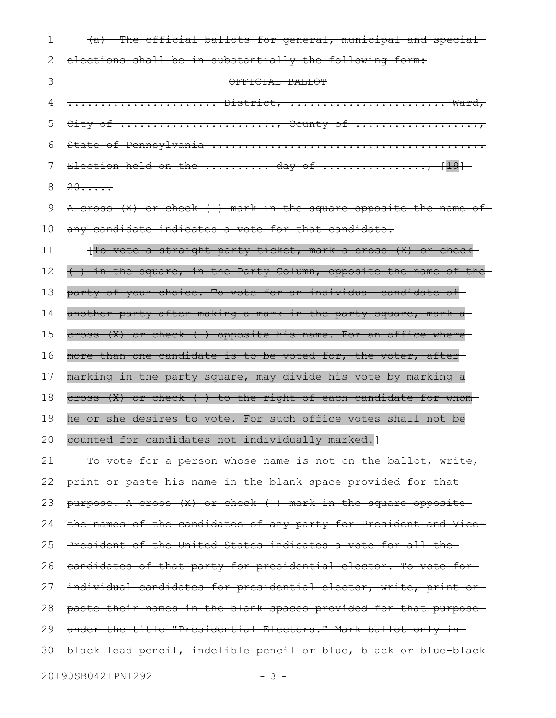| 1  | (a) The official ballots for general, municipal and special      |
|----|------------------------------------------------------------------|
| 2  | elections shall be in substantially the following form:          |
| 3  | OFFICIAL BALLOT                                                  |
| 4  | <del> District,  Ward,</del>                                     |
| 5  | City of , County of                                              |
| 6  |                                                                  |
| 7  |                                                                  |
| 8  | 20                                                               |
| 9  | A cross (X) or check () mark in the square opposite the name of  |
| 10 | any candidate indicates a vote for that candidate.               |
| 11 | (To vote a straight party ticket, mark a cross (X) or check      |
| 12 | () in the square, in the Party Column, opposite the name of the  |
| 13 | party of your choice. To vote for an individual candidate of     |
| 14 | another party after making a mark in the party square, mark a    |
| 15 | cross (X) or check ( ) opposite his name. For an office where    |
| 16 | more than one candidate is to be voted for, the voter, after-    |
| 17 | marking in the party square, may divide his vote by marking a-   |
| 18 | cross (X) or check () to the right of each candidate for whom    |
| 19 | he or she desires to vote. For such office votes shall not be-   |
| 20 | counted for candidates not individually marked.]                 |
| 21 | To vote for a person whose name is not on the ballot, write,     |
| 22 | print or paste his name in the blank space provided for that     |
| 23 | $purpose. A cross (X) or check ( ) mark in the square opposite-$ |
| 24 | the names of the candidates of any party for President and Vice- |
| 25 | President of the United States indicates a vote for all the-     |
| 26 | eandidates of that party for presidential elector. To vote for-  |
| 27 | individual candidates for presidential elector, write, print or- |
| 28 | paste their names in the blank spaces provided for that purpose- |
| 29 | under the title "Presidential Electors." Mark ballot only in-    |
| 30 | black lead pencil, indelible pencil or blue, black or blue black |
|    | 20190SB0421PN1292<br>$-3 -$                                      |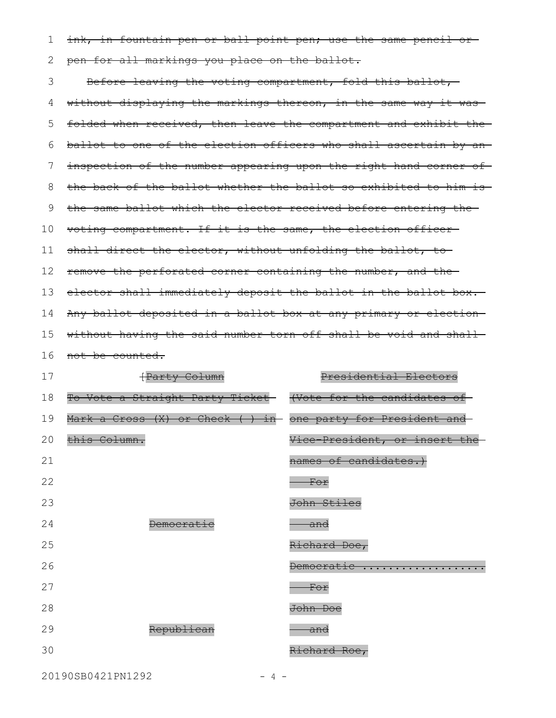ink, in fountain pen or ball point pen; use the same pencil orpen for all markings you place on the ballot. 1 2

Before leaving the voting compartment, fold this ballot, without displaying the markings thereon, in the same way it wasfolded when received, then leave the compartment and exhibit the ballot to one of the election officers who shall ascertain by an inspection of the number appearing upon the right hand corner of the back of the ballot whether the ballot so exhibited to him is the same ballot which the elector received before entering the voting compartment. If it is the same, the election officer shall direct the elector, without unfolding the ballot, toremove the perforated corner containing the number, and the elector shall immediately deposit the ballot in the ballot box. Any ballot deposited in a ballot box at any primary or election without having the said number torn off shall be void and shall-16 not be counted. 3 4 5 6 7 8 9 10 11 12 13 14 15

| 17 | <i><u>FParty Column</u></i>      | Presidential Electors                       |
|----|----------------------------------|---------------------------------------------|
| 18 | To Vote a Straight Party Ticket- | (Vote for the candidates                    |
| 19 | Mark a Cross (X) or Check () in  | one party for President and                 |
| 20 | this Column.                     | Vice-President, or insert<br><del>the</del> |
| 21 |                                  | names of candidates.                        |
| 22 |                                  | For                                         |
| 23 |                                  | John Stiles                                 |
| 24 | <b>Democrat</b>                  | <del>and</del>                              |
| 25 |                                  | Richard Doe,                                |
| 26 |                                  | Democratic<br>.                             |
| 27 |                                  | <del>For</del>                              |
| 28 |                                  | John Doe                                    |
| 29 | Republican                       | <del>and</del>                              |
| 30 |                                  | Richard Roe,                                |

20190SB0421PN1292 - 4 -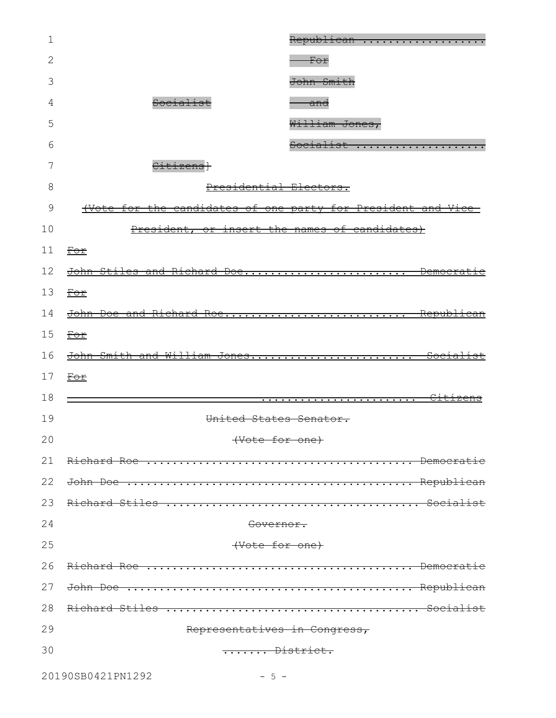| 1  | Republican                                                           |
|----|----------------------------------------------------------------------|
| 2  | For                                                                  |
| 3  | John Smith                                                           |
| 4  | Socialist<br><del>and</del>                                          |
| 5  | William Jones,                                                       |
| 6  | Socialist                                                            |
| 7  | Citizensl                                                            |
| 8  | Presidential Electors.                                               |
| 9  | <u>(Vote for the candidates of one party for President and Vice-</u> |
| 10 | President, or insert the names of candidates)                        |
| 11 | $\underline{\text{For}}$                                             |
| 12 | John Stiles and Richard Doe Democrat                                 |
| 13 | <del>For</del>                                                       |
| 14 | John Doe and Richard Roe Republican                                  |
| 15 | <u>For</u>                                                           |
| 16 | John Smith and William Jones Socialist                               |
| 17 | <u>For</u>                                                           |
| 18 |                                                                      |
| 19 | United States Senator.                                               |
| 20 | (Vote for one)                                                       |
| 21 |                                                                      |
| 22 |                                                                      |
| 23 |                                                                      |
| 24 | Governor.                                                            |
| 25 | (Vote for one)                                                       |
| 26 |                                                                      |
| 27 |                                                                      |
| 28 |                                                                      |
| 29 | Representatives in Congress,                                         |
| 30 | District.                                                            |
|    |                                                                      |

20190SB0421PN1292 - 5 -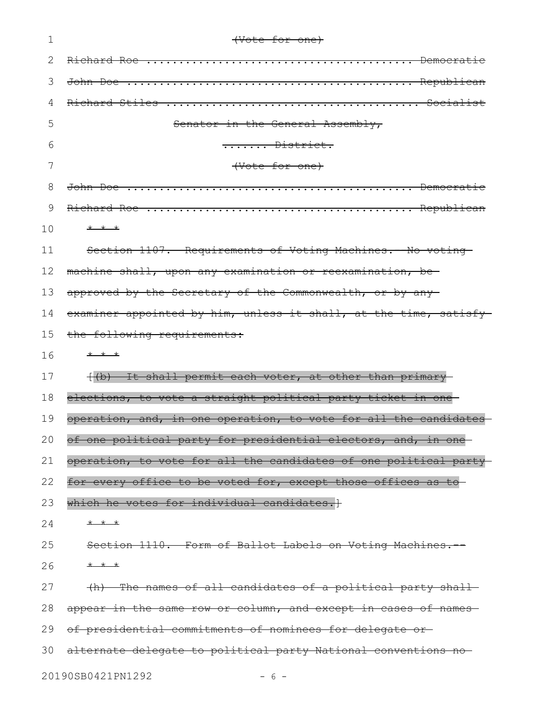| 1  | (Vote for one)                                                    |
|----|-------------------------------------------------------------------|
| 2  |                                                                   |
| 3  |                                                                   |
| 4  |                                                                   |
| 5  | Senator in the General Assembly,                                  |
| 6  | $\dots \dots$ District.                                           |
| 7  | (Vote for one)                                                    |
| 8  |                                                                   |
| 9  |                                                                   |
| 10 | * * *                                                             |
| 11 | Section 1107. Requirements of Voting Machines. - No voting        |
| 12 | machine shall, upon any examination or reexamination, be-         |
| 13 | approved by the Secretary of the Commonwealth, or by any          |
| 14 | examiner appointed by him, unless it shall, at the time, satisfy- |
| 15 | the following requirements:                                       |
| 16 | $+$ $+$ $+$                                                       |
| 17 | {(b) It shall permit each voter, at other than primary-           |
| 18 | elections, to vote a straight political party ticket in one-      |
| 19 | operation, and, in one operation, to vote for all the candidates  |
| 20 | of one political party for presidential electors, and, in one     |
| 21 | operation, to vote for all the candidates of one political party  |
| 22 | for every office to be voted for, except those offices as to      |
| 23 | which he votes for individual candidates. +                       |
| 24 | $+$ $+$ $+$                                                       |
| 25 | Section 1110. Form of Ballot Labels on Voting Machines.           |
| 26 | $+$ $+$ $+$                                                       |
| 27 | (h) The names of all candidates of a political party shall        |
| 28 | appear in the same row or column, and except in cases of names    |
| 29 | of presidential commitments of nominees for delegate or-          |
| 30 | alternate delegate to political party National conventions no     |
|    | 20190SB0421PN1292<br>$-6-$                                        |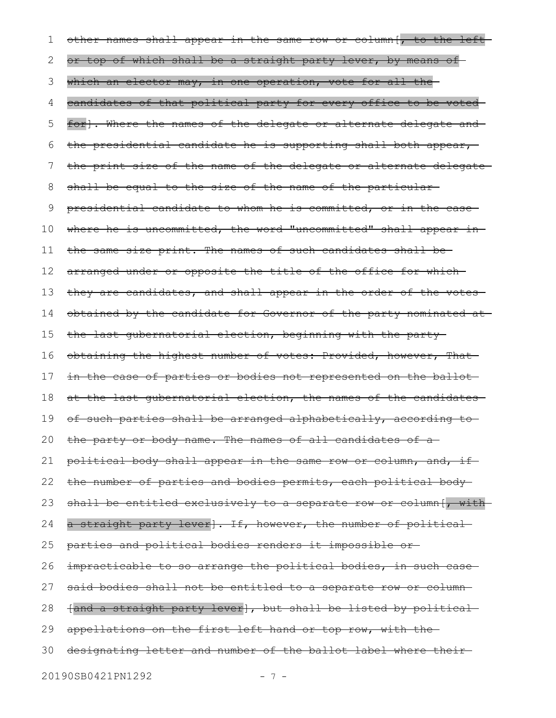other names shall appear in the same row or column[, to the left or top of which shall be a straight party lever, by means of which an elector may, in one operation, vote for all the candidates of that political party for every office to be voted for]. Where the names of the delegate or alternate delegate and the presidential candidate he is supporting shall both appear, the print size of the name of the delegate or alternate delegate shall be equal to the size of the name of the particular presidential candidate to whom he is committed, or in the case where he is uncommitted, the word "uncommitted" shall appear inthe same size print. The names of such candidates shall be arranged under or opposite the title of the office for which they are candidates, and shall appear in the order of the votes obtained by the candidate for Governor of the party nominated at the last gubernatorial election, beginning with the party obtaining the highest number of votes: Provided, however, That in the case of parties or bodies not represented on the ballot at the last gubernatorial election, the names of the candidates of such parties shall be arranged alphabetically, according to the party or body name. The names of all candidates of a political body shall appear in the same row or column, and, if the number of parties and bodies permits, each political body shall be entitled exclusively to a separate row or column[, witha straight party lever]. If, however, the number of political parties and political bodies renders it impossible or impracticable to so arrange the political bodies, in such casesaid bodies shall not be entitled to a separate row or column-[and a straight party lever], but shall be listed by political appellations on the first left hand or top row, with thedesignating letter and number of the ballot label where their 1 2 3 4 5 6 7 8 9 10 11 12 13 14 15 16 17 18 19 20 21 22 23 24 25 26 27 28 29 30

20190SB0421PN1292 - 7 -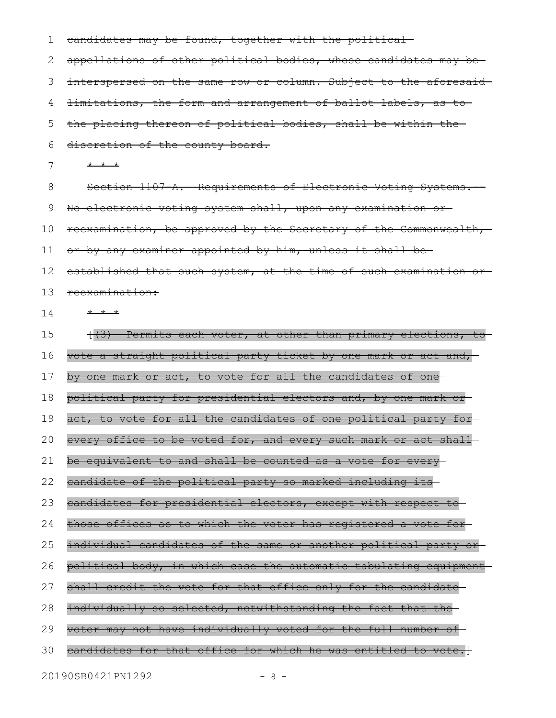| 1  | candidates may be found, together with the political             |
|----|------------------------------------------------------------------|
| 2  | appellations of other political bodies, whose candidates may be  |
| 3  | interspersed on the same row or column. Subject to the aforesaid |
| 4  | imitations, the form and arrangement of ballot labels, as to     |
| 5  | the placing thereon of political bodies, shall be within the     |
| 6  | discretion of the county board.                                  |
| 7  | $+$ $+$ $+$                                                      |
| 8  | Section 1107 A. Requirements of Electronic Voting Systems.       |
| 9  | No electronic voting system shall, upon any examination or-      |
| 10 | reexamination, be approved by the Secretary of the Commonwealth, |
| 11 | or by any examiner appointed by him, unless it shall be-         |
| 12 | established that such system, at the time of such examination or |
| 13 | reexamination:                                                   |
| 14 | * * *                                                            |
| 15 | (3) Permits each voter, at other than primary elections, to      |
| 16 | vote a straight political party ticket by one mark or act and,   |
| 17 | by one mark or act, to vote for all the candidates of one        |
| 18 | political party for presidential electors and, by one mark or-   |
| 19 | act, to vote for all the candidates of one political party for-  |
| 20 | every office to be voted for, and every such mark or act shall   |
| 21 | be equivalent to and shall be counted as a vote for every-       |
| 22 | candidate of the political party so marked including its         |
| 23 | candidates for presidential electors, except with respect to     |
| 24 | those offices as to which the voter has registered a vote for-   |
| 25 | individual candidates of the same or another political party or  |
| 26 | political body, in which case the automatic tabulating equipment |
| 27 | shall credit the vote for that office only for the candidate     |
| 28 | individually so selected, notwithstanding the fact that the-     |
| 29 | voter may not have individually voted for the full number of     |
| 30 | candidates for that office for which he was entitled to vote.}   |
|    | 20190SB0421PN1292<br>$-8 -$                                      |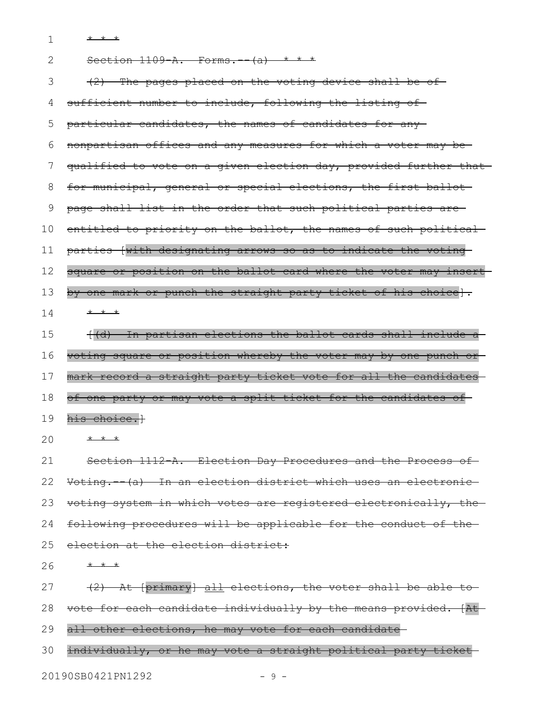1 \* \* \*

| $\mathbf{2}$ | Section $1109-A.$ Forms. $-(a)$ * * *                            |
|--------------|------------------------------------------------------------------|
| 3            | $(2)$ The pages placed on the voting device shall be of-         |
| 4            | sufficient number to include, following the listing of-          |
| 5            | particular candidates, the names of candidates for any-          |
| 6            | nonpartisan offices and any measures for which a voter may be-   |
| 7            | qualified to vote on a given election day, provided further that |
| 8            | for municipal, general or special elections, the first ballot    |
| 9            | page shall list in the order that such political parties are     |
| 10           | entitled to priority on the ballot, the names of such political  |
| 11           | parties [with designating arrows so as to indicate the voting    |
| 12           | square or position on the ballot card where the voter may insert |
| 13           | by one mark or punch the straight party ticket of his choice].   |
| 14           | * * *                                                            |
| 15           | ((d) In partisan elections the ballot cards shall include a      |
| 16           | voting square or position whereby the voter may by one punch or  |
| 17           | mark record a straight party ticket vote for all the candidates  |
| 18           | of one party or may vote a split ticket for the candidates of    |
| 19           | his choice.}                                                     |
| 20           | * * *                                                            |
| 21           | Section 1112-A. Election Day Procedures and the Process of       |
| 22           | Voting. (a) In an election district which uses an electronic     |
| 23           | voting system in which votes are registered electronically, the  |
| 24           | following procedures will be applicable for the conduct of the   |
| 25           | election at the election district:                               |
| 26           | * * *                                                            |
| 27           | (2) At [primary] all elections, the voter shall be able to       |
| 28           | vote for each candidate individually by the means provided. [At- |
| 29           | all other elections, he may vote for each candidate              |

30 individually, or he may vote a straight political party ticket 20190SB0421PN1292 - 9 -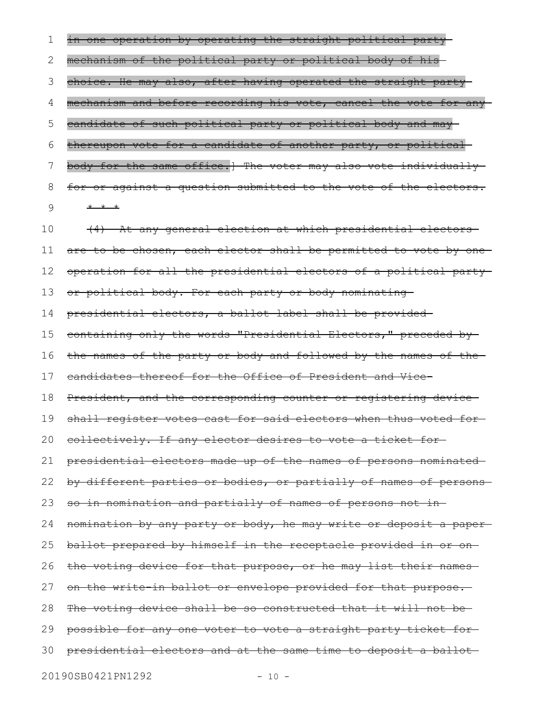in one operation by operating the straight political party mechanism of the political party or political body of his choice. He may also, after having operated the straight party mechanism and before recording his vote, cancel the vote for any candidate of such political party or political body and may thereupon vote for a candidate of another party, or political body for the same office.] The voter may also vote individually for or against a question submitted to the vote of the electors. \* \* \* (4) At any general election at which presidential electors are to be chosen, each elector shall be permitted to vote by oneoperation for all the presidential electors of a political party or political body. For each party or body nominating presidential electors, a ballot label shall be provided containing only the words "Presidential Electors," preceded by the names of the party or body and followed by the names of the candidates thereof for the Office of President and Vice-President, and the corresponding counter or registering device shall register votes cast for said electors when thus voted for collectively. If any elector desires to vote a ticket for presidential electors made up of the names of persons nominated by different parties or bodies, or partially of names of persons so in nomination and partially of names of persons not in nomination by any party or body, he may write or deposit a paper ballot prepared by himself in the receptacle provided in or on the voting device for that purpose, or he may list their names on the write-in ballot or envelope provided for that purpose. The voting device shall be so constructed that it will not be-1 2 3 4 5 6 7 8 9 10 11 12 13 14 15 16 17 18 19 20 21 22 23 24 25 26 27 28

possible for any one voter to vote a straight party ticket for 29

presidential electors and at the same time to deposit a ballot 30

20190SB0421PN1292 - 10 -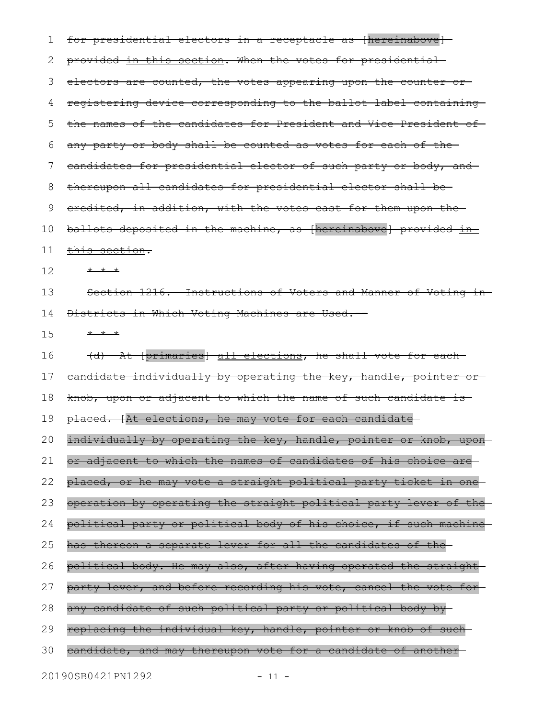for presidential electors in a receptacle as [hereinabove] provided in this section. When the votes for presidential electors are counted, the votes appearing upon the counter or registering device corresponding to the ballot label containing the names of the candidates for President and Vice-President of any party or body shall be counted as votes for each of the candidates for presidential elector of such party or body, and thereupon all candidates for presidential elector shall be credited, in addition, with the votes cast for them upon the ballots deposited in the machine, as [hereinabove] provided in this section. \* \* \* Section 1216. Instructions of Voters and Manner of Voting in Districts in Which Voting Machines are Used. -\* \* \* (d) At [primaries] all elections, he shall vote for each candidate individually by operating the key, handle, pointer or knob, upon or adjacent to which the name of such candidate is placed. [At elections, he may vote for each candidate individually by operating the key, handle, pointer or knob, uponor adjacent to which the names of candidates of his choice are placed, or he may vote a straight political party ticket in one operation by operating the straight political party lever of the political party or political body of his choice, if such machine has thereon a separate lever for all the candidates of the political body. He may also, after having operated the straight party lever, and before recording his vote, cancel the vote for any candidate of such political party or political body by replacing the individual key, handle, pointer or knob of such candidate, and may thereupon vote for a candidate of another 20190SB0421PN1292 - 11 -1 2 3 4 5 6 7 8 9 10 11 12 13 14 15 16 17 18 19 20 21 22 23 24 25 26 27 28 29 30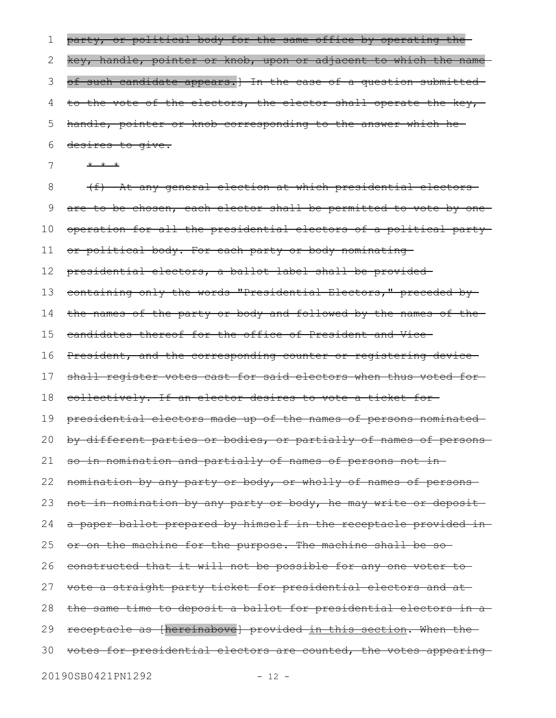| 1  | party, or political body for the same office by operating the-       |
|----|----------------------------------------------------------------------|
| 2  | key, handle, pointer or knob, upon or adjacent to which the name     |
| 3  | of such candidate appears.] In the case of a question submitted-     |
| 4  | to the vote of the electors, the elector shall operate the key,      |
| 5  | handle, pointer or knob corresponding to the answer which he-        |
| 6  | desires to give.                                                     |
| 7  | * * *                                                                |
| 8  | (f) At any general election at which presidential electors           |
| 9  | are to be chosen, each elector shall be permitted to vote by one     |
| 10 | operation for all the presidential electors of a political party-    |
| 11 | or political body. For each party or body nominating                 |
| 12 | presidential electors, a ballot label shall be provided-             |
| 13 | containing only the words "Presidential Electors," preceded by-      |
| 14 | the names of the party or body and followed by the names of the-     |
| 15 | eandidates thereof for the office of President and Vice-             |
| 16 | President, and the corresponding counter or registering device-      |
| 17 | shall register votes cast for said electors when thus voted for-     |
| 18 | collectively. If an elector desires to vote a ticket for-            |
| 19 | presidential electors made up of the names of persons nominated      |
|    | 20 by different parties or bodies, or partially of names of persons- |
| 21 | so in nomination and partially of names of persons not in-           |
| 22 | nomination by any party or body, or wholly of names of persons-      |
| 23 | not in nomination by any party or body, he may write or deposit-     |
| 24 | a paper ballot prepared by himself in the receptacle provided in-    |
| 25 | or on the machine for the purpose. The machine shall be so-          |
| 26 | constructed that it will not be possible for any one voter to-       |
| 27 | vote a straight party ticket for presidential electors and at-       |
| 28 | the same time to deposit a ballot for presidential electors in a     |
| 29 | receptacle as [hereinabove] provided in this section. When the-      |
| 30 | votes for presidential electors are counted, the votes appearing     |
|    | 20190SB0421PN1292<br>$-12 -$                                         |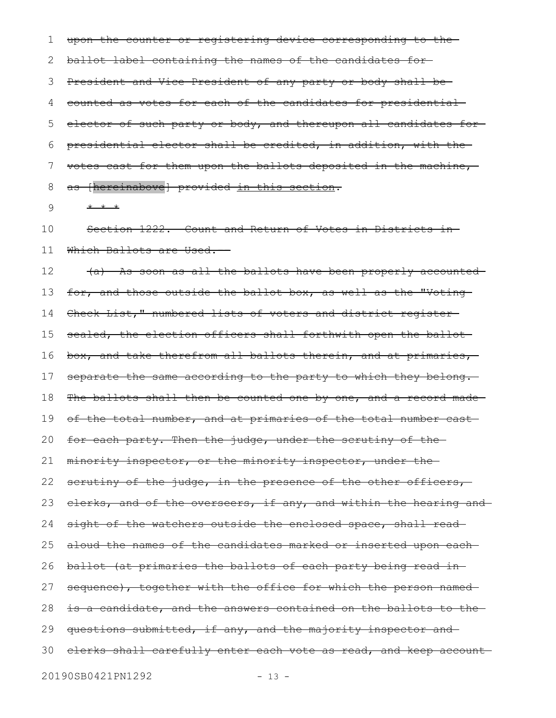upon the counter or registering device corresponding to the ballot label containing the names of the candidates for President and Vice-President of any party or body shall be counted as votes for each of the candidates for presidential elector of such party or body, and thereupon all candidates forpresidential elector shall be credited, in addition, with the votes cast for them upon the ballots deposited in the machine, as [hereinabove] provided in this section. 1 2 3 4 5 6 7 8

\* \* \* 9

Section 1222. Count and Return of Votes in Districts in Which Ballots are Used. 10 11

(a) As soon as all the ballots have been properly accounted for, and those outside the ballot box, as well as the "Voting-Check List," numbered lists of voters and district register sealed, the election officers shall forthwith open the ballot box, and take therefrom all ballots therein, and at primaries, separate the same according to the party to which they belong. The ballots shall then be counted one by one, and a record made of the total number, and at primaries of the total number castfor each party. Then the judge, under the scrutiny of the minority inspector, or the minority inspector, under the scrutiny of the judge, in the presence of the other officers, clerks, and of the overseers, if any, and within the hearing and sight of the watchers outside the enclosed space, shall readaloud the names of the candidates marked or inserted upon each ballot (at primaries the ballots of each party being read in sequence), together with the office for which the person namedis a candidate, and the answers contained on the ballots to the questions submitted, if any, and the majority inspector and 30 elerks shall carefully enter each vote as read, and keep account 12 13 14 15 16 17 18 19 20 21 22 23 24 25 26 27 28 29

20190SB0421PN1292 - 13 -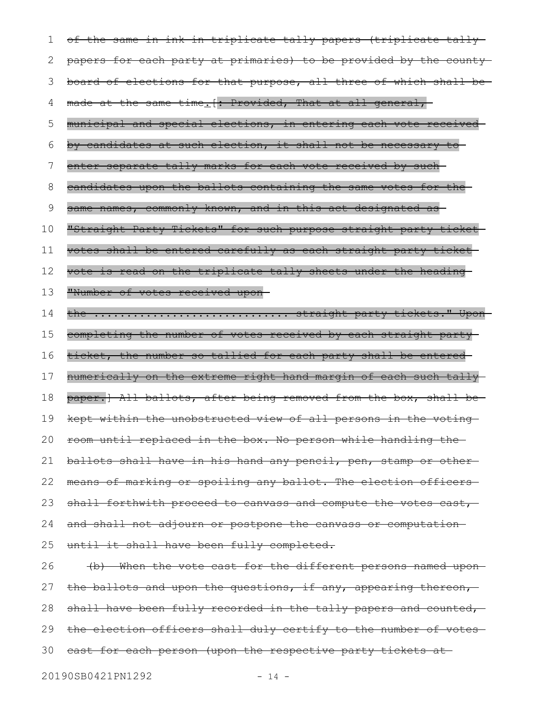of the same in ink in triplicate tally papers (triplicate tally papers for each party at primaries) to be provided by the county board of elections for that purpose, all three of which shall be made at the same time. [: Provided, That at all general, 1 2 3 4

municipal and special elections, in entering each vote received 5

by candidates at such election, it shall not be necessary to

enter separate tally marks for each vote received by such 7

candidates upon the ballots containing the same votes for the 8

same names, commonly known, and in this act designated as 9

"Straight Party Tickets" for such purpose straight party ticket 10

votes shall be entered carefully as each straight party ticket 11

vote is read on the triplicate tally sheets under the heading 12

"Number of votes received upon 13

6

the .................................. straight party tickets." Uponcompleting the number of votes received by each straight party 14 15

ticket, the number so tallied for each party shall be entered 16

numerically on the extreme right hand margin of each such tally 17

paper.] All ballots, after being removed from the box, shall be-18

kept within the unobstructed view of all persons in the voting 19

room until replaced in the box. No person while handling the 20

ballots shall have in his hand any pencil, pen, stamp or other 21

means of marking or spoiling any ballot. The election officers 22

shall forthwith proceed to canvass and compute the votes cast, 23

and shall not adjourn or postpone the canvass or computation 24

until it shall have been fully completed. 25

(b) When the vote cast for the different persons named upon the ballots and upon the questions, if any, appearing thereon, shall have been fully recorded in the tally papers and counted, the election officers shall duly certify to the number of votescast for each person (upon the respective party tickets at 26 27 28 29 30

20190SB0421PN1292 - 14 -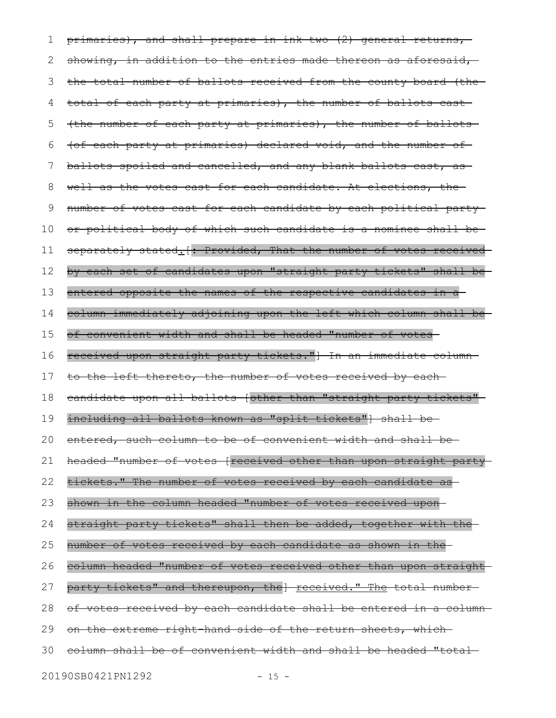primaries), and shall prepare in ink two (2) general returns, showing, in addition to the entries made thereon as aforesaid, the total number of ballots received from the county board (the total of each party at primaries), the number of ballots cast (the number of each party at primaries), the number of ballots (of each party at primaries) declared void, and the number of ballots spoiled and cancelled, and any blank ballots cast, as well as the votes cast for each candidate. At elections, the number of votes cast for each candidate by each political party or political body of which such candidate is a nominee shall be separately stated. [: Provided, That the number of votes receivedby each set of candidates upon "straight party tickets" shall be entered opposite the names of the respective candidates in a column immediately adjoining upon the left which column shall be of convenient width and shall be headed "number of votes received upon straight party tickets."] In an immediate column to the left thereto, the number of votes received by each candidate upon all ballots [other than "straight party tickets" including all ballots known as "split tickets"] shall be entered, such column to be of convenient width and shall be headed "number of votes [received other than upon straight party tickets." The number of votes received by each candidate as shown in the column headed "number of votes received upon straight party tickets" shall then be added, together with the number of votes received by each candidate as shown in the column headed "number of votes received other than upon straight party tickets" and thereupon, the] received." The total numberof votes received by each candidate shall be entered in a column on the extreme right-hand side of the return sheets, which column shall be of convenient width and shall be headed "total 1 2 3 4 5 6 7 8 9 10 11 12 13 14 15 16 17 18 19 20 21 22 23 24 25 26 27 28 29 30

20190SB0421PN1292 - 15 -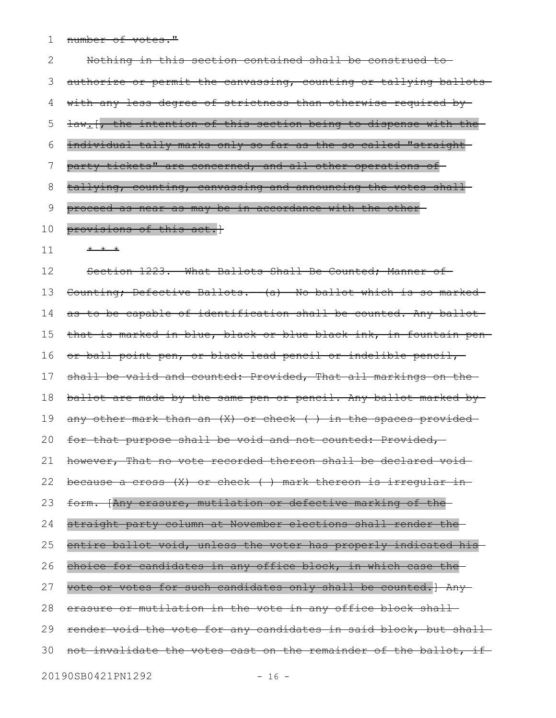number of votes." 1

Nothing in this section contained shall be construed to authorize or permit the canvassing, counting or tallying ballots with any less degree of strictness than otherwise required by law<sub>:</sub>[, the intention of this section being to dispense with the individual tally marks only so far as the so-called "straight party tickets" are concerned, and all other operations of tallying, counting, canvassing and announcing the votes shall proceed as near as may be in accordance with the other provisions of this act.] \* \* \* Section 1223. What Ballots Shall Be Counted; Manner of Counting; Defective Ballots. - (a) We ballot which is so marked as to be capable of identification shall be counted. Any ballot that is marked in blue, black or blue-black ink, in fountain pen or ball point pen, or black lead pencil or indelible pencil, shall be valid and counted: Provided, That all markings on the ballot are made by the same pen or pencil. Any ballot marked by any other mark than an  $(X)$  or check  $($  ) in the spaces provided for that purpose shall be void and not counted: Provided, however, That no vote recorded thereon shall be declared void because a cross (X) or check ( ) mark thereon is irregular in form. [Any erasure, mutilation or defective marking of the straight party column at November elections shall render the entire ballot void, unless the voter has properly indicated his choice for candidates in any office block, in which case the vote or votes for such candidates only shall be counted.] Any erasure or mutilation in the vote in any office block shall render void the vote for any candidates in said block, but shallnot invalidate the votes cast on the remainder of the ballot, if 2 3 4 5 6 7 8 9 10 11 12 13 14 15 16 17 18 19 20 21 22 23 24 25 26 27 28 29 30

20190SB0421PN1292 - 16 -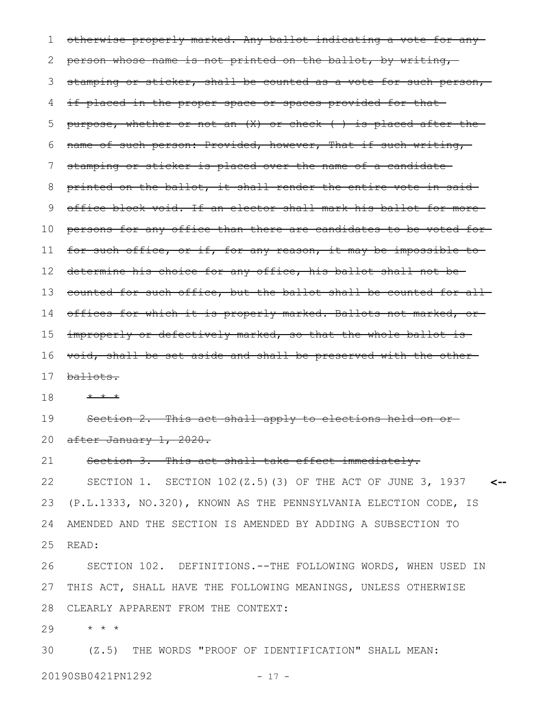otherwise properly marked. Any ballot indicating a vote for any person whose name is not printed on the ballot, by writing, stamping or sticker, shall be counted as a vote for such person, if placed in the proper space or spaces provided for that purpose, whether or not an  $(X)$  or check  $($  ) is placed after the name of such person: Provided, however, That if such writing, stamping or sticker is placed over the name of a candidate printed on the ballot, it shall render the entire vote in said office block void. If an elector shall mark his ballot for more persons for any office than there are candidates to be voted for for such office, or if, for any reason, it may be impossible to determine his choice for any office, his ballot shall not be 13 counted for such office, but the ballot shall be counted for all 14 offices for which it is properly marked. Ballots not marked, or improperly or defectively marked, so that the whole ballot is void, shall be set aside and shall be preserved with the other ballots. \* \* \* Section 2. This act shall apply to elections held on or after January 1, 2020. Section 3. This act shall take effect immediately. SECTION 1. SECTION 102(Z.5)(3) OF THE ACT OF JUNE 3, 1937 **<--** (P.L.1333, NO.320), KNOWN AS THE PENNSYLVANIA ELECTION CODE, IS AMENDED AND THE SECTION IS AMENDED BY ADDING A SUBSECTION TO READ: SECTION 102. DEFINITIONS.--THE FOLLOWING WORDS, WHEN USED IN THIS ACT, SHALL HAVE THE FOLLOWING MEANINGS, UNLESS OTHERWISE CLEARLY APPARENT FROM THE CONTEXT: \* \* \* 1 2 3 4 5 6 7 8 9 10 11 12 15 16 17 18 19 20 21 22 23 24 25 26 27 28 29

(Z.5) THE WORDS "PROOF OF IDENTIFICATION" SHALL MEAN: 30

20190SB0421PN1292 - 17 -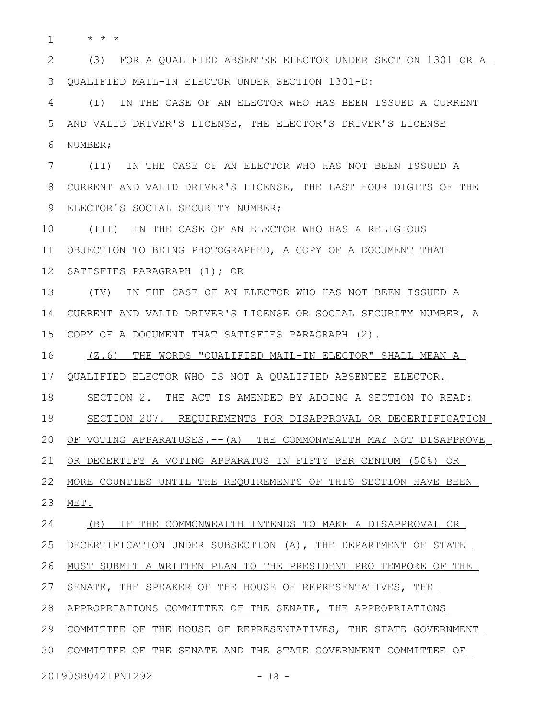\* \* \* 1

(3) FOR A QUALIFIED ABSENTEE ELECTOR UNDER SECTION 1301 OR A QUALIFIED MAIL-IN ELECTOR UNDER SECTION 1301-D: 2 3

(I) IN THE CASE OF AN ELECTOR WHO HAS BEEN ISSUED A CURRENT AND VALID DRIVER'S LICENSE, THE ELECTOR'S DRIVER'S LICENSE NUMBER; 4 5 6

(II) IN THE CASE OF AN ELECTOR WHO HAS NOT BEEN ISSUED A CURRENT AND VALID DRIVER'S LICENSE, THE LAST FOUR DIGITS OF THE ELECTOR'S SOCIAL SECURITY NUMBER; 7 8 9

(III) IN THE CASE OF AN ELECTOR WHO HAS A RELIGIOUS OBJECTION TO BEING PHOTOGRAPHED, A COPY OF A DOCUMENT THAT 12 SATISFIES PARAGRAPH (1); OR 10 11

(IV) IN THE CASE OF AN ELECTOR WHO HAS NOT BEEN ISSUED A CURRENT AND VALID DRIVER'S LICENSE OR SOCIAL SECURITY NUMBER, A COPY OF A DOCUMENT THAT SATISFIES PARAGRAPH (2). 13 14 15

(Z.6) THE WORDS "QUALIFIED MAIL-IN ELECTOR" SHALL MEAN A 16

QUALIFIED ELECTOR WHO IS NOT A QUALIFIED ABSENTEE ELECTOR. 17

SECTION 2. THE ACT IS AMENDED BY ADDING A SECTION TO READ: 18

SECTION 207. REQUIREMENTS FOR DISAPPROVAL OR DECERTIFICATION 19

OF VOTING APPARATUSES. -- (A) THE COMMONWEALTH MAY NOT DISAPPROVE 20

OR DECERTIFY A VOTING APPARATUS IN FIFTY PER CENTUM (50%) OR 21

 MORE COUNTIES UNTIL THE REQUIREMENTS OF THIS SECTION HAVE BEEN 22

MET. 23

(B) IF THE COMMONWEALTH INTENDS TO MAKE A DISAPPROVAL OR 24

 DECERTIFICATION UNDER SUBSECTION (A), THE DEPARTMENT OF STATE 25

MUST SUBMIT A WRITTEN PLAN TO THE PRESIDENT PRO TEMPORE OF THE 26

SENATE, THE SPEAKER OF THE HOUSE OF REPRESENTATIVES, THE 27

APPROPRIATIONS COMMITTEE OF THE SENATE, THE APPROPRIATIONS 28

COMMITTEE OF THE HOUSE OF REPRESENTATIVES, THE STATE GOVERNMENT 29

30 COMMITTEE OF THE SENATE AND THE STATE GOVERNMENT COMMITTEE OF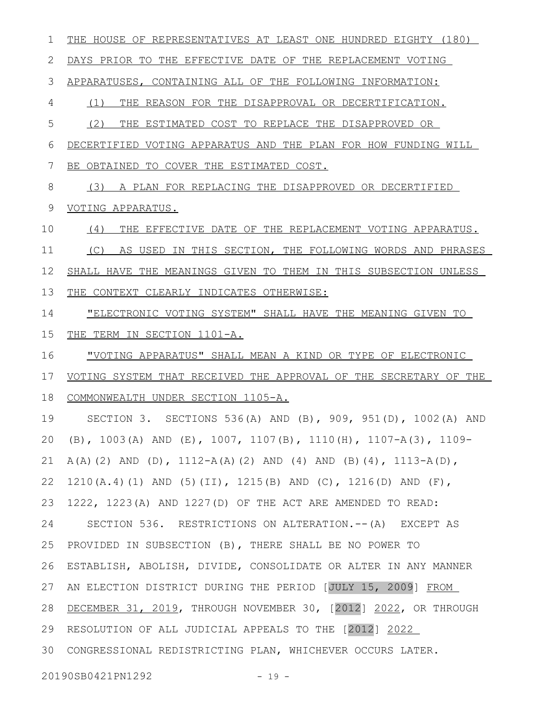THE HOUSE OF REPRESENTATIVES AT LEAST ONE HUNDRED EIGHTY (180) DAYS PRIOR TO THE EFFECTIVE DATE OF THE REPLACEMENT VOTING APPARATUSES, CONTAINING ALL OF THE FOLLOWING INFORMATION: (1) THE REASON FOR THE DISAPPROVAL OR DECERTIFICATION. (2) THE ESTIMATED COST TO REPLACE THE DISAPPROVED OR DECERTIFIED VOTING APPARATUS AND THE PLAN FOR HOW FUNDING WILL BE OBTAINED TO COVER THE ESTIMATED COST. (3) A PLAN FOR REPLACING THE DISAPPROVED OR DECERTIFIED VOTING APPARATUS. (4) THE EFFECTIVE DATE OF THE REPLACEMENT VOTING APPARATUS. (C) AS USED IN THIS SECTION, THE FOLLOWING WORDS AND PHRASES SHALL HAVE THE MEANINGS GIVEN TO THEM IN THIS SUBSECTION UNLESS THE CONTEXT CLEARLY INDICATES OTHERWISE: "ELECTRONIC VOTING SYSTEM" SHALL HAVE THE MEANING GIVEN TO THE TERM IN SECTION 1101-A. "VOTING APPARATUS" SHALL MEAN A KIND OR TYPE OF ELECTRONIC VOTING SYSTEM THAT RECEIVED THE APPROVAL OF THE SECRETARY OF THE COMMONWEALTH UNDER SECTION 1105-A. SECTION 3. SECTIONS 536(A) AND (B), 909, 951(D), 1002(A) AND (B), 1003(A) AND (E), 1007, 1107(B), 1110(H), 1107-A(3), 1109-  $A(A)$  (2) AND (D),  $1112-A(A)$  (2) AND (4) AND (B)(4),  $1113-A(D)$ , 1210(A.4)(1) AND (5)(II), 1215(B) AND (C), 1216(D) AND (F), 1222, 1223(A) AND 1227(D) OF THE ACT ARE AMENDED TO READ: SECTION 536. RESTRICTIONS ON ALTERATION.--(A) EXCEPT AS PROVIDED IN SUBSECTION (B), THERE SHALL BE NO POWER TO ESTABLISH, ABOLISH, DIVIDE, CONSOLIDATE OR ALTER IN ANY MANNER AN ELECTION DISTRICT DURING THE PERIOD [JULY 15, 2009] FROM DECEMBER 31, 2019, THROUGH NOVEMBER 30, [2012] 2022, OR THROUGH 29 RESOLUTION OF ALL JUDICIAL APPEALS TO THE [2012] 2022 CONGRESSIONAL REDISTRICTING PLAN, WHICHEVER OCCURS LATER. 3020190SB0421PN1292 - 19 -1 2 3 4 5 6 7 8 9 10 11 12 13 14 15 16 17 18 19 20 21 22 23 24 25 26 27 28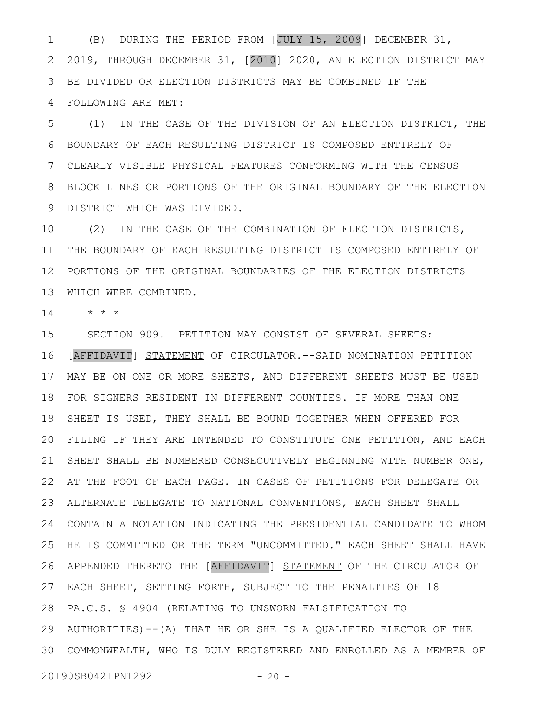(B) DURING THE PERIOD FROM [JULY 15, 2009] DECEMBER 31, 2019, THROUGH DECEMBER 31, [2010] 2020, AN ELECTION DISTRICT MAY BE DIVIDED OR ELECTION DISTRICTS MAY BE COMBINED IF THE FOLLOWING ARE MET: 1 2 3 4

(1) IN THE CASE OF THE DIVISION OF AN ELECTION DISTRICT, THE BOUNDARY OF EACH RESULTING DISTRICT IS COMPOSED ENTIRELY OF CLEARLY VISIBLE PHYSICAL FEATURES CONFORMING WITH THE CENSUS BLOCK LINES OR PORTIONS OF THE ORIGINAL BOUNDARY OF THE ELECTION DISTRICT WHICH WAS DIVIDED. 9 5 6 7 8

(2) IN THE CASE OF THE COMBINATION OF ELECTION DISTRICTS, 11 THE BOUNDARY OF EACH RESULTING DISTRICT IS COMPOSED ENTIRELY OF PORTIONS OF THE ORIGINAL BOUNDARIES OF THE ELECTION DISTRICTS 12 WHICH WERE COMBINED. 13 10

\* \* \* 14

SECTION 909. PETITION MAY CONSIST OF SEVERAL SHEETS; 16 [AFFIDAVIT] STATEMENT OF CIRCULATOR. -- SAID NOMINATION PETITION MAY BE ON ONE OR MORE SHEETS, AND DIFFERENT SHEETS MUST BE USED 17 18 FOR SIGNERS RESIDENT IN DIFFERENT COUNTIES. IF MORE THAN ONE 19 SHEET IS USED, THEY SHALL BE BOUND TOGETHER WHEN OFFERED FOR FILING IF THEY ARE INTENDED TO CONSTITUTE ONE PETITION, AND EACH 20 21 SHEET SHALL BE NUMBERED CONSECUTIVELY BEGINNING WITH NUMBER ONE, AT THE FOOT OF EACH PAGE. IN CASES OF PETITIONS FOR DELEGATE OR 22 ALTERNATE DELEGATE TO NATIONAL CONVENTIONS, EACH SHEET SHALL 23 CONTAIN A NOTATION INDICATING THE PRESIDENTIAL CANDIDATE TO WHOM 24 25 HE IS COMMITTED OR THE TERM "UNCOMMITTED." EACH SHEET SHALL HAVE 26 APPENDED THERETO THE [AFFIDAVIT] STATEMENT OF THE CIRCULATOR OF 27 EACH SHEET, SETTING FORTH, SUBJECT TO THE PENALTIES OF 18 15

PA.C.S. § 4904 (RELATING TO UNSWORN FALSIFICATION TO 28

29 AUTHORITIES)--(A) THAT HE OR SHE IS A QUALIFIED ELECTOR OF THE 30 COMMONWEALTH, WHO IS DULY REGISTERED AND ENROLLED AS A MEMBER OF

20190SB0421PN1292 - 20 -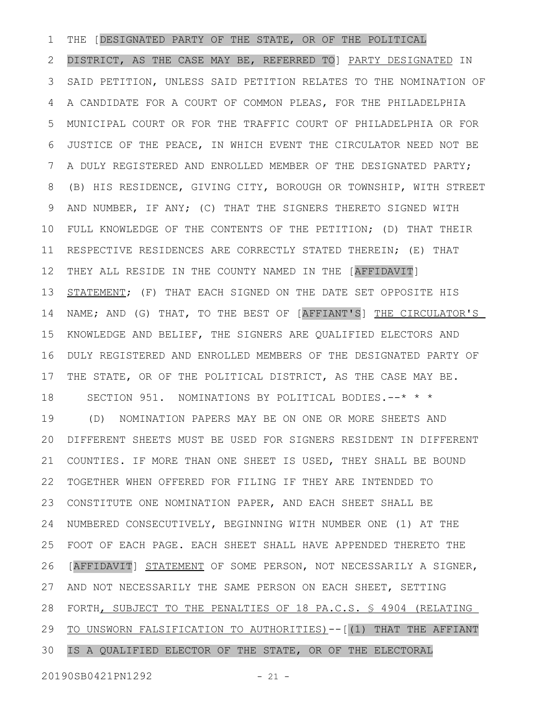THE [DESIGNATED PARTY OF THE STATE, OR OF THE POLITICAL DISTRICT, AS THE CASE MAY BE, REFERRED TO] PARTY DESIGNATED IN SAID PETITION, UNLESS SAID PETITION RELATES TO THE NOMINATION OF A CANDIDATE FOR A COURT OF COMMON PLEAS, FOR THE PHILADELPHIA MUNICIPAL COURT OR FOR THE TRAFFIC COURT OF PHILADELPHIA OR FOR JUSTICE OF THE PEACE, IN WHICH EVENT THE CIRCULATOR NEED NOT BE A DULY REGISTERED AND ENROLLED MEMBER OF THE DESIGNATED PARTY; (B) HIS RESIDENCE, GIVING CITY, BOROUGH OR TOWNSHIP, WITH STREET AND NUMBER, IF ANY; (C) THAT THE SIGNERS THERETO SIGNED WITH FULL KNOWLEDGE OF THE CONTENTS OF THE PETITION; (D) THAT THEIR RESPECTIVE RESIDENCES ARE CORRECTLY STATED THEREIN; (E) THAT THEY ALL RESIDE IN THE COUNTY NAMED IN THE [AFFIDAVIT] STATEMENT; (F) THAT EACH SIGNED ON THE DATE SET OPPOSITE HIS NAME; AND (G) THAT, TO THE BEST OF [AFFIANT'S] THE CIRCULATOR'S KNOWLEDGE AND BELIEF, THE SIGNERS ARE QUALIFIED ELECTORS AND DULY REGISTERED AND ENROLLED MEMBERS OF THE DESIGNATED PARTY OF THE STATE, OR OF THE POLITICAL DISTRICT, AS THE CASE MAY BE. SECTION 951. NOMINATIONS BY POLITICAL BODIES.--\* \* \* (D) NOMINATION PAPERS MAY BE ON ONE OR MORE SHEETS AND DIFFERENT SHEETS MUST BE USED FOR SIGNERS RESIDENT IN DIFFERENT COUNTIES. IF MORE THAN ONE SHEET IS USED, THEY SHALL BE BOUND TOGETHER WHEN OFFERED FOR FILING IF THEY ARE INTENDED TO CONSTITUTE ONE NOMINATION PAPER, AND EACH SHEET SHALL BE NUMBERED CONSECUTIVELY, BEGINNING WITH NUMBER ONE (1) AT THE FOOT OF EACH PAGE. EACH SHEET SHALL HAVE APPENDED THERETO THE [AFFIDAVIT] STATEMENT OF SOME PERSON, NOT NECESSARILY A SIGNER, AND NOT NECESSARILY THE SAME PERSON ON EACH SHEET, SETTING FORTH, SUBJECT TO THE PENALTIES OF 18 PA.C.S. § 4904 (RELATING TO UNSWORN FALSIFICATION TO AUTHORITIES)--[(1) THAT THE AFFIANT IS A QUALIFIED ELECTOR OF THE STATE, OR OF THE ELECTORAL 1 2 3 4 5 6 7 8 9 10 11 12 13 14 15 16 17 18 19 20 21 22 23 24 25 26 27 28 29 30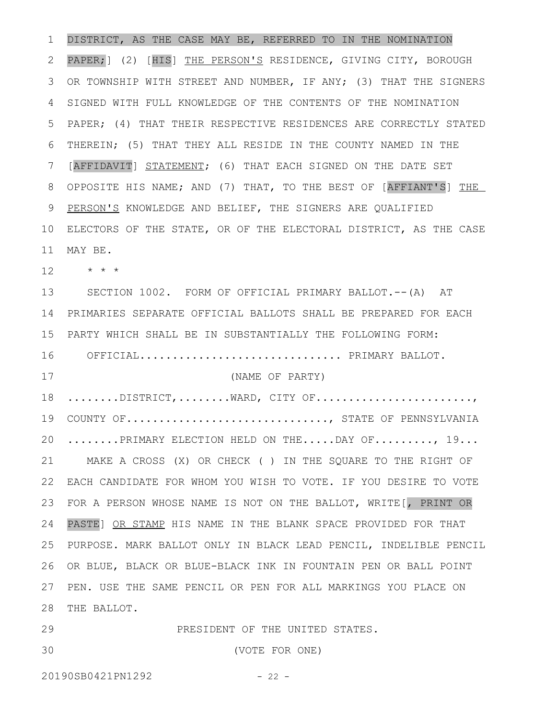DISTRICT, AS THE CASE MAY BE, REFERRED TO IN THE NOMINATION PAPER; ] (2) [HIS] THE PERSON'S RESIDENCE, GIVING CITY, BOROUGH OR TOWNSHIP WITH STREET AND NUMBER, IF ANY; (3) THAT THE SIGNERS SIGNED WITH FULL KNOWLEDGE OF THE CONTENTS OF THE NOMINATION PAPER; (4) THAT THEIR RESPECTIVE RESIDENCES ARE CORRECTLY STATED THEREIN; (5) THAT THEY ALL RESIDE IN THE COUNTY NAMED IN THE [AFFIDAVIT] STATEMENT; (6) THAT EACH SIGNED ON THE DATE SET OPPOSITE HIS NAME; AND (7) THAT, TO THE BEST OF [AFFIANT'S] THE PERSON'S KNOWLEDGE AND BELIEF, THE SIGNERS ARE QUALIFIED ELECTORS OF THE STATE, OR OF THE ELECTORAL DISTRICT, AS THE CASE MAY BE. \* \* \* SECTION 1002. FORM OF OFFICIAL PRIMARY BALLOT.--(A) AT PRIMARIES SEPARATE OFFICIAL BALLOTS SHALL BE PREPARED FOR EACH 14 PARTY WHICH SHALL BE IN SUBSTANTIALLY THE FOLLOWING FORM: 16 OFFICIAL............................... PRIMARY BALLOT. (NAME OF PARTY)  $\dots\dots\dots\text{DISTRICT},\dots\dots\dots\text{WARD},$   $\texttt{CITY OF}\dots\dots\dots\dots\dots\dots\dots\dots\dots\dots$ COUNTY OF.............................., STATE OF PENNSYLVANIA ........PRIMARY ELECTION HELD ON THE.....DAY OF........., 19... MAKE A CROSS (X) OR CHECK ( ) IN THE SQUARE TO THE RIGHT OF 21 EACH CANDIDATE FOR WHOM YOU WISH TO VOTE. IF YOU DESIRE TO VOTE FOR A PERSON WHOSE NAME IS NOT ON THE BALLOT, WRITE[, PRINT OR PASTE] OR STAMP HIS NAME IN THE BLANK SPACE PROVIDED FOR THAT PURPOSE. MARK BALLOT ONLY IN BLACK LEAD PENCIL, INDELIBLE PENCIL OR BLUE, BLACK OR BLUE-BLACK INK IN FOUNTAIN PEN OR BALL POINT PEN. USE THE SAME PENCIL OR PEN FOR ALL MARKINGS YOU PLACE ON 28 THE BALLOT. PRESIDENT OF THE UNITED STATES. (VOTE FOR ONE) 1 2 3 4 5 6 7 8 9 10 11 12 13 15 17 18 19 20 22 23 24 25 26 27 29 30

20190SB0421PN1292 - 22 -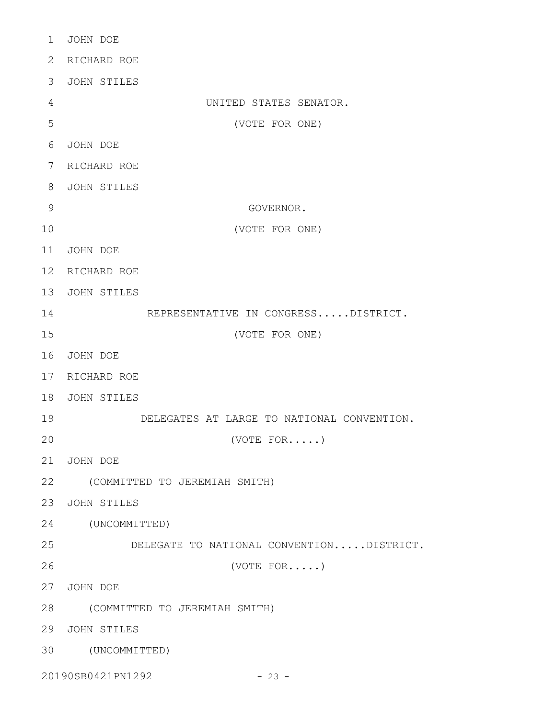| $\mathbf 1$     | JOHN DOE                                   |
|-----------------|--------------------------------------------|
| 2               | RICHARD ROE                                |
| 3               | JOHN STILES                                |
| 4               | UNITED STATES SENATOR.                     |
| 5               | (VOTE FOR ONE)                             |
| 6               | JOHN DOE                                   |
| 7               | RICHARD ROE                                |
| 8               | JOHN STILES                                |
| 9               | GOVERNOR.                                  |
| 10              | (VOTE FOR ONE)                             |
| 11              | JOHN DOE                                   |
| 12 <sup>°</sup> | RICHARD ROE                                |
| 13              | JOHN STILES                                |
| 14              | REPRESENTATIVE IN CONGRESSDISTRICT.        |
| 15              | (VOTE FOR ONE)                             |
| 16              | JOHN DOE                                   |
| 17              | RICHARD ROE                                |
| 18              | JOHN STILES                                |
| 19              | DELEGATES AT LARGE TO NATIONAL CONVENTION. |
| 20              | $(VOTE$ $FOR$ )                            |
| 21              | JOHN DOE                                   |
| 22              | (COMMITTED TO JEREMIAH SMITH)              |
| 23              | JOHN STILES                                |
| 24              | (UNCOMMITTED)                              |
| 25              | DELEGATE TO NATIONAL CONVENTIONDISTRICT.   |
| 26              | (VOTE FOR')                                |
| 27              | JOHN DOE                                   |
| 28              | (COMMITTED TO JEREMIAH SMITH)              |
| 29              | JOHN STILES                                |
| 30              | (UNCOMMITTED)                              |
|                 |                                            |

20190SB0421PN1292 - 23 -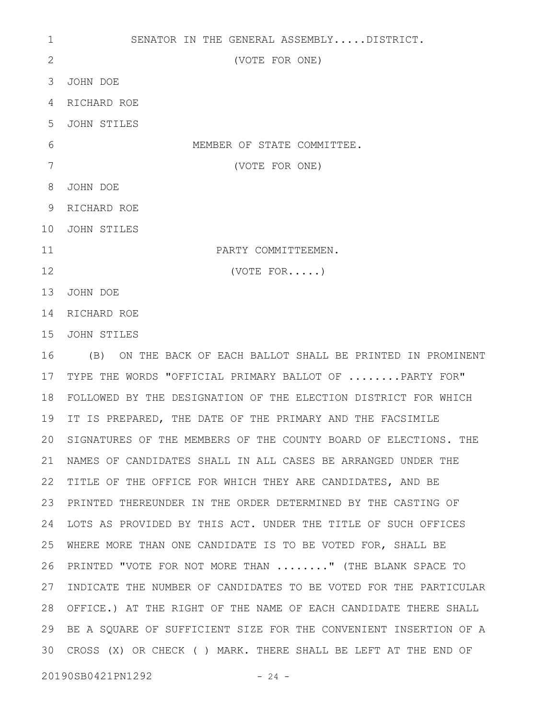SENATOR IN THE GENERAL ASSEMBLY.....DISTRICT. (VOTE FOR ONE) JOHN DOE 3 RICHARD ROE 4 JOHN STILES MEMBER OF STATE COMMITTEE. (VOTE FOR ONE) JOHN DOE 8 RICHARD ROE 9 JOHN STILES 10 PARTY COMMITTEEMEN. (VOTE FOR.....) 13 JOHN DOE 14 RICHARD ROE 15 JOHN STILES (B) ON THE BACK OF EACH BALLOT SHALL BE PRINTED IN PROMINENT TYPE THE WORDS "OFFICIAL PRIMARY BALLOT OF ........PARTY FOR" FOLLOWED BY THE DESIGNATION OF THE ELECTION DISTRICT FOR WHICH 18 19 IT IS PREPARED, THE DATE OF THE PRIMARY AND THE FACSIMILE 20 SIGNATURES OF THE MEMBERS OF THE COUNTY BOARD OF ELECTIONS. THE NAMES OF CANDIDATES SHALL IN ALL CASES BE ARRANGED UNDER THE 21 22 TITLE OF THE OFFICE FOR WHICH THEY ARE CANDIDATES, AND BE PRINTED THEREUNDER IN THE ORDER DETERMINED BY THE CASTING OF 23 LOTS AS PROVIDED BY THIS ACT. UNDER THE TITLE OF SUCH OFFICES 24 WHERE MORE THAN ONE CANDIDATE IS TO BE VOTED FOR, SHALL BE 26 PRINTED "VOTE FOR NOT MORE THAN ........" (THE BLANK SPACE TO 27 INDICATE THE NUMBER OF CANDIDATES TO BE VOTED FOR THE PARTICULAR OFFICE.) AT THE RIGHT OF THE NAME OF EACH CANDIDATE THERE SHALL 28 29 BE A SQUARE OF SUFFICIENT SIZE FOR THE CONVENIENT INSERTION OF A CROSS (X) OR CHECK ( ) MARK. THERE SHALL BE LEFT AT THE END OF 3020190SB0421PN1292 - 24 -1 2 5 6 7 11 12 16 17 25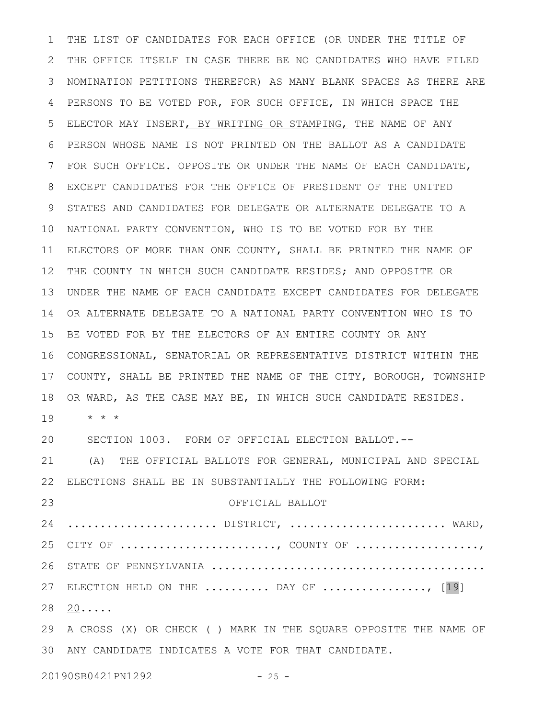THE LIST OF CANDIDATES FOR EACH OFFICE (OR UNDER THE TITLE OF THE OFFICE ITSELF IN CASE THERE BE NO CANDIDATES WHO HAVE FILED NOMINATION PETITIONS THEREFOR) AS MANY BLANK SPACES AS THERE ARE PERSONS TO BE VOTED FOR, FOR SUCH OFFICE, IN WHICH SPACE THE ELECTOR MAY INSERT, BY WRITING OR STAMPING, THE NAME OF ANY PERSON WHOSE NAME IS NOT PRINTED ON THE BALLOT AS A CANDIDATE FOR SUCH OFFICE. OPPOSITE OR UNDER THE NAME OF EACH CANDIDATE, EXCEPT CANDIDATES FOR THE OFFICE OF PRESIDENT OF THE UNITED STATES AND CANDIDATES FOR DELEGATE OR ALTERNATE DELEGATE TO A NATIONAL PARTY CONVENTION, WHO IS TO BE VOTED FOR BY THE ELECTORS OF MORE THAN ONE COUNTY, SHALL BE PRINTED THE NAME OF THE COUNTY IN WHICH SUCH CANDIDATE RESIDES; AND OPPOSITE OR UNDER THE NAME OF EACH CANDIDATE EXCEPT CANDIDATES FOR DELEGATE OR ALTERNATE DELEGATE TO A NATIONAL PARTY CONVENTION WHO IS TO BE VOTED FOR BY THE ELECTORS OF AN ENTIRE COUNTY OR ANY CONGRESSIONAL, SENATORIAL OR REPRESENTATIVE DISTRICT WITHIN THE COUNTY, SHALL BE PRINTED THE NAME OF THE CITY, BOROUGH, TOWNSHIP OR WARD, AS THE CASE MAY BE, IN WHICH SUCH CANDIDATE RESIDES. \* \* \* SECTION 1003. FORM OF OFFICIAL ELECTION BALLOT.-- (A) THE OFFICIAL BALLOTS FOR GENERAL, MUNICIPAL AND SPECIAL ELECTIONS SHALL BE IN SUBSTANTIALLY THE FOLLOWING FORM: OFFICIAL BALLOT 24 ...........................DISTRICT, ........................... WARD, CITY OF ........................, COUNTY OF ...................., STATE OF PENNSYLVANIA .......................................... 27 ELECTION HELD ON THE ......... DAY OF ................, [19] 28 <u>20</u>..... A CROSS (X) OR CHECK ( ) MARK IN THE SQUARE OPPOSITE THE NAME OF ANY CANDIDATE INDICATES A VOTE FOR THAT CANDIDATE. 301 2 3 4 5 6 7 8 9 10 11 12 13 14 15 16 17 18 19 20 21 22 23 25 26 29

20190SB0421PN1292 - 25 -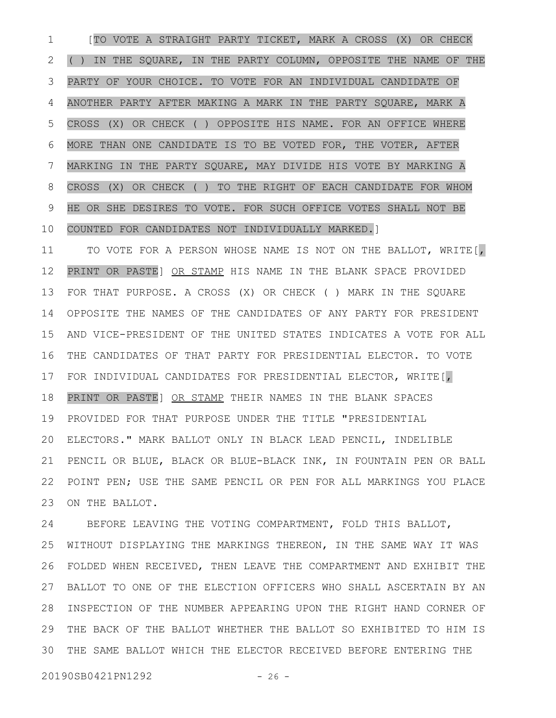[TO VOTE A STRAIGHT PARTY TICKET, MARK A CROSS (X) OR CHECK ( ) IN THE SQUARE, IN THE PARTY COLUMN, OPPOSITE THE NAME OF THE PARTY OF YOUR CHOICE. TO VOTE FOR AN INDIVIDUAL CANDIDATE OF ANOTHER PARTY AFTER MAKING A MARK IN THE PARTY SQUARE, MARK A CROSS (X) OR CHECK ( ) OPPOSITE HIS NAME. FOR AN OFFICE WHERE MORE THAN ONE CANDIDATE IS TO BE VOTED FOR, THE VOTER, AFTER MARKING IN THE PARTY SQUARE, MAY DIVIDE HIS VOTE BY MARKING A CROSS (X) OR CHECK ( ) TO THE RIGHT OF EACH CANDIDATE FOR WHOM HE OR SHE DESIRES TO VOTE. FOR SUCH OFFICE VOTES SHALL NOT BE COUNTED FOR CANDIDATES NOT INDIVIDUALLY MARKED.] 1 2 3 4 5 6 7 8 9 10

TO VOTE FOR A PERSON WHOSE NAME IS NOT ON THE BALLOT, WRITE[, PRINT OR PASTE] OR STAMP HIS NAME IN THE BLANK SPACE PROVIDED FOR THAT PURPOSE. A CROSS (X) OR CHECK ( ) MARK IN THE SQUARE OPPOSITE THE NAMES OF THE CANDIDATES OF ANY PARTY FOR PRESIDENT AND VICE-PRESIDENT OF THE UNITED STATES INDICATES A VOTE FOR ALL THE CANDIDATES OF THAT PARTY FOR PRESIDENTIAL ELECTOR. TO VOTE FOR INDIVIDUAL CANDIDATES FOR PRESIDENTIAL ELECTOR, WRITE[, PRINT OR PASTE] OR STAMP THEIR NAMES IN THE BLANK SPACES PROVIDED FOR THAT PURPOSE UNDER THE TITLE "PRESIDENTIAL ELECTORS." MARK BALLOT ONLY IN BLACK LEAD PENCIL, INDELIBLE PENCIL OR BLUE, BLACK OR BLUE-BLACK INK, IN FOUNTAIN PEN OR BALL POINT PEN; USE THE SAME PENCIL OR PEN FOR ALL MARKINGS YOU PLACE ON THE BALLOT. 11 12 13 14 15 16 17 18 19 20 21 22 23

BEFORE LEAVING THE VOTING COMPARTMENT, FOLD THIS BALLOT, WITHOUT DISPLAYING THE MARKINGS THEREON, IN THE SAME WAY IT WAS FOLDED WHEN RECEIVED, THEN LEAVE THE COMPARTMENT AND EXHIBIT THE BALLOT TO ONE OF THE ELECTION OFFICERS WHO SHALL ASCERTAIN BY AN 28 INSPECTION OF THE NUMBER APPEARING UPON THE RIGHT HAND CORNER OF THE BACK OF THE BALLOT WHETHER THE BALLOT SO EXHIBITED TO HIM IS THE SAME BALLOT WHICH THE ELECTOR RECEIVED BEFORE ENTERING THE 3024 25 26 27 29

20190SB0421PN1292 - 26 -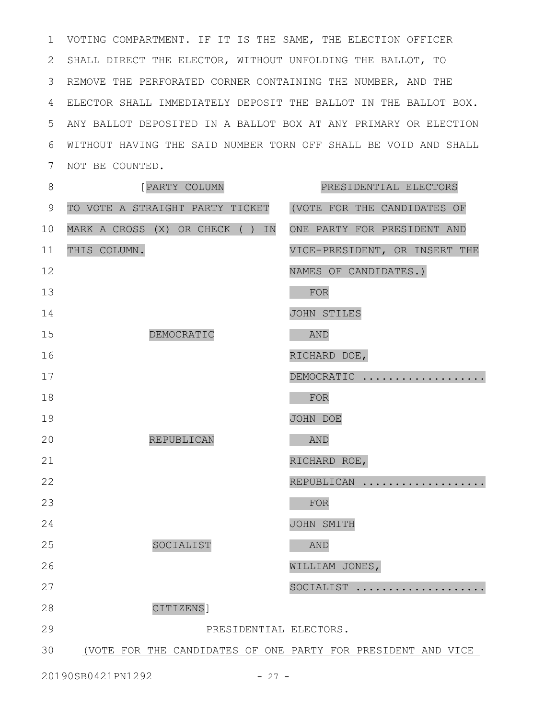VOTING COMPARTMENT. IF IT IS THE SAME, THE ELECTION OFFICER 1 2 SHALL DIRECT THE ELECTOR, WITHOUT UNFOLDING THE BALLOT, TO 3 REMOVE THE PERFORATED CORNER CONTAINING THE NUMBER, AND THE ELECTOR SHALL IMMEDIATELY DEPOSIT THE BALLOT IN THE BALLOT BOX. 4 ANY BALLOT DEPOSITED IN A BALLOT BOX AT ANY PRIMARY OR ELECTION 5 WITHOUT HAVING THE SAID NUMBER TORN OFF SHALL BE VOID AND SHALL 6 7 NOT BE COUNTED.

| $8\,$          | [PARTY COLUMN                                                | PRESIDENTIAL ELECTORS         |
|----------------|--------------------------------------------------------------|-------------------------------|
| $\overline{9}$ | TO VOTE A STRAIGHT PARTY TICKET                              | (VOTE FOR THE CANDIDATES OF   |
| 10             | MARK A CROSS (X) OR CHECK ( ) IN                             | ONE PARTY FOR PRESIDENT AND   |
| 11             | THIS COLUMN.                                                 | VICE-PRESIDENT, OR INSERT THE |
| 12             |                                                              | NAMES OF CANDIDATES.)         |
| 13             |                                                              | FOR                           |
| 14             |                                                              | JOHN STILES                   |
| 15             | DEMOCRATIC                                                   | <b>AND</b>                    |
| 16             |                                                              | RICHARD DOE,                  |
| 17             |                                                              | DEMOCRATIC                    |
| 18             |                                                              | FOR                           |
| 19             |                                                              | JOHN DOE                      |
| 20             | REPUBLICAN                                                   | <b>AND</b>                    |
| 21             |                                                              | RICHARD ROE,                  |
| 22             |                                                              | REPUBLICAN                    |
| 23             |                                                              | FOR                           |
| 24             |                                                              | JOHN SMITH                    |
| 25             | SOCIALIST                                                    | <b>AND</b>                    |
| 26             |                                                              | WILLIAM JONES,                |
| 27             |                                                              | SOCIALIST                     |
| 28             | CITIZENS]                                                    |                               |
| 29             | PRESIDENTIAL ELECTORS.                                       |                               |
| 30             | (VOTE FOR THE CANDIDATES OF ONE PARTY FOR PRESIDENT AND VICE |                               |
|                |                                                              |                               |

20190SB0421PN1292 - 27 -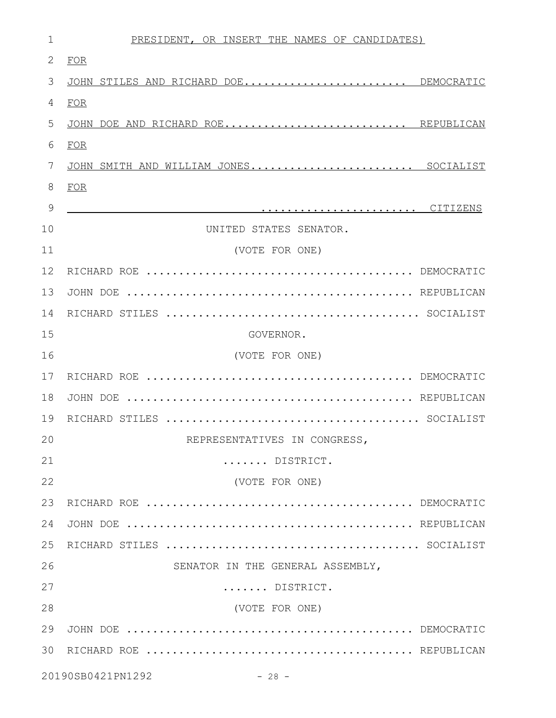| $\mathbf 1$  | PRESIDENT, OR INSERT THE NAMES OF CANDIDATES) |
|--------------|-----------------------------------------------|
| $\mathbf{2}$ | FOR                                           |
| 3            | JOHN STILES AND RICHARD DOE DEMOCRATIC        |
| 4            | <b>FOR</b>                                    |
| 5            | DOE AND RICHARD ROE REPUBLICAN<br>JOHN        |
| 6            | FOR                                           |
| 7            | SMITH AND WILLIAM JONES SOCIALIST<br>JOHN     |
| $8\,$        | <b>FOR</b>                                    |
| 9            |                                               |
| 10           | UNITED STATES SENATOR.                        |
| 11           | (VOTE FOR ONE)                                |
| 12           |                                               |
| 13           |                                               |
| 14           |                                               |
| 15           | GOVERNOR.                                     |
| 16           | (VOTE FOR ONE)                                |
| 17           |                                               |
| 18           |                                               |
| 19           |                                               |
| 20           | REPRESENTATIVES IN CONGRESS,                  |
| 21           | DISTRICT.                                     |
| 22           | (VOTE FOR ONE)                                |
| 23           |                                               |
| 24           |                                               |
| 25           |                                               |
| 26           | SENATOR IN THE GENERAL ASSEMBLY,              |
| 27           | DISTRICT.                                     |
| 28           | (VOTE FOR ONE)                                |
| 29           |                                               |
| 30           |                                               |
|              | 20190SB0421PN1292<br>$-28 -$                  |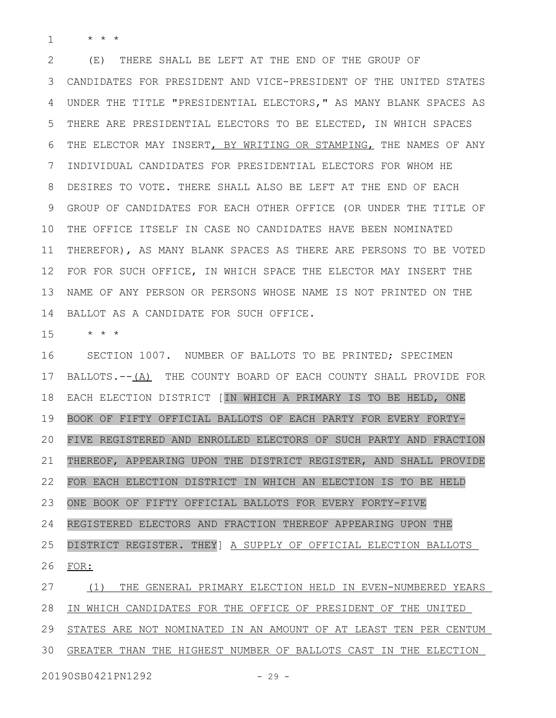\* \* \* 1

(E) THERE SHALL BE LEFT AT THE END OF THE GROUP OF CANDIDATES FOR PRESIDENT AND VICE-PRESIDENT OF THE UNITED STATES UNDER THE TITLE "PRESIDENTIAL ELECTORS," AS MANY BLANK SPACES AS THERE ARE PRESIDENTIAL ELECTORS TO BE ELECTED, IN WHICH SPACES THE ELECTOR MAY INSERT, BY WRITING OR STAMPING, THE NAMES OF ANY INDIVIDUAL CANDIDATES FOR PRESIDENTIAL ELECTORS FOR WHOM HE DESIRES TO VOTE. THERE SHALL ALSO BE LEFT AT THE END OF EACH GROUP OF CANDIDATES FOR EACH OTHER OFFICE (OR UNDER THE TITLE OF THE OFFICE ITSELF IN CASE NO CANDIDATES HAVE BEEN NOMINATED THEREFOR), AS MANY BLANK SPACES AS THERE ARE PERSONS TO BE VOTED FOR FOR SUCH OFFICE, IN WHICH SPACE THE ELECTOR MAY INSERT THE NAME OF ANY PERSON OR PERSONS WHOSE NAME IS NOT PRINTED ON THE BALLOT AS A CANDIDATE FOR SUCH OFFICE. 2 3 4 5 6 7 8 9 10 11 12 13 14

\* \* \* 15

SECTION 1007. NUMBER OF BALLOTS TO BE PRINTED; SPECIMEN BALLOTS.--(A) THE COUNTY BOARD OF EACH COUNTY SHALL PROVIDE FOR EACH ELECTION DISTRICT [IN WHICH A PRIMARY IS TO BE HELD, ONE BOOK OF FIFTY OFFICIAL BALLOTS OF EACH PARTY FOR EVERY FORTY-FIVE REGISTERED AND ENROLLED ELECTORS OF SUCH PARTY AND FRACTION THEREOF, APPEARING UPON THE DISTRICT REGISTER, AND SHALL PROVIDE FOR EACH ELECTION DISTRICT IN WHICH AN ELECTION IS TO BE HELD ONE BOOK OF FIFTY OFFICIAL BALLOTS FOR EVERY FORTY-FIVE REGISTERED ELECTORS AND FRACTION THEREOF APPEARING UPON THE DISTRICT REGISTER. THEY] A SUPPLY OF OFFICIAL ELECTION BALLOTS FOR: 16 17 18 19 20 21 22 23 24 25 26

(1) THE GENERAL PRIMARY ELECTION HELD IN EVEN-NUMBERED YEARS IN WHICH CANDIDATES FOR THE OFFICE OF PRESIDENT OF THE UNITED STATES ARE NOT NOMINATED IN AN AMOUNT OF AT LEAST TEN PER CENTUM GREATER THAN THE HIGHEST NUMBER OF BALLOTS CAST IN THE ELECTION 27 28 29 30

20190SB0421PN1292 - 29 -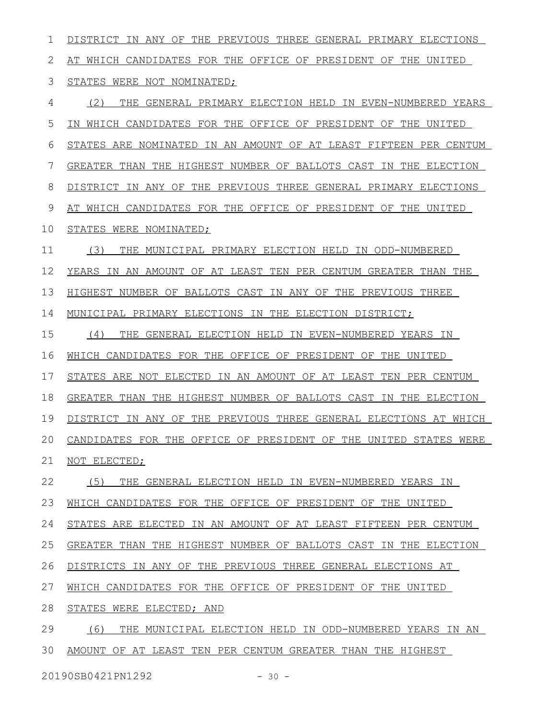DISTRICT IN ANY OF THE PREVIOUS THREE GENERAL PRIMARY ELECTIONS AT WHICH CANDIDATES FOR THE OFFICE OF PRESIDENT OF THE UNITED STATES WERE NOT NOMINATED; (2) THE GENERAL PRIMARY ELECTION HELD IN EVEN-NUMBERED YEARS IN WHICH CANDIDATES FOR THE OFFICE OF PRESIDENT OF THE UNITED STATES ARE NOMINATED IN AN AMOUNT OF AT LEAST FIFTEEN PER CENTUM GREATER THAN THE HIGHEST NUMBER OF BALLOTS CAST IN THE ELECTION DISTRICT IN ANY OF THE PREVIOUS THREE GENERAL PRIMARY ELECTIONS AT WHICH CANDIDATES FOR THE OFFICE OF PRESIDENT OF THE UNITED STATES WERE NOMINATED; (3) THE MUNICIPAL PRIMARY ELECTION HELD IN ODD-NUMBERED YEARS IN AN AMOUNT OF AT LEAST TEN PER CENTUM GREATER THAN THE HIGHEST NUMBER OF BALLOTS CAST IN ANY OF THE PREVIOUS THREE MUNICIPAL PRIMARY ELECTIONS IN THE ELECTION DISTRICT; (4) THE GENERAL ELECTION HELD IN EVEN-NUMBERED YEARS IN WHICH CANDIDATES FOR THE OFFICE OF PRESIDENT OF THE UNITED STATES ARE NOT ELECTED IN AN AMOUNT OF AT LEAST TEN PER CENTUM GREATER THAN THE HIGHEST NUMBER OF BALLOTS CAST IN THE ELECTION DISTRICT IN ANY OF THE PREVIOUS THREE GENERAL ELECTIONS AT WHICH CANDIDATES FOR THE OFFICE OF PRESIDENT OF THE UNITED STATES WERE NOT ELECTED; (5) THE GENERAL ELECTION HELD IN EVEN-NUMBERED YEARS IN WHICH CANDIDATES FOR THE OFFICE OF PRESIDENT OF THE UNITED STATES ARE ELECTED IN AN AMOUNT OF AT LEAST FIFTEEN PER CENTUM GREATER THAN THE HIGHEST NUMBER OF BALLOTS CAST IN THE ELECTION DISTRICTS IN ANY OF THE PREVIOUS THREE GENERAL ELECTIONS AT WHICH CANDIDATES FOR THE OFFICE OF PRESIDENT OF THE UNITED STATES WERE ELECTED; AND (6) THE MUNICIPAL ELECTION HELD IN ODD-NUMBERED YEARS IN AN AMOUNT OF AT LEAST TEN PER CENTUM GREATER THAN THE HIGHEST 1 2 3 4 5 6 7 8 9 10 11 12 13 14 15 16 17 18 19 20 21 22 23 24 25 26 27 28 29 30

20190SB0421PN1292 - 30 -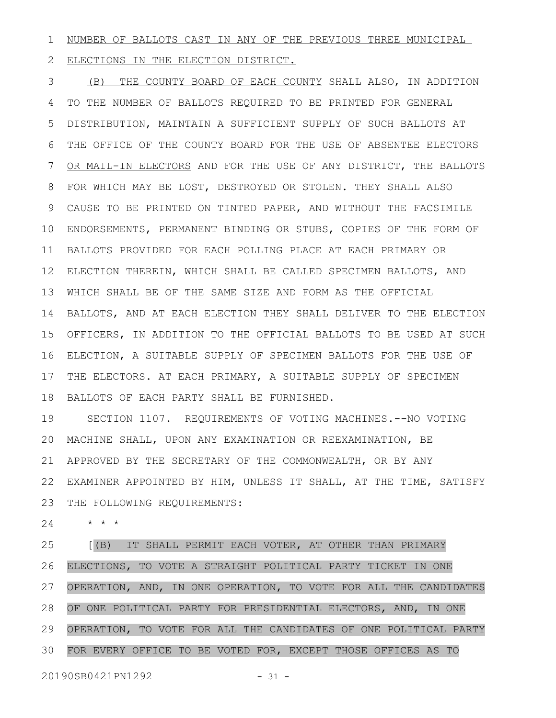NUMBER OF BALLOTS CAST IN ANY OF THE PREVIOUS THREE MUNICIPAL 1

ELECTIONS IN THE ELECTION DISTRICT. 2

(B) THE COUNTY BOARD OF EACH COUNTY SHALL ALSO, IN ADDITION TO THE NUMBER OF BALLOTS REQUIRED TO BE PRINTED FOR GENERAL DISTRIBUTION, MAINTAIN A SUFFICIENT SUPPLY OF SUCH BALLOTS AT THE OFFICE OF THE COUNTY BOARD FOR THE USE OF ABSENTEE ELECTORS OR MAIL-IN ELECTORS AND FOR THE USE OF ANY DISTRICT, THE BALLOTS FOR WHICH MAY BE LOST, DESTROYED OR STOLEN. THEY SHALL ALSO CAUSE TO BE PRINTED ON TINTED PAPER, AND WITHOUT THE FACSIMILE ENDORSEMENTS, PERMANENT BINDING OR STUBS, COPIES OF THE FORM OF BALLOTS PROVIDED FOR EACH POLLING PLACE AT EACH PRIMARY OR ELECTION THEREIN, WHICH SHALL BE CALLED SPECIMEN BALLOTS, AND WHICH SHALL BE OF THE SAME SIZE AND FORM AS THE OFFICIAL BALLOTS, AND AT EACH ELECTION THEY SHALL DELIVER TO THE ELECTION OFFICERS, IN ADDITION TO THE OFFICIAL BALLOTS TO BE USED AT SUCH ELECTION, A SUITABLE SUPPLY OF SPECIMEN BALLOTS FOR THE USE OF THE ELECTORS. AT EACH PRIMARY, A SUITABLE SUPPLY OF SPECIMEN BALLOTS OF EACH PARTY SHALL BE FURNISHED. 3 4 5 6 7 8 9 10 11 12 13 14 15 16 17 18

SECTION 1107. REQUIREMENTS OF VOTING MACHINES.--NO VOTING MACHINE SHALL, UPON ANY EXAMINATION OR REEXAMINATION, BE APPROVED BY THE SECRETARY OF THE COMMONWEALTH, OR BY ANY EXAMINER APPOINTED BY HIM, UNLESS IT SHALL, AT THE TIME, SATISFY 22 THE FOLLOWING REQUIREMENTS: 19 20 21 23

\* \* \* 24

[(B) IT SHALL PERMIT EACH VOTER, AT OTHER THAN PRIMARY ELECTIONS, TO VOTE A STRAIGHT POLITICAL PARTY TICKET IN ONE OPERATION, AND, IN ONE OPERATION, TO VOTE FOR ALL THE CANDIDATES OF ONE POLITICAL PARTY FOR PRESIDENTIAL ELECTORS, AND, IN ONE OPERATION, TO VOTE FOR ALL THE CANDIDATES OF ONE POLITICAL PARTY FOR EVERY OFFICE TO BE VOTED FOR, EXCEPT THOSE OFFICES AS TO 25 26 27 28 29 30

20190SB0421PN1292 - 31 -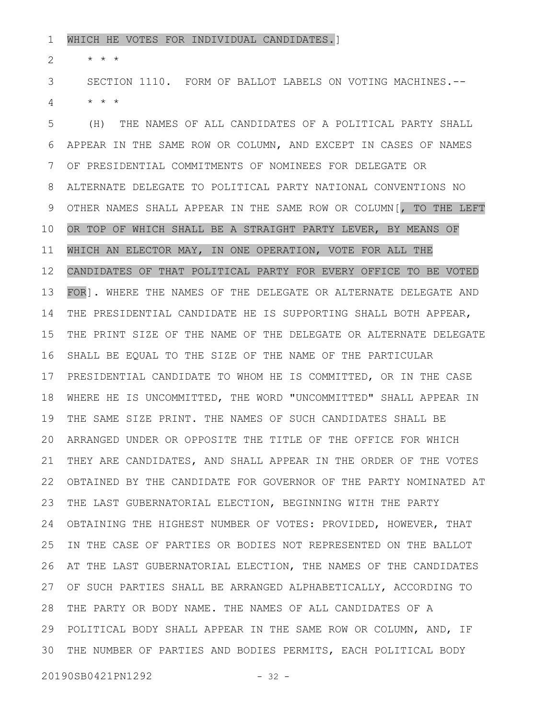WHICH HE VOTES FOR INDIVIDUAL CANDIDATES.] 1

\* \* \* 2

SECTION 1110. FORM OF BALLOT LABELS ON VOTING MACHINES.-- \* \* \* 3 4

(H) THE NAMES OF ALL CANDIDATES OF A POLITICAL PARTY SHALL APPEAR IN THE SAME ROW OR COLUMN, AND EXCEPT IN CASES OF NAMES OF PRESIDENTIAL COMMITMENTS OF NOMINEES FOR DELEGATE OR ALTERNATE DELEGATE TO POLITICAL PARTY NATIONAL CONVENTIONS NO OTHER NAMES SHALL APPEAR IN THE SAME ROW OR COLUMN[, TO THE LEFT OR TOP OF WHICH SHALL BE A STRAIGHT PARTY LEVER, BY MEANS OF WHICH AN ELECTOR MAY, IN ONE OPERATION, VOTE FOR ALL THE CANDIDATES OF THAT POLITICAL PARTY FOR EVERY OFFICE TO BE VOTED FOR]. WHERE THE NAMES OF THE DELEGATE OR ALTERNATE DELEGATE AND THE PRESIDENTIAL CANDIDATE HE IS SUPPORTING SHALL BOTH APPEAR, THE PRINT SIZE OF THE NAME OF THE DELEGATE OR ALTERNATE DELEGATE SHALL BE EQUAL TO THE SIZE OF THE NAME OF THE PARTICULAR PRESIDENTIAL CANDIDATE TO WHOM HE IS COMMITTED, OR IN THE CASE WHERE HE IS UNCOMMITTED, THE WORD "UNCOMMITTED" SHALL APPEAR IN THE SAME SIZE PRINT. THE NAMES OF SUCH CANDIDATES SHALL BE ARRANGED UNDER OR OPPOSITE THE TITLE OF THE OFFICE FOR WHICH THEY ARE CANDIDATES, AND SHALL APPEAR IN THE ORDER OF THE VOTES OBTAINED BY THE CANDIDATE FOR GOVERNOR OF THE PARTY NOMINATED AT THE LAST GUBERNATORIAL ELECTION, BEGINNING WITH THE PARTY OBTAINING THE HIGHEST NUMBER OF VOTES: PROVIDED, HOWEVER, THAT IN THE CASE OF PARTIES OR BODIES NOT REPRESENTED ON THE BALLOT AT THE LAST GUBERNATORIAL ELECTION, THE NAMES OF THE CANDIDATES OF SUCH PARTIES SHALL BE ARRANGED ALPHABETICALLY, ACCORDING TO 27 THE PARTY OR BODY NAME. THE NAMES OF ALL CANDIDATES OF A 28 POLITICAL BODY SHALL APPEAR IN THE SAME ROW OR COLUMN, AND, IF 29 THE NUMBER OF PARTIES AND BODIES PERMITS, EACH POLITICAL BODY 305 6 7 8 9 10 11 12 13 14 15 16 17 18 19 20 21 22 23 24 25 26

20190SB0421PN1292 - 32 -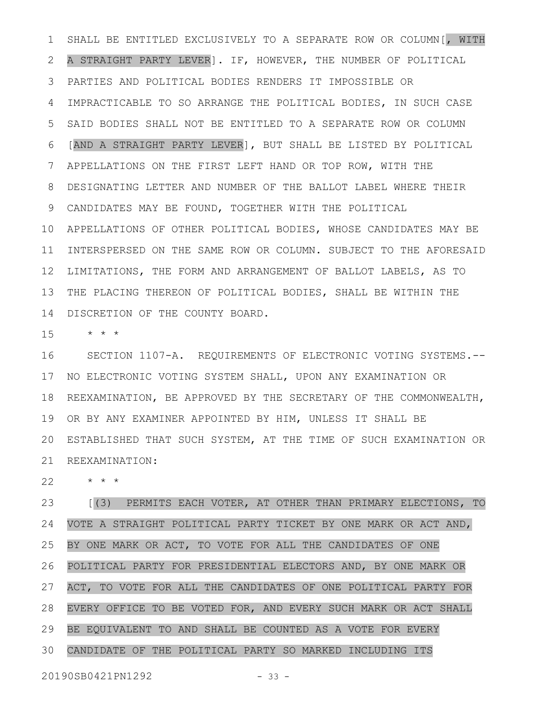SHALL BE ENTITLED EXCLUSIVELY TO A SEPARATE ROW OR COLUMN[, WITH A STRAIGHT PARTY LEVER]. IF, HOWEVER, THE NUMBER OF POLITICAL PARTIES AND POLITICAL BODIES RENDERS IT IMPOSSIBLE OR IMPRACTICABLE TO SO ARRANGE THE POLITICAL BODIES, IN SUCH CASE SAID BODIES SHALL NOT BE ENTITLED TO A SEPARATE ROW OR COLUMN [AND A STRAIGHT PARTY LEVER], BUT SHALL BE LISTED BY POLITICAL APPELLATIONS ON THE FIRST LEFT HAND OR TOP ROW, WITH THE DESIGNATING LETTER AND NUMBER OF THE BALLOT LABEL WHERE THEIR CANDIDATES MAY BE FOUND, TOGETHER WITH THE POLITICAL 10 APPELLATIONS OF OTHER POLITICAL BODIES, WHOSE CANDIDATES MAY BE 11 INTERSPERSED ON THE SAME ROW OR COLUMN. SUBJECT TO THE AFORESAID LIMITATIONS, THE FORM AND ARRANGEMENT OF BALLOT LABELS, AS TO THE PLACING THEREON OF POLITICAL BODIES, SHALL BE WITHIN THE DISCRETION OF THE COUNTY BOARD. 1 2 3 4 5 6 7 8 9 12 13 14

\* \* \* 15

SECTION 1107-A. REQUIREMENTS OF ELECTRONIC VOTING SYSTEMS.-- 17 NO ELECTRONIC VOTING SYSTEM SHALL, UPON ANY EXAMINATION OR 18 REEXAMINATION, BE APPROVED BY THE SECRETARY OF THE COMMONWEALTH, 19 OR BY ANY EXAMINER APPOINTED BY HIM, UNLESS IT SHALL BE ESTABLISHED THAT SUCH SYSTEM, AT THE TIME OF SUCH EXAMINATION OR 20 21 REEXAMINATION: 16

\* \* \* 22

[(3) PERMITS EACH VOTER, AT OTHER THAN PRIMARY ELECTIONS, TO VOTE A STRAIGHT POLITICAL PARTY TICKET BY ONE MARK OR ACT AND, BY ONE MARK OR ACT, TO VOTE FOR ALL THE CANDIDATES OF ONE POLITICAL PARTY FOR PRESIDENTIAL ELECTORS AND, BY ONE MARK OR ACT, TO VOTE FOR ALL THE CANDIDATES OF ONE POLITICAL PARTY FOR EVERY OFFICE TO BE VOTED FOR, AND EVERY SUCH MARK OR ACT SHALL BE EQUIVALENT TO AND SHALL BE COUNTED AS A VOTE FOR EVERY CANDIDATE OF THE POLITICAL PARTY SO MARKED INCLUDING ITS 23 24 25 26 27 28 29 30

20190SB0421PN1292 - 33 -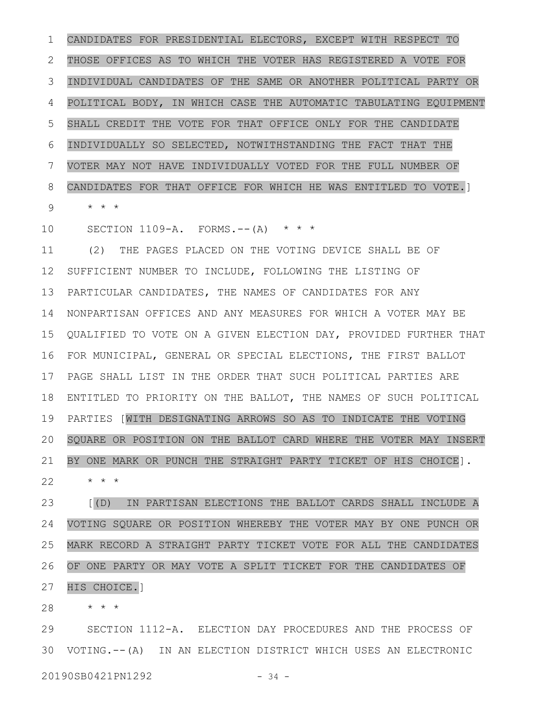CANDIDATES FOR PRESIDENTIAL ELECTORS, EXCEPT WITH RESPECT TO THOSE OFFICES AS TO WHICH THE VOTER HAS REGISTERED A VOTE FOR INDIVIDUAL CANDIDATES OF THE SAME OR ANOTHER POLITICAL PARTY OR POLITICAL BODY, IN WHICH CASE THE AUTOMATIC TABULATING EQUIPMENT SHALL CREDIT THE VOTE FOR THAT OFFICE ONLY FOR THE CANDIDATE INDIVIDUALLY SO SELECTED, NOTWITHSTANDING THE FACT THAT THE VOTER MAY NOT HAVE INDIVIDUALLY VOTED FOR THE FULL NUMBER OF CANDIDATES FOR THAT OFFICE FOR WHICH HE WAS ENTITLED TO VOTE.] \* \* \* 1 2 3 4 5 6 7 8 9

SECTION  $1109-A.$  FORMS.--(A) \* \* \* 10

(2) THE PAGES PLACED ON THE VOTING DEVICE SHALL BE OF SUFFICIENT NUMBER TO INCLUDE, FOLLOWING THE LISTING OF PARTICULAR CANDIDATES, THE NAMES OF CANDIDATES FOR ANY NONPARTISAN OFFICES AND ANY MEASURES FOR WHICH A VOTER MAY BE QUALIFIED TO VOTE ON A GIVEN ELECTION DAY, PROVIDED FURTHER THAT FOR MUNICIPAL, GENERAL OR SPECIAL ELECTIONS, THE FIRST BALLOT PAGE SHALL LIST IN THE ORDER THAT SUCH POLITICAL PARTIES ARE ENTITLED TO PRIORITY ON THE BALLOT, THE NAMES OF SUCH POLITICAL PARTIES [WITH DESIGNATING ARROWS SO AS TO INDICATE THE VOTING SQUARE OR POSITION ON THE BALLOT CARD WHERE THE VOTER MAY INSERT BY ONE MARK OR PUNCH THE STRAIGHT PARTY TICKET OF HIS CHOICE]. 11 12 13 14 15 16 17 18 19 20 21

\* \* \* 22

[(D) IN PARTISAN ELECTIONS THE BALLOT CARDS SHALL INCLUDE A VOTING SQUARE OR POSITION WHEREBY THE VOTER MAY BY ONE PUNCH OR MARK RECORD A STRAIGHT PARTY TICKET VOTE FOR ALL THE CANDIDATES OF ONE PARTY OR MAY VOTE A SPLIT TICKET FOR THE CANDIDATES OF HIS CHOICE.] 23 24 25 26 27

\* \* \* 28

SECTION 1112-A. ELECTION DAY PROCEDURES AND THE PROCESS OF VOTING.--(A) IN AN ELECTION DISTRICT WHICH USES AN ELECTRONIC 3020190SB0421PN1292 - 34 -29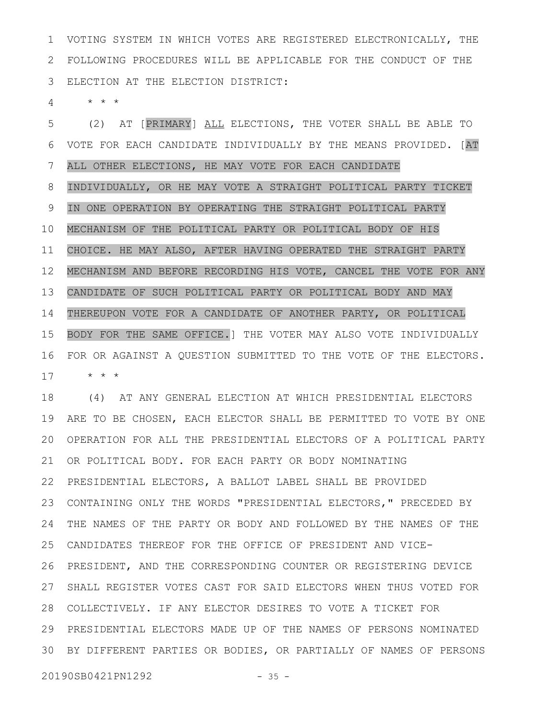VOTING SYSTEM IN WHICH VOTES ARE REGISTERED ELECTRONICALLY, THE FOLLOWING PROCEDURES WILL BE APPLICABLE FOR THE CONDUCT OF THE ELECTION AT THE ELECTION DISTRICT: 1 2 3

\* \* \* 4

(2) AT [PRIMARY] ALL ELECTIONS, THE VOTER SHALL BE ABLE TO VOTE FOR EACH CANDIDATE INDIVIDUALLY BY THE MEANS PROVIDED. [AT ALL OTHER ELECTIONS, HE MAY VOTE FOR EACH CANDIDATE INDIVIDUALLY, OR HE MAY VOTE A STRAIGHT POLITICAL PARTY TICKET IN ONE OPERATION BY OPERATING THE STRAIGHT POLITICAL PARTY MECHANISM OF THE POLITICAL PARTY OR POLITICAL BODY OF HIS CHOICE. HE MAY ALSO, AFTER HAVING OPERATED THE STRAIGHT PARTY MECHANISM AND BEFORE RECORDING HIS VOTE, CANCEL THE VOTE FOR ANY CANDIDATE OF SUCH POLITICAL PARTY OR POLITICAL BODY AND MAY THEREUPON VOTE FOR A CANDIDATE OF ANOTHER PARTY, OR POLITICAL BODY FOR THE SAME OFFICE.] THE VOTER MAY ALSO VOTE INDIVIDUALLY FOR OR AGAINST A QUESTION SUBMITTED TO THE VOTE OF THE ELECTORS. \* \* \* 5 6 7 8 9 10 11 12 13 14 15 16 17

(4) AT ANY GENERAL ELECTION AT WHICH PRESIDENTIAL ELECTORS ARE TO BE CHOSEN, EACH ELECTOR SHALL BE PERMITTED TO VOTE BY ONE OPERATION FOR ALL THE PRESIDENTIAL ELECTORS OF A POLITICAL PARTY 21 OR POLITICAL BODY. FOR EACH PARTY OR BODY NOMINATING PRESIDENTIAL ELECTORS, A BALLOT LABEL SHALL BE PROVIDED 22 CONTAINING ONLY THE WORDS "PRESIDENTIAL ELECTORS," PRECEDED BY THE NAMES OF THE PARTY OR BODY AND FOLLOWED BY THE NAMES OF THE CANDIDATES THEREOF FOR THE OFFICE OF PRESIDENT AND VICE-PRESIDENT, AND THE CORRESPONDING COUNTER OR REGISTERING DEVICE 27 SHALL REGISTER VOTES CAST FOR SAID ELECTORS WHEN THUS VOTED FOR COLLECTIVELY. IF ANY ELECTOR DESIRES TO VOTE A TICKET FOR 28 PRESIDENTIAL ELECTORS MADE UP OF THE NAMES OF PERSONS NOMINATED 29 BY DIFFERENT PARTIES OR BODIES, OR PARTIALLY OF NAMES OF PERSONS 3018 19 20 23 24 25 26

20190SB0421PN1292 - 35 -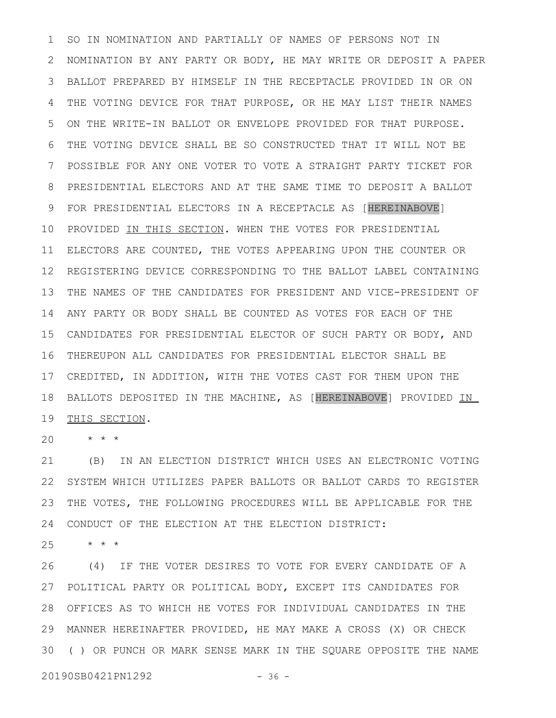SO IN NOMINATION AND PARTIALLY OF NAMES OF PERSONS NOT IN NOMINATION BY ANY PARTY OR BODY, HE MAY WRITE OR DEPOSIT A PAPER BALLOT PREPARED BY HIMSELF IN THE RECEPTACLE PROVIDED IN OR ON THE VOTING DEVICE FOR THAT PURPOSE, OR HE MAY LIST THEIR NAMES ON THE WRITE-IN BALLOT OR ENVELOPE PROVIDED FOR THAT PURPOSE. THE VOTING DEVICE SHALL BE SO CONSTRUCTED THAT IT WILL NOT BE POSSIBLE FOR ANY ONE VOTER TO VOTE A STRAIGHT PARTY TICKET FOR PRESIDENTIAL ELECTORS AND AT THE SAME TIME TO DEPOSIT A BALLOT FOR PRESIDENTIAL ELECTORS IN A RECEPTACLE AS [HEREINABOVE] PROVIDED IN THIS SECTION. WHEN THE VOTES FOR PRESIDENTIAL ELECTORS ARE COUNTED, THE VOTES APPEARING UPON THE COUNTER OR REGISTERING DEVICE CORRESPONDING TO THE BALLOT LABEL CONTAINING THE NAMES OF THE CANDIDATES FOR PRESIDENT AND VICE-PRESIDENT OF ANY PARTY OR BODY SHALL BE COUNTED AS VOTES FOR EACH OF THE CANDIDATES FOR PRESIDENTIAL ELECTOR OF SUCH PARTY OR BODY, AND THEREUPON ALL CANDIDATES FOR PRESIDENTIAL ELECTOR SHALL BE 17 CREDITED, IN ADDITION, WITH THE VOTES CAST FOR THEM UPON THE BALLOTS DEPOSITED IN THE MACHINE, AS [HEREINABOVE] PROVIDED IN THIS SECTION. 1 2 3 4 5 6 7 8 9 10 11 12 13 14 15 16 18 19

\* \* \* 20

(B) IN AN ELECTION DISTRICT WHICH USES AN ELECTRONIC VOTING SYSTEM WHICH UTILIZES PAPER BALLOTS OR BALLOT CARDS TO REGISTER THE VOTES, THE FOLLOWING PROCEDURES WILL BE APPLICABLE FOR THE CONDUCT OF THE ELECTION AT THE ELECTION DISTRICT: 21 22 23 24

\* \* \* 25

(4) IF THE VOTER DESIRES TO VOTE FOR EVERY CANDIDATE OF A POLITICAL PARTY OR POLITICAL BODY, EXCEPT ITS CANDIDATES FOR 27 OFFICES AS TO WHICH HE VOTES FOR INDIVIDUAL CANDIDATES IN THE 28 MANNER HEREINAFTER PROVIDED, HE MAY MAKE A CROSS (X) OR CHECK 29 ( ) OR PUNCH OR MARK SENSE MARK IN THE SQUARE OPPOSITE THE NAME 3026

20190SB0421PN1292 - 36 -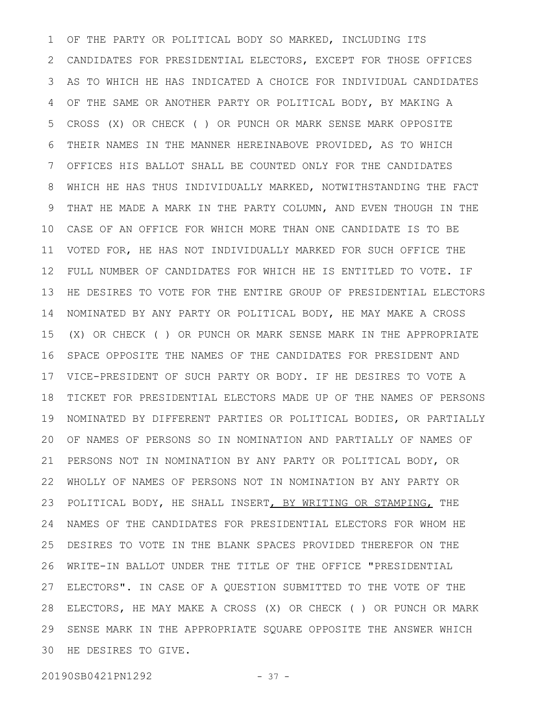OF THE PARTY OR POLITICAL BODY SO MARKED, INCLUDING ITS CANDIDATES FOR PRESIDENTIAL ELECTORS, EXCEPT FOR THOSE OFFICES AS TO WHICH HE HAS INDICATED A CHOICE FOR INDIVIDUAL CANDIDATES OF THE SAME OR ANOTHER PARTY OR POLITICAL BODY, BY MAKING A CROSS (X) OR CHECK ( ) OR PUNCH OR MARK SENSE MARK OPPOSITE THEIR NAMES IN THE MANNER HEREINABOVE PROVIDED, AS TO WHICH OFFICES HIS BALLOT SHALL BE COUNTED ONLY FOR THE CANDIDATES WHICH HE HAS THUS INDIVIDUALLY MARKED, NOTWITHSTANDING THE FACT THAT HE MADE A MARK IN THE PARTY COLUMN, AND EVEN THOUGH IN THE CASE OF AN OFFICE FOR WHICH MORE THAN ONE CANDIDATE IS TO BE VOTED FOR, HE HAS NOT INDIVIDUALLY MARKED FOR SUCH OFFICE THE FULL NUMBER OF CANDIDATES FOR WHICH HE IS ENTITLED TO VOTE. IF HE DESIRES TO VOTE FOR THE ENTIRE GROUP OF PRESIDENTIAL ELECTORS NOMINATED BY ANY PARTY OR POLITICAL BODY, HE MAY MAKE A CROSS (X) OR CHECK ( ) OR PUNCH OR MARK SENSE MARK IN THE APPROPRIATE SPACE OPPOSITE THE NAMES OF THE CANDIDATES FOR PRESIDENT AND VICE-PRESIDENT OF SUCH PARTY OR BODY. IF HE DESIRES TO VOTE A TICKET FOR PRESIDENTIAL ELECTORS MADE UP OF THE NAMES OF PERSONS NOMINATED BY DIFFERENT PARTIES OR POLITICAL BODIES, OR PARTIALLY OF NAMES OF PERSONS SO IN NOMINATION AND PARTIALLY OF NAMES OF PERSONS NOT IN NOMINATION BY ANY PARTY OR POLITICAL BODY, OR WHOLLY OF NAMES OF PERSONS NOT IN NOMINATION BY ANY PARTY OR POLITICAL BODY, HE SHALL INSERT, BY WRITING OR STAMPING, THE NAMES OF THE CANDIDATES FOR PRESIDENTIAL ELECTORS FOR WHOM HE DESIRES TO VOTE IN THE BLANK SPACES PROVIDED THEREFOR ON THE WRITE-IN BALLOT UNDER THE TITLE OF THE OFFICE "PRESIDENTIAL ELECTORS". IN CASE OF A QUESTION SUBMITTED TO THE VOTE OF THE ELECTORS, HE MAY MAKE A CROSS (X) OR CHECK ( ) OR PUNCH OR MARK SENSE MARK IN THE APPROPRIATE SQUARE OPPOSITE THE ANSWER WHICH HE DESIRES TO GIVE. 301 2 3 4 5 6 7 8 9 10 11 12 13 14 15 16 17 18 19 20 21 22 23 24 25 26 27 28 29

20190SB0421PN1292 - 37 -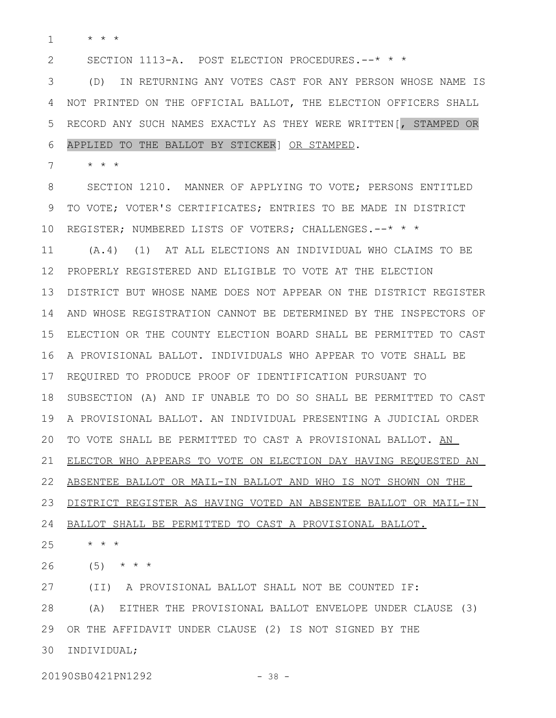\* \* \* 1

SECTION 1113-A. POST ELECTION PROCEDURES.--\* \* \* 2

(D) IN RETURNING ANY VOTES CAST FOR ANY PERSON WHOSE NAME IS 3 NOT PRINTED ON THE OFFICIAL BALLOT, THE ELECTION OFFICERS SHALL RECORD ANY SUCH NAMES EXACTLY AS THEY WERE WRITTEN[, STAMPED OR APPLIED TO THE BALLOT BY STICKER] OR STAMPED. 4 5 6

\* \* \* 7

SECTION 1210. MANNER OF APPLYING TO VOTE; PERSONS ENTITLED TO VOTE; VOTER'S CERTIFICATES; ENTRIES TO BE MADE IN DISTRICT 10 REGISTER; NUMBERED LISTS OF VOTERS; CHALLENGES.--\* \* \* (A.4) (1) AT ALL ELECTIONS AN INDIVIDUAL WHO CLAIMS TO BE PROPERLY REGISTERED AND ELIGIBLE TO VOTE AT THE ELECTION 12 DISTRICT BUT WHOSE NAME DOES NOT APPEAR ON THE DISTRICT REGISTER 13 14 AND WHOSE REGISTRATION CANNOT BE DETERMINED BY THE INSPECTORS OF ELECTION OR THE COUNTY ELECTION BOARD SHALL BE PERMITTED TO CAST A PROVISIONAL BALLOT. INDIVIDUALS WHO APPEAR TO VOTE SHALL BE 17 REQUIRED TO PRODUCE PROOF OF IDENTIFICATION PURSUANT TO SUBSECTION (A) AND IF UNABLE TO DO SO SHALL BE PERMITTED TO CAST A PROVISIONAL BALLOT. AN INDIVIDUAL PRESENTING A JUDICIAL ORDER TO VOTE SHALL BE PERMITTED TO CAST A PROVISIONAL BALLOT. AN ELECTOR WHO APPEARS TO VOTE ON ELECTION DAY HAVING REQUESTED AN ABSENTEE BALLOT OR MAIL-IN BALLOT AND WHO IS NOT SHOWN ON THE DISTRICT REGISTER AS HAVING VOTED AN ABSENTEE BALLOT OR MAIL-IN 24 BALLOT SHALL BE PERMITTED TO CAST A PROVISIONAL BALLOT. \* \* \* 8 9 11 15 16 18 19 20 21 22 23 25

 $(5)$  \* \* \* 26

27

(A) EITHER THE PROVISIONAL BALLOT ENVELOPE UNDER CLAUSE (3) OR THE AFFIDAVIT UNDER CLAUSE (2) IS NOT SIGNED BY THE 29 30 INDIVIDUAL; 28

(II) A PROVISIONAL BALLOT SHALL NOT BE COUNTED IF:

20190SB0421PN1292 - 38 -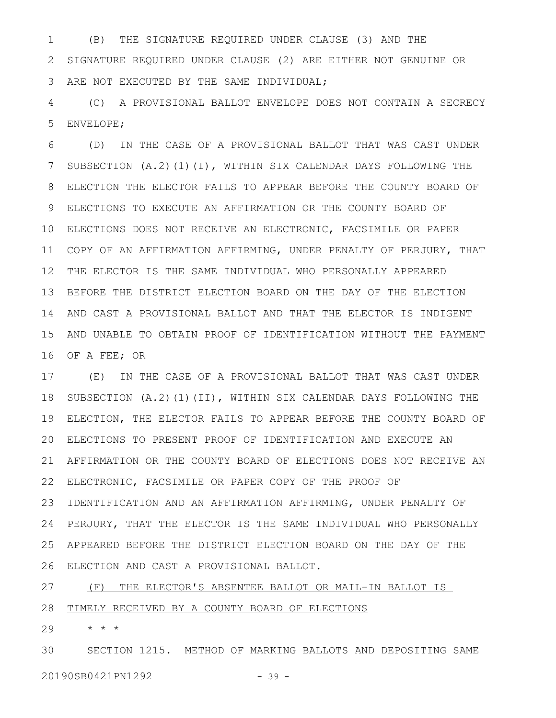(B) THE SIGNATURE REQUIRED UNDER CLAUSE (3) AND THE SIGNATURE REQUIRED UNDER CLAUSE (2) ARE EITHER NOT GENUINE OR ARE NOT EXECUTED BY THE SAME INDIVIDUAL; 1 2 3

(C) A PROVISIONAL BALLOT ENVELOPE DOES NOT CONTAIN A SECRECY ENVELOPE; 4 5

(D) IN THE CASE OF A PROVISIONAL BALLOT THAT WAS CAST UNDER SUBSECTION (A.2)(1)(I), WITHIN SIX CALENDAR DAYS FOLLOWING THE ELECTION THE ELECTOR FAILS TO APPEAR BEFORE THE COUNTY BOARD OF ELECTIONS TO EXECUTE AN AFFIRMATION OR THE COUNTY BOARD OF ELECTIONS DOES NOT RECEIVE AN ELECTRONIC, FACSIMILE OR PAPER 10 11 COPY OF AN AFFIRMATION AFFIRMING, UNDER PENALTY OF PERJURY, THAT THE ELECTOR IS THE SAME INDIVIDUAL WHO PERSONALLY APPEARED 12 13 BEFORE THE DISTRICT ELECTION BOARD ON THE DAY OF THE ELECTION AND CAST A PROVISIONAL BALLOT AND THAT THE ELECTOR IS INDIGENT 14 AND UNABLE TO OBTAIN PROOF OF IDENTIFICATION WITHOUT THE PAYMENT OF A FEE; OR 6 7 8 9 15 16

(E) IN THE CASE OF A PROVISIONAL BALLOT THAT WAS CAST UNDER SUBSECTION (A.2)(1)(II), WITHIN SIX CALENDAR DAYS FOLLOWING THE ELECTION, THE ELECTOR FAILS TO APPEAR BEFORE THE COUNTY BOARD OF ELECTIONS TO PRESENT PROOF OF IDENTIFICATION AND EXECUTE AN 20 AFFIRMATION OR THE COUNTY BOARD OF ELECTIONS DOES NOT RECEIVE AN 21 ELECTRONIC, FACSIMILE OR PAPER COPY OF THE PROOF OF 22 23 IDENTIFICATION AND AN AFFIRMATION AFFIRMING, UNDER PENALTY OF PERJURY, THAT THE ELECTOR IS THE SAME INDIVIDUAL WHO PERSONALLY APPEARED BEFORE THE DISTRICT ELECTION BOARD ON THE DAY OF THE ELECTION AND CAST A PROVISIONAL BALLOT. 26 17 18 19 24 25

(F) THE ELECTOR'S ABSENTEE BALLOT OR MAIL-IN BALLOT IS TIMELY RECEIVED BY A COUNTY BOARD OF ELECTIONS 27 28

\* \* \* 29

SECTION 1215. METHOD OF MARKING BALLOTS AND DEPOSITING SAME 20190SB0421PN1292 - 39 -30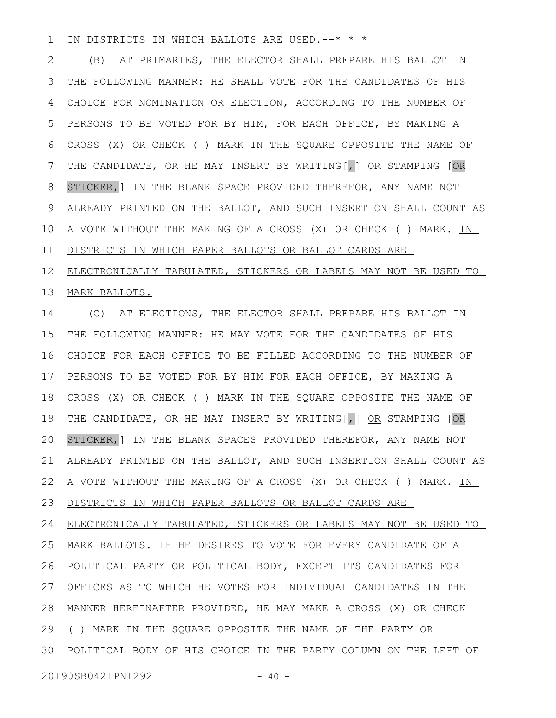IN DISTRICTS IN WHICH BALLOTS ARE USED.--\* \* \* 1

(B) AT PRIMARIES, THE ELECTOR SHALL PREPARE HIS BALLOT IN THE FOLLOWING MANNER: HE SHALL VOTE FOR THE CANDIDATES OF HIS CHOICE FOR NOMINATION OR ELECTION, ACCORDING TO THE NUMBER OF PERSONS TO BE VOTED FOR BY HIM, FOR EACH OFFICE, BY MAKING A CROSS (X) OR CHECK ( ) MARK IN THE SQUARE OPPOSITE THE NAME OF THE CANDIDATE, OR HE MAY INSERT BY WRITING [, ] OR STAMPING [OR STICKER,] IN THE BLANK SPACE PROVIDED THEREFOR, ANY NAME NOT ALREADY PRINTED ON THE BALLOT, AND SUCH INSERTION SHALL COUNT AS A VOTE WITHOUT THE MAKING OF A CROSS (X) OR CHECK ( ) MARK. IN DISTRICTS IN WHICH PAPER BALLOTS OR BALLOT CARDS ARE 2 3 4 5 6 7 8 9 10 11

ELECTRONICALLY TABULATED, STICKERS OR LABELS MAY NOT BE USED TO MARK BALLOTS. 12 13

(C) AT ELECTIONS, THE ELECTOR SHALL PREPARE HIS BALLOT IN THE FOLLOWING MANNER: HE MAY VOTE FOR THE CANDIDATES OF HIS CHOICE FOR EACH OFFICE TO BE FILLED ACCORDING TO THE NUMBER OF PERSONS TO BE VOTED FOR BY HIM FOR EACH OFFICE, BY MAKING A CROSS (X) OR CHECK ( ) MARK IN THE SQUARE OPPOSITE THE NAME OF THE CANDIDATE, OR HE MAY INSERT BY WRITING [, ] OR STAMPING [OR STICKER,] IN THE BLANK SPACES PROVIDED THEREFOR, ANY NAME NOT ALREADY PRINTED ON THE BALLOT, AND SUCH INSERTION SHALL COUNT AS A VOTE WITHOUT THE MAKING OF A CROSS (X) OR CHECK ( ) MARK. IN DISTRICTS IN WHICH PAPER BALLOTS OR BALLOT CARDS ARE ELECTRONICALLY TABULATED, STICKERS OR LABELS MAY NOT BE USED TO MARK BALLOTS. IF HE DESIRES TO VOTE FOR EVERY CANDIDATE OF A POLITICAL PARTY OR POLITICAL BODY, EXCEPT ITS CANDIDATES FOR OFFICES AS TO WHICH HE VOTES FOR INDIVIDUAL CANDIDATES IN THE MANNER HEREINAFTER PROVIDED, HE MAY MAKE A CROSS (X) OR CHECK ( ) MARK IN THE SQUARE OPPOSITE THE NAME OF THE PARTY OR 14 15 16 17 18 19 20 21 22 23 24 25 26 27 28 29

POLITICAL BODY OF HIS CHOICE IN THE PARTY COLUMN ON THE LEFT OF 30

20190SB0421PN1292 - 40 -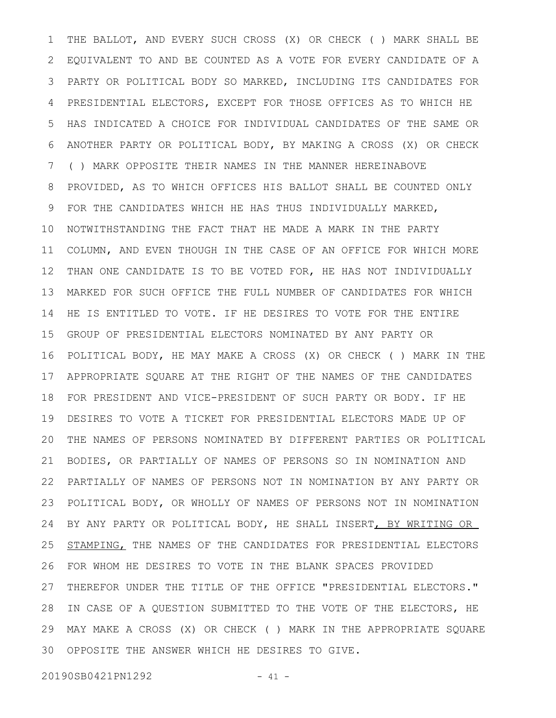THE BALLOT, AND EVERY SUCH CROSS (X) OR CHECK ( ) MARK SHALL BE EQUIVALENT TO AND BE COUNTED AS A VOTE FOR EVERY CANDIDATE OF A PARTY OR POLITICAL BODY SO MARKED, INCLUDING ITS CANDIDATES FOR PRESIDENTIAL ELECTORS, EXCEPT FOR THOSE OFFICES AS TO WHICH HE HAS INDICATED A CHOICE FOR INDIVIDUAL CANDIDATES OF THE SAME OR ANOTHER PARTY OR POLITICAL BODY, BY MAKING A CROSS (X) OR CHECK ( ) MARK OPPOSITE THEIR NAMES IN THE MANNER HEREINABOVE PROVIDED, AS TO WHICH OFFICES HIS BALLOT SHALL BE COUNTED ONLY FOR THE CANDIDATES WHICH HE HAS THUS INDIVIDUALLY MARKED, NOTWITHSTANDING THE FACT THAT HE MADE A MARK IN THE PARTY COLUMN, AND EVEN THOUGH IN THE CASE OF AN OFFICE FOR WHICH MORE THAN ONE CANDIDATE IS TO BE VOTED FOR, HE HAS NOT INDIVIDUALLY MARKED FOR SUCH OFFICE THE FULL NUMBER OF CANDIDATES FOR WHICH HE IS ENTITLED TO VOTE. IF HE DESIRES TO VOTE FOR THE ENTIRE GROUP OF PRESIDENTIAL ELECTORS NOMINATED BY ANY PARTY OR POLITICAL BODY, HE MAY MAKE A CROSS (X) OR CHECK ( ) MARK IN THE APPROPRIATE SQUARE AT THE RIGHT OF THE NAMES OF THE CANDIDATES FOR PRESIDENT AND VICE-PRESIDENT OF SUCH PARTY OR BODY. IF HE DESIRES TO VOTE A TICKET FOR PRESIDENTIAL ELECTORS MADE UP OF THE NAMES OF PERSONS NOMINATED BY DIFFERENT PARTIES OR POLITICAL BODIES, OR PARTIALLY OF NAMES OF PERSONS SO IN NOMINATION AND PARTIALLY OF NAMES OF PERSONS NOT IN NOMINATION BY ANY PARTY OR POLITICAL BODY, OR WHOLLY OF NAMES OF PERSONS NOT IN NOMINATION BY ANY PARTY OR POLITICAL BODY, HE SHALL INSERT, BY WRITING OR STAMPING, THE NAMES OF THE CANDIDATES FOR PRESIDENTIAL ELECTORS FOR WHOM HE DESIRES TO VOTE IN THE BLANK SPACES PROVIDED THEREFOR UNDER THE TITLE OF THE OFFICE "PRESIDENTIAL ELECTORS." IN CASE OF A QUESTION SUBMITTED TO THE VOTE OF THE ELECTORS, HE MAY MAKE A CROSS (X) OR CHECK ( ) MARK IN THE APPROPRIATE SQUARE OPPOSITE THE ANSWER WHICH HE DESIRES TO GIVE. 301 2 3 4 5 6 7 8 9 10 11 12 13 14 15 16 17 18 19 20 21 22 23 24 25 26 27 28 29

20190SB0421PN1292 - 41 -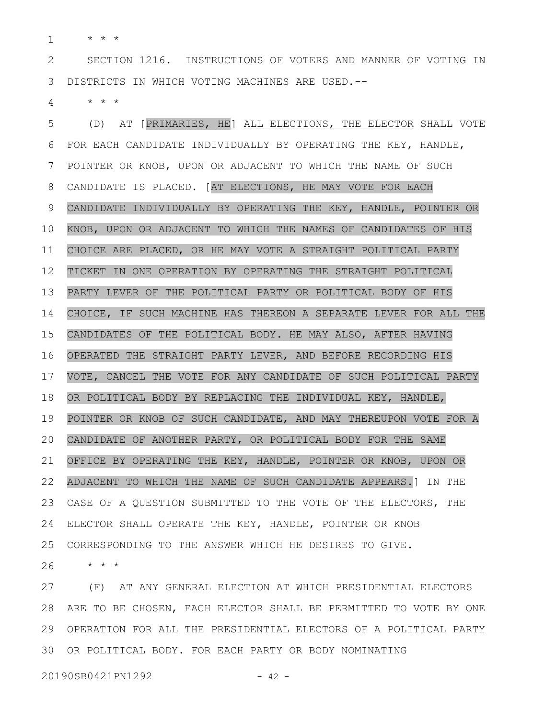\* \* \* 1

SECTION 1216. INSTRUCTIONS OF VOTERS AND MANNER OF VOTING IN DISTRICTS IN WHICH VOTING MACHINES ARE USED.-- 2 3

\* \* \* 4

(D) AT [PRIMARIES, HE] ALL ELECTIONS, THE ELECTOR SHALL VOTE FOR EACH CANDIDATE INDIVIDUALLY BY OPERATING THE KEY, HANDLE, POINTER OR KNOB, UPON OR ADJACENT TO WHICH THE NAME OF SUCH CANDIDATE IS PLACED. [AT ELECTIONS, HE MAY VOTE FOR EACH CANDIDATE INDIVIDUALLY BY OPERATING THE KEY, HANDLE, POINTER OR KNOB, UPON OR ADJACENT TO WHICH THE NAMES OF CANDIDATES OF HIS CHOICE ARE PLACED, OR HE MAY VOTE A STRAIGHT POLITICAL PARTY TICKET IN ONE OPERATION BY OPERATING THE STRAIGHT POLITICAL PARTY LEVER OF THE POLITICAL PARTY OR POLITICAL BODY OF HIS CHOICE, IF SUCH MACHINE HAS THEREON A SEPARATE LEVER FOR ALL THE CANDIDATES OF THE POLITICAL BODY. HE MAY ALSO, AFTER HAVING OPERATED THE STRAIGHT PARTY LEVER, AND BEFORE RECORDING HIS VOTE, CANCEL THE VOTE FOR ANY CANDIDATE OF SUCH POLITICAL PARTY OR POLITICAL BODY BY REPLACING THE INDIVIDUAL KEY, HANDLE, POINTER OR KNOB OF SUCH CANDIDATE, AND MAY THEREUPON VOTE FOR A CANDIDATE OF ANOTHER PARTY, OR POLITICAL BODY FOR THE SAME OFFICE BY OPERATING THE KEY, HANDLE, POINTER OR KNOB, UPON OR ADJACENT TO WHICH THE NAME OF SUCH CANDIDATE APPEARS.] IN THE CASE OF A QUESTION SUBMITTED TO THE VOTE OF THE ELECTORS, THE ELECTOR SHALL OPERATE THE KEY, HANDLE, POINTER OR KNOB CORRESPONDING TO THE ANSWER WHICH HE DESIRES TO GIVE. 5 6 7 8 9 10 11 12 13 14 15 16 17 18 19 20 21 22 23 24 25

\* \* \* 26

(F) AT ANY GENERAL ELECTION AT WHICH PRESIDENTIAL ELECTORS ARE TO BE CHOSEN, EACH ELECTOR SHALL BE PERMITTED TO VOTE BY ONE 28 OPERATION FOR ALL THE PRESIDENTIAL ELECTORS OF A POLITICAL PARTY 29 30 OR POLITICAL BODY. FOR EACH PARTY OR BODY NOMINATING 27

20190SB0421PN1292 - 42 -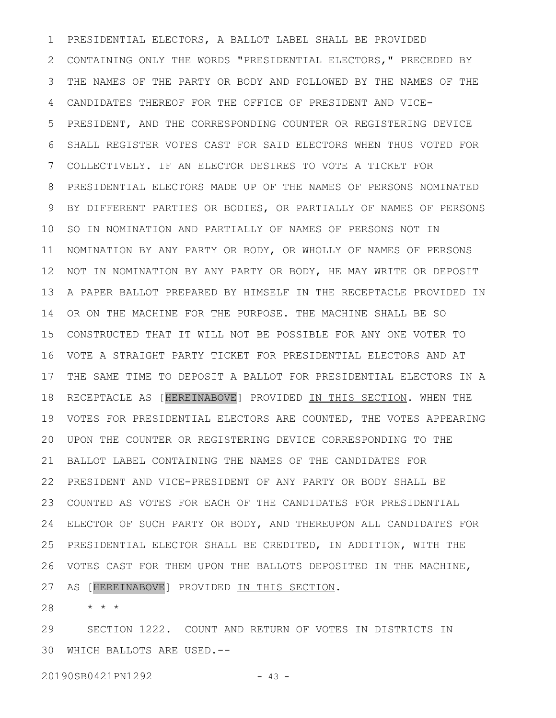PRESIDENTIAL ELECTORS, A BALLOT LABEL SHALL BE PROVIDED CONTAINING ONLY THE WORDS "PRESIDENTIAL ELECTORS," PRECEDED BY THE NAMES OF THE PARTY OR BODY AND FOLLOWED BY THE NAMES OF THE CANDIDATES THEREOF FOR THE OFFICE OF PRESIDENT AND VICE-PRESIDENT, AND THE CORRESPONDING COUNTER OR REGISTERING DEVICE SHALL REGISTER VOTES CAST FOR SAID ELECTORS WHEN THUS VOTED FOR COLLECTIVELY. IF AN ELECTOR DESIRES TO VOTE A TICKET FOR PRESIDENTIAL ELECTORS MADE UP OF THE NAMES OF PERSONS NOMINATED BY DIFFERENT PARTIES OR BODIES, OR PARTIALLY OF NAMES OF PERSONS SO IN NOMINATION AND PARTIALLY OF NAMES OF PERSONS NOT IN 11 NOMINATION BY ANY PARTY OR BODY, OR WHOLLY OF NAMES OF PERSONS NOT IN NOMINATION BY ANY PARTY OR BODY, HE MAY WRITE OR DEPOSIT A PAPER BALLOT PREPARED BY HIMSELF IN THE RECEPTACLE PROVIDED IN OR ON THE MACHINE FOR THE PURPOSE. THE MACHINE SHALL BE SO CONSTRUCTED THAT IT WILL NOT BE POSSIBLE FOR ANY ONE VOTER TO VOTE A STRAIGHT PARTY TICKET FOR PRESIDENTIAL ELECTORS AND AT 16 17 THE SAME TIME TO DEPOSIT A BALLOT FOR PRESIDENTIAL ELECTORS IN A RECEPTACLE AS [HEREINABOVE] PROVIDED IN THIS SECTION. WHEN THE VOTES FOR PRESIDENTIAL ELECTORS ARE COUNTED, THE VOTES APPEARING 19 UPON THE COUNTER OR REGISTERING DEVICE CORRESPONDING TO THE 20 BALLOT LABEL CONTAINING THE NAMES OF THE CANDIDATES FOR PRESIDENT AND VICE-PRESIDENT OF ANY PARTY OR BODY SHALL BE 22 COUNTED AS VOTES FOR EACH OF THE CANDIDATES FOR PRESIDENTIAL ELECTOR OF SUCH PARTY OR BODY, AND THEREUPON ALL CANDIDATES FOR 24 PRESIDENTIAL ELECTOR SHALL BE CREDITED, IN ADDITION, WITH THE VOTES CAST FOR THEM UPON THE BALLOTS DEPOSITED IN THE MACHINE, AS [HEREINABOVE] PROVIDED IN THIS SECTION. 1 2 3 4 5 6 7 8 9 10 12 13 14 15 18 21 23 25 26 27

\* \* \* 28

SECTION 1222. COUNT AND RETURN OF VOTES IN DISTRICTS IN WHICH BALLOTS ARE USED.-- 3029

20190SB0421PN1292 - 43 -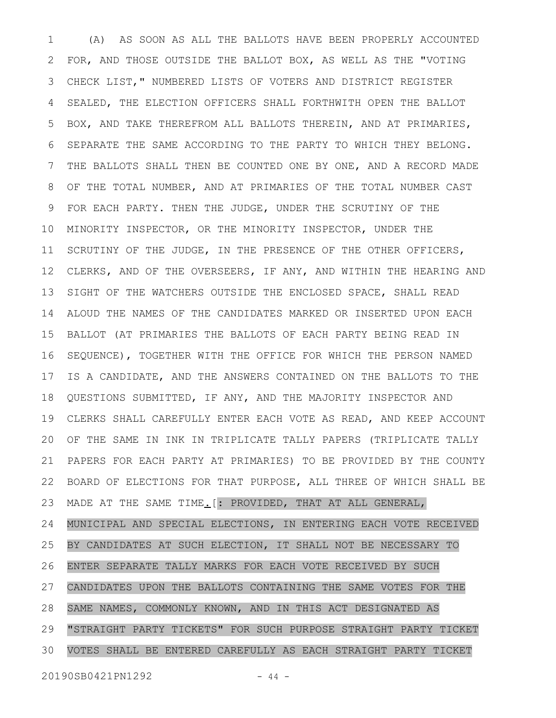(A) AS SOON AS ALL THE BALLOTS HAVE BEEN PROPERLY ACCOUNTED FOR, AND THOSE OUTSIDE THE BALLOT BOX, AS WELL AS THE "VOTING CHECK LIST," NUMBERED LISTS OF VOTERS AND DISTRICT REGISTER SEALED, THE ELECTION OFFICERS SHALL FORTHWITH OPEN THE BALLOT BOX, AND TAKE THEREFROM ALL BALLOTS THEREIN, AND AT PRIMARIES, SEPARATE THE SAME ACCORDING TO THE PARTY TO WHICH THEY BELONG. THE BALLOTS SHALL THEN BE COUNTED ONE BY ONE, AND A RECORD MADE OF THE TOTAL NUMBER, AND AT PRIMARIES OF THE TOTAL NUMBER CAST FOR EACH PARTY. THEN THE JUDGE, UNDER THE SCRUTINY OF THE MINORITY INSPECTOR, OR THE MINORITY INSPECTOR, UNDER THE SCRUTINY OF THE JUDGE, IN THE PRESENCE OF THE OTHER OFFICERS, CLERKS, AND OF THE OVERSEERS, IF ANY, AND WITHIN THE HEARING AND SIGHT OF THE WATCHERS OUTSIDE THE ENCLOSED SPACE, SHALL READ ALOUD THE NAMES OF THE CANDIDATES MARKED OR INSERTED UPON EACH BALLOT (AT PRIMARIES THE BALLOTS OF EACH PARTY BEING READ IN SEQUENCE), TOGETHER WITH THE OFFICE FOR WHICH THE PERSON NAMED IS A CANDIDATE, AND THE ANSWERS CONTAINED ON THE BALLOTS TO THE QUESTIONS SUBMITTED, IF ANY, AND THE MAJORITY INSPECTOR AND CLERKS SHALL CAREFULLY ENTER EACH VOTE AS READ, AND KEEP ACCOUNT OF THE SAME IN INK IN TRIPLICATE TALLY PAPERS (TRIPLICATE TALLY PAPERS FOR EACH PARTY AT PRIMARIES) TO BE PROVIDED BY THE COUNTY BOARD OF ELECTIONS FOR THAT PURPOSE, ALL THREE OF WHICH SHALL BE MADE AT THE SAME TIME.[: PROVIDED, THAT AT ALL GENERAL, MUNICIPAL AND SPECIAL ELECTIONS, IN ENTERING EACH VOTE RECEIVED BY CANDIDATES AT SUCH ELECTION, IT SHALL NOT BE NECESSARY TO ENTER SEPARATE TALLY MARKS FOR EACH VOTE RECEIVED BY SUCH CANDIDATES UPON THE BALLOTS CONTAINING THE SAME VOTES FOR THE SAME NAMES, COMMONLY KNOWN, AND IN THIS ACT DESIGNATED AS "STRAIGHT PARTY TICKETS" FOR SUCH PURPOSE STRAIGHT PARTY TICKET VOTES SHALL BE ENTERED CAREFULLY AS EACH STRAIGHT PARTY TICKET 1 2 3 4 5 6 7 8 9 10 11 12 13 14 15 16 17 18 19 20 21 22 23 24 25 26 27 28 29 30

20190SB0421PN1292 - 44 -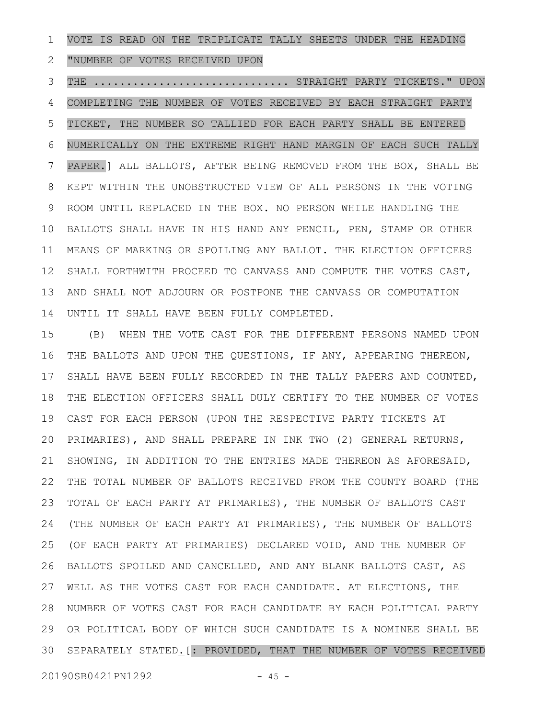VOTE IS READ ON THE TRIPLICATE TALLY SHEETS UNDER THE HEADING 1

"NUMBER OF VOTES RECEIVED UPON 2

THE .............................. STRAIGHT PARTY TICKETS." UPON 3

COMPLETING THE NUMBER OF VOTES RECEIVED BY EACH STRAIGHT PARTY TICKET, THE NUMBER SO TALLIED FOR EACH PARTY SHALL BE ENTERED NUMERICALLY ON THE EXTREME RIGHT HAND MARGIN OF EACH SUCH TALLY PAPER.] ALL BALLOTS, AFTER BEING REMOVED FROM THE BOX, SHALL BE KEPT WITHIN THE UNOBSTRUCTED VIEW OF ALL PERSONS IN THE VOTING ROOM UNTIL REPLACED IN THE BOX. NO PERSON WHILE HANDLING THE BALLOTS SHALL HAVE IN HIS HAND ANY PENCIL, PEN, STAMP OR OTHER MEANS OF MARKING OR SPOILING ANY BALLOT. THE ELECTION OFFICERS SHALL FORTHWITH PROCEED TO CANVASS AND COMPUTE THE VOTES CAST, AND SHALL NOT ADJOURN OR POSTPONE THE CANVASS OR COMPUTATION UNTIL IT SHALL HAVE BEEN FULLY COMPLETED. 4 5 6 7 8 9 10 11 12 13 14

(B) WHEN THE VOTE CAST FOR THE DIFFERENT PERSONS NAMED UPON THE BALLOTS AND UPON THE QUESTIONS, IF ANY, APPEARING THEREON, SHALL HAVE BEEN FULLY RECORDED IN THE TALLY PAPERS AND COUNTED, THE ELECTION OFFICERS SHALL DULY CERTIFY TO THE NUMBER OF VOTES CAST FOR EACH PERSON (UPON THE RESPECTIVE PARTY TICKETS AT PRIMARIES), AND SHALL PREPARE IN INK TWO (2) GENERAL RETURNS, SHOWING, IN ADDITION TO THE ENTRIES MADE THEREON AS AFORESAID, THE TOTAL NUMBER OF BALLOTS RECEIVED FROM THE COUNTY BOARD (THE TOTAL OF EACH PARTY AT PRIMARIES), THE NUMBER OF BALLOTS CAST (THE NUMBER OF EACH PARTY AT PRIMARIES), THE NUMBER OF BALLOTS (OF EACH PARTY AT PRIMARIES) DECLARED VOID, AND THE NUMBER OF BALLOTS SPOILED AND CANCELLED, AND ANY BLANK BALLOTS CAST, AS WELL AS THE VOTES CAST FOR EACH CANDIDATE. AT ELECTIONS, THE NUMBER OF VOTES CAST FOR EACH CANDIDATE BY EACH POLITICAL PARTY OR POLITICAL BODY OF WHICH SUCH CANDIDATE IS A NOMINEE SHALL BE SEPARATELY STATED. [: PROVIDED, THAT THE NUMBER OF VOTES RECEIVED 15 16 17 18 19 20 21 22 23 24 25 26 27 28 29 30

20190SB0421PN1292 - 45 -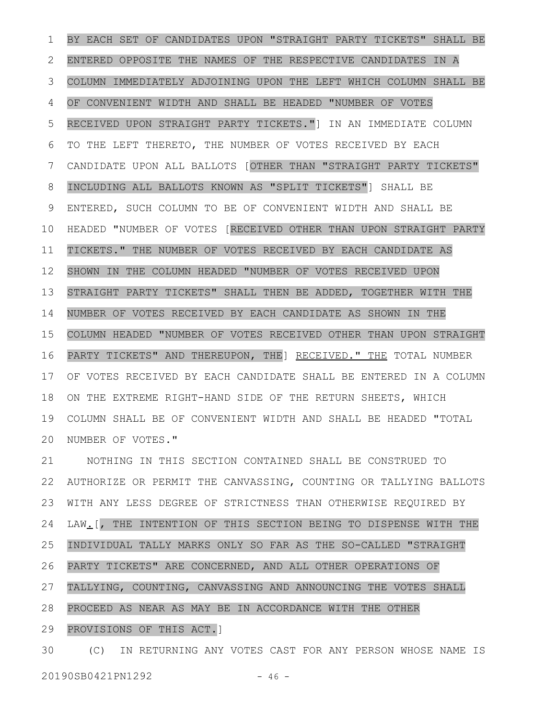BY EACH SET OF CANDIDATES UPON "STRAIGHT PARTY TICKETS" SHALL BE ENTERED OPPOSITE THE NAMES OF THE RESPECTIVE CANDIDATES IN A COLUMN IMMEDIATELY ADJOINING UPON THE LEFT WHICH COLUMN SHALL BE OF CONVENIENT WIDTH AND SHALL BE HEADED "NUMBER OF VOTES RECEIVED UPON STRAIGHT PARTY TICKETS."] IN AN IMMEDIATE COLUMN TO THE LEFT THERETO, THE NUMBER OF VOTES RECEIVED BY EACH CANDIDATE UPON ALL BALLOTS [OTHER THAN "STRAIGHT PARTY TICKETS" INCLUDING ALL BALLOTS KNOWN AS "SPLIT TICKETS"] SHALL BE ENTERED, SUCH COLUMN TO BE OF CONVENIENT WIDTH AND SHALL BE HEADED "NUMBER OF VOTES [RECEIVED OTHER THAN UPON STRAIGHT PARTY TICKETS." THE NUMBER OF VOTES RECEIVED BY EACH CANDIDATE AS SHOWN IN THE COLUMN HEADED "NUMBER OF VOTES RECEIVED UPON STRAIGHT PARTY TICKETS" SHALL THEN BE ADDED, TOGETHER WITH THE NUMBER OF VOTES RECEIVED BY EACH CANDIDATE AS SHOWN IN THE COLUMN HEADED "NUMBER OF VOTES RECEIVED OTHER THAN UPON STRAIGHT PARTY TICKETS" AND THEREUPON, THE] RECEIVED." THE TOTAL NUMBER OF VOTES RECEIVED BY EACH CANDIDATE SHALL BE ENTERED IN A COLUMN ON THE EXTREME RIGHT-HAND SIDE OF THE RETURN SHEETS, WHICH COLUMN SHALL BE OF CONVENIENT WIDTH AND SHALL BE HEADED "TOTAL NUMBER OF VOTES." 1 2 3 4 5 6 7 8 9 10 11 12 13 14 15 16 17 18 19 20

NOTHING IN THIS SECTION CONTAINED SHALL BE CONSTRUED TO AUTHORIZE OR PERMIT THE CANVASSING, COUNTING OR TALLYING BALLOTS WITH ANY LESS DEGREE OF STRICTNESS THAN OTHERWISE REQUIRED BY LAW.[, THE INTENTION OF THIS SECTION BEING TO DISPENSE WITH THE INDIVIDUAL TALLY MARKS ONLY SO FAR AS THE SO-CALLED "STRAIGHT PARTY TICKETS" ARE CONCERNED, AND ALL OTHER OPERATIONS OF TALLYING, COUNTING, CANVASSING AND ANNOUNCING THE VOTES SHALL PROCEED AS NEAR AS MAY BE IN ACCORDANCE WITH THE OTHER PROVISIONS OF THIS ACT.] 21 22 23 24 25 26 27 28 29

(C) IN RETURNING ANY VOTES CAST FOR ANY PERSON WHOSE NAME IS 3020190SB0421PN1292 - 46 -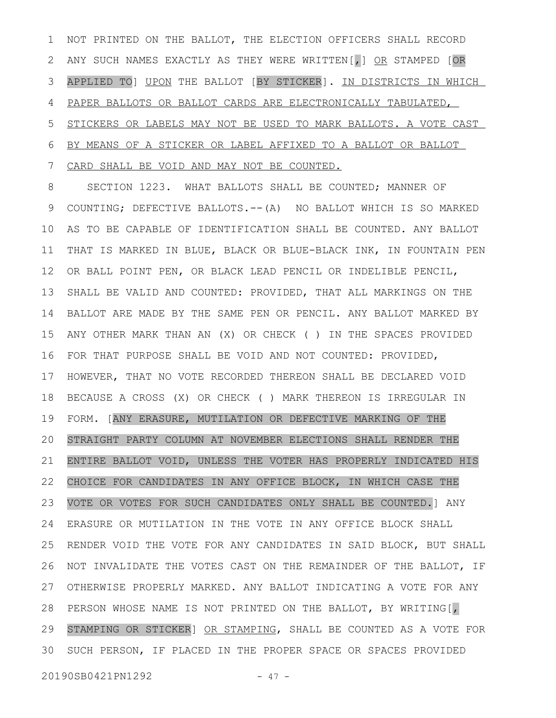NOT PRINTED ON THE BALLOT, THE ELECTION OFFICERS SHALL RECORD ANY SUCH NAMES EXACTLY AS THEY WERE WRITTEN[, ] OR STAMPED [OR APPLIED TO] UPON THE BALLOT [BY STICKER]. IN DISTRICTS IN WHICH PAPER BALLOTS OR BALLOT CARDS ARE ELECTRONICALLY TABULATED, STICKERS OR LABELS MAY NOT BE USED TO MARK BALLOTS. A VOTE CAST BY MEANS OF A STICKER OR LABEL AFFIXED TO A BALLOT OR BALLOT CARD SHALL BE VOID AND MAY NOT BE COUNTED. 1 2 3 4 5 6 7

SECTION 1223. WHAT BALLOTS SHALL BE COUNTED; MANNER OF COUNTING; DEFECTIVE BALLOTS.--(A) NO BALLOT WHICH IS SO MARKED AS TO BE CAPABLE OF IDENTIFICATION SHALL BE COUNTED. ANY BALLOT THAT IS MARKED IN BLUE, BLACK OR BLUE-BLACK INK, IN FOUNTAIN PEN OR BALL POINT PEN, OR BLACK LEAD PENCIL OR INDELIBLE PENCIL, SHALL BE VALID AND COUNTED: PROVIDED, THAT ALL MARKINGS ON THE BALLOT ARE MADE BY THE SAME PEN OR PENCIL. ANY BALLOT MARKED BY ANY OTHER MARK THAN AN (X) OR CHECK ( ) IN THE SPACES PROVIDED FOR THAT PURPOSE SHALL BE VOID AND NOT COUNTED: PROVIDED, HOWEVER, THAT NO VOTE RECORDED THEREON SHALL BE DECLARED VOID BECAUSE A CROSS (X) OR CHECK ( ) MARK THEREON IS IRREGULAR IN FORM. [ANY ERASURE, MUTILATION OR DEFECTIVE MARKING OF THE STRAIGHT PARTY COLUMN AT NOVEMBER ELECTIONS SHALL RENDER THE ENTIRE BALLOT VOID, UNLESS THE VOTER HAS PROPERLY INDICATED HIS CHOICE FOR CANDIDATES IN ANY OFFICE BLOCK, IN WHICH CASE THE VOTE OR VOTES FOR SUCH CANDIDATES ONLY SHALL BE COUNTED.] ANY ERASURE OR MUTILATION IN THE VOTE IN ANY OFFICE BLOCK SHALL RENDER VOID THE VOTE FOR ANY CANDIDATES IN SAID BLOCK, BUT SHALL NOT INVALIDATE THE VOTES CAST ON THE REMAINDER OF THE BALLOT, IF OTHERWISE PROPERLY MARKED. ANY BALLOT INDICATING A VOTE FOR ANY PERSON WHOSE NAME IS NOT PRINTED ON THE BALLOT, BY WRITING[, 28 STAMPING OR STICKER] OR STAMPING, SHALL BE COUNTED AS A VOTE FOR SUCH PERSON, IF PLACED IN THE PROPER SPACE OR SPACES PROVIDED 308 9 10 11 12 13 14 15 16 17 18 19 20 21 22 23 24 25 26 27 29

20190SB0421PN1292 - 47 -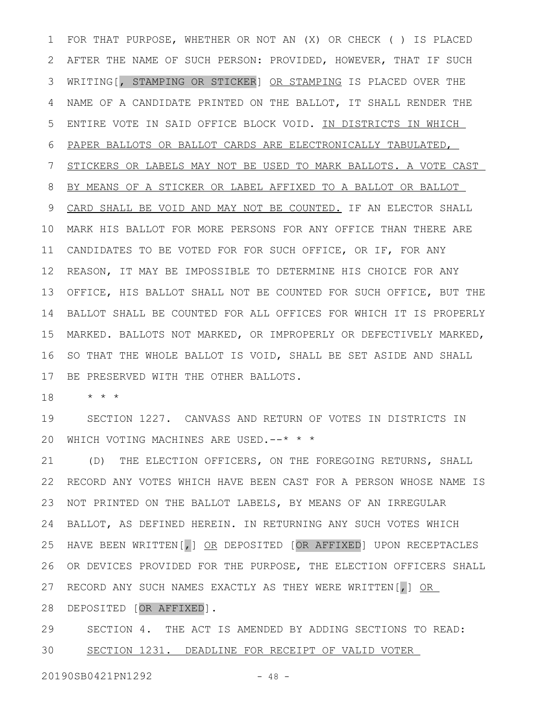FOR THAT PURPOSE, WHETHER OR NOT AN (X) OR CHECK ( ) IS PLACED AFTER THE NAME OF SUCH PERSON: PROVIDED, HOWEVER, THAT IF SUCH WRITING[, STAMPING OR STICKER] OR STAMPING IS PLACED OVER THE NAME OF A CANDIDATE PRINTED ON THE BALLOT, IT SHALL RENDER THE ENTIRE VOTE IN SAID OFFICE BLOCK VOID. IN DISTRICTS IN WHICH PAPER BALLOTS OR BALLOT CARDS ARE ELECTRONICALLY TABULATED, STICKERS OR LABELS MAY NOT BE USED TO MARK BALLOTS. A VOTE CAST BY MEANS OF A STICKER OR LABEL AFFIXED TO A BALLOT OR BALLOT CARD SHALL BE VOID AND MAY NOT BE COUNTED. IF AN ELECTOR SHALL MARK HIS BALLOT FOR MORE PERSONS FOR ANY OFFICE THAN THERE ARE CANDIDATES TO BE VOTED FOR FOR SUCH OFFICE, OR IF, FOR ANY REASON, IT MAY BE IMPOSSIBLE TO DETERMINE HIS CHOICE FOR ANY OFFICE, HIS BALLOT SHALL NOT BE COUNTED FOR SUCH OFFICE, BUT THE BALLOT SHALL BE COUNTED FOR ALL OFFICES FOR WHICH IT IS PROPERLY 14 MARKED. BALLOTS NOT MARKED, OR IMPROPERLY OR DEFECTIVELY MARKED, 15 SO THAT THE WHOLE BALLOT IS VOID, SHALL BE SET ASIDE AND SHALL BE PRESERVED WITH THE OTHER BALLOTS. 1 2 3 4 5 6 7 8 9 10 11 12 13 16 17

\* \* \* 18

SECTION 1227. CANVASS AND RETURN OF VOTES IN DISTRICTS IN WHICH VOTING MACHINES ARE USED.--\* \* \* 19 20

(D) THE ELECTION OFFICERS, ON THE FOREGOING RETURNS, SHALL RECORD ANY VOTES WHICH HAVE BEEN CAST FOR A PERSON WHOSE NAME IS NOT PRINTED ON THE BALLOT LABELS, BY MEANS OF AN IRREGULAR BALLOT, AS DEFINED HEREIN. IN RETURNING ANY SUCH VOTES WHICH HAVE BEEN WRITTEN[,] OR DEPOSITED [OR AFFIXED] UPON RECEPTACLES OR DEVICES PROVIDED FOR THE PURPOSE, THE ELECTION OFFICERS SHALL RECORD ANY SUCH NAMES EXACTLY AS THEY WERE WRITTEN[,] OR DEPOSITED [OR AFFIXED]. 21 22 23 24 25 26 27 28

SECTION 4. THE ACT IS AMENDED BY ADDING SECTIONS TO READ: SECTION 1231. DEADLINE FOR RECEIPT OF VALID VOTER 29 30

20190SB0421PN1292 - 48 -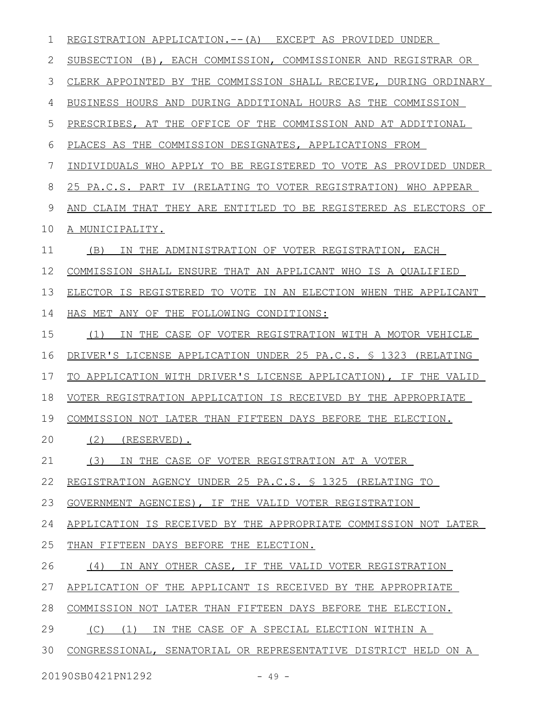| 1  | REGISTRATION APPLICATION.-- (A) EXCEPT AS PROVIDED UNDER         |
|----|------------------------------------------------------------------|
| 2  | SUBSECTION (B), EACH COMMISSION, COMMISSIONER AND REGISTRAR OR   |
| 3  | CLERK APPOINTED BY THE COMMISSION SHALL RECEIVE, DURING ORDINARY |
| 4  | BUSINESS HOURS AND DURING ADDITIONAL HOURS AS THE COMMISSION     |
| 5  | PRESCRIBES, AT THE OFFICE OF THE COMMISSION AND AT ADDITIONAL    |
| 6  | PLACES AS THE COMMISSION DESIGNATES, APPLICATIONS FROM           |
| 7  | INDIVIDUALS WHO APPLY TO BE REGISTERED TO VOTE AS PROVIDED UNDER |
| 8  | 25 PA.C.S. PART IV (RELATING TO VOTER REGISTRATION) WHO APPEAR   |
| 9  | AND CLAIM THAT THEY ARE ENTITLED TO BE REGISTERED AS ELECTORS OF |
| 10 | A MUNICIPALITY.                                                  |
| 11 | IN THE ADMINISTRATION OF VOTER REGISTRATION, EACH<br>(B)         |
| 12 | COMMISSION SHALL ENSURE THAT AN APPLICANT WHO IS A OUALIFIED     |
| 13 | ELECTOR IS REGISTERED TO VOTE IN AN ELECTION WHEN THE APPLICANT  |
| 14 | HAS MET ANY OF THE FOLLOWING CONDITIONS:                         |
| 15 | (1)<br>IN THE CASE OF VOTER REGISTRATION WITH A MOTOR VEHICLE    |
| 16 | DRIVER'S LICENSE APPLICATION UNDER 25 PA.C.S. § 1323 (RELATING   |
| 17 | TO APPLICATION WITH DRIVER'S LICENSE APPLICATION), IF THE VALID  |
| 18 | VOTER REGISTRATION APPLICATION IS RECEIVED BY THE APPROPRIATE    |
| 19 | COMMISSION NOT LATER THAN FIFTEEN DAYS BEFORE THE ELECTION.      |
| 20 | (2) (RESERVED).                                                  |
| 21 | (3) IN THE CASE OF VOTER REGISTRATION AT A VOTER                 |
| 22 | REGISTRATION AGENCY UNDER 25 PA.C.S. § 1325 (RELATING TO         |
| 23 | GOVERNMENT AGENCIES), IF THE VALID VOTER REGISTRATION            |
| 24 | APPLICATION IS RECEIVED BY THE APPROPRIATE COMMISSION NOT LATER  |
| 25 | THAN FIFTEEN DAYS BEFORE THE ELECTION.                           |
| 26 | (4)<br>IN ANY OTHER CASE, IF THE VALID VOTER REGISTRATION        |
| 27 | APPLICATION OF THE APPLICANT IS RECEIVED BY THE APPROPRIATE      |
| 28 | COMMISSION NOT LATER THAN FIFTEEN DAYS BEFORE THE ELECTION.      |
| 29 | (C) (1) IN THE CASE OF A SPECIAL ELECTION WITHIN A               |
| 30 | CONGRESSIONAL, SENATORIAL OR REPRESENTATIVE DISTRICT HELD ON A   |
|    | 20190SB0421PN1292<br>$-49 -$                                     |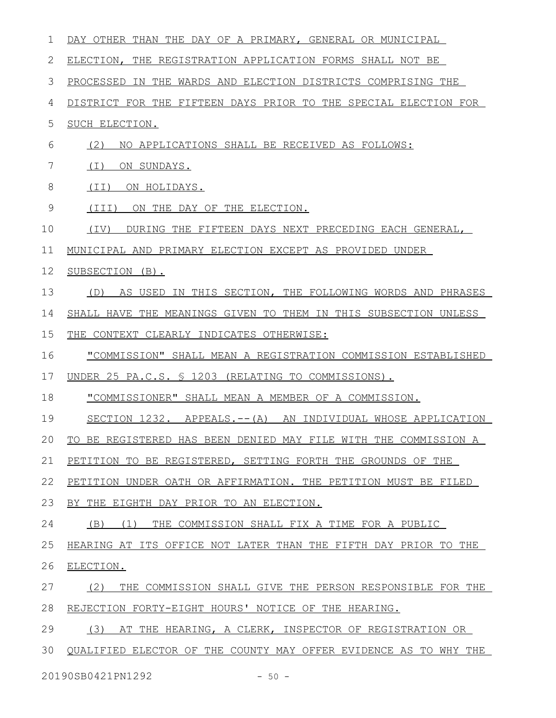| 1  | DAY OTHER THAN THE DAY OF A PRIMARY, GENERAL OR MUNICIPAL        |
|----|------------------------------------------------------------------|
| 2  | ELECTION, THE REGISTRATION APPLICATION FORMS SHALL NOT BE        |
| 3  | PROCESSED IN THE WARDS AND ELECTION DISTRICTS COMPRISING THE     |
| 4  | DISTRICT FOR THE FIFTEEN DAYS PRIOR TO THE SPECIAL ELECTION FOR  |
| 5  | SUCH ELECTION.                                                   |
| 6  | (2)<br>NO APPLICATIONS SHALL BE RECEIVED AS FOLLOWS:             |
| 7  | ( I )<br>ON SUNDAYS.                                             |
| 8  | (II) ON HOLIDAYS.                                                |
| 9  | (TII)<br>ON THE DAY OF THE ELECTION.                             |
| 10 | DURING THE FIFTEEN DAYS NEXT PRECEDING EACH GENERAL,<br>(TV)     |
| 11 | MUNICIPAL AND PRIMARY ELECTION EXCEPT AS PROVIDED UNDER          |
| 12 | SUBSECTION (B).                                                  |
| 13 | (D) AS USED IN THIS SECTION, THE FOLLOWING WORDS AND PHRASES     |
| 14 | SHALL HAVE THE MEANINGS GIVEN TO THEM IN THIS SUBSECTION UNLESS  |
| 15 | THE CONTEXT CLEARLY INDICATES OTHERWISE:                         |
| 16 | "COMMISSION" SHALL MEAN A REGISTRATION COMMISSION ESTABLISHED    |
| 17 | UNDER 25 PA.C.S. § 1203 (RELATING TO COMMISSIONS).               |
| 18 | "COMMISSIONER" SHALL MEAN A MEMBER OF A COMMISSION.              |
| 19 | SECTION 1232. APPEALS.--(A) AN INDIVIDUAL WHOSE APPLICATION      |
| 20 | TO BE REGISTERED HAS BEEN DENIED MAY FILE WITH THE COMMISSION A  |
| 21 | PETITION TO BE REGISTERED, SETTING FORTH THE GROUNDS OF THE      |
| 22 | PETITION UNDER OATH OR AFFIRMATION. THE PETITION MUST BE FILED   |
| 23 | BY THE EIGHTH DAY PRIOR TO AN ELECTION.                          |
| 24 | (1)<br>THE COMMISSION SHALL FIX A TIME FOR A PUBLIC<br>(B)       |
| 25 | HEARING AT ITS OFFICE NOT LATER THAN THE FIFTH DAY PRIOR TO THE  |
| 26 | ELECTION.                                                        |
| 27 | (2)<br>THE COMMISSION SHALL GIVE THE PERSON RESPONSIBLE FOR THE  |
| 28 | REJECTION FORTY-EIGHT HOURS' NOTICE OF THE HEARING.              |
| 29 | (3)<br>AT THE HEARING, A CLERK, INSPECTOR OF REGISTRATION OR     |
| 30 | QUALIFIED ELECTOR OF THE COUNTY MAY OFFER EVIDENCE AS TO WHY THE |
|    | 20190SB0421PN1292<br>$-50 -$                                     |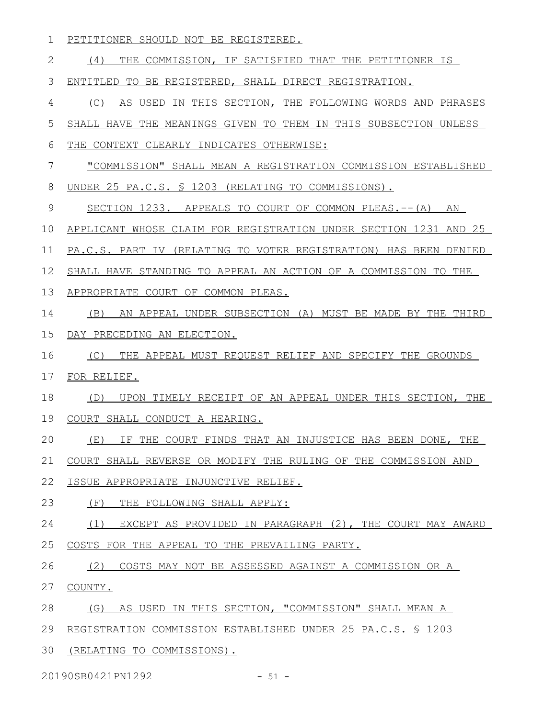1 PETITIONER SHOULD NOT BE REGISTERED.

| $\mathbf{2}$ | (4)<br>THE COMMISSION, IF SATISFIED THAT THE PETITIONER IS       |
|--------------|------------------------------------------------------------------|
| 3            | ENTITLED TO BE REGISTERED, SHALL DIRECT REGISTRATION.            |
| 4            | (C)<br>AS USED IN THIS SECTION, THE FOLLOWING WORDS AND PHRASES  |
| 5            | SHALL HAVE THE MEANINGS GIVEN TO THEM IN THIS SUBSECTION UNLESS  |
| 6            | THE CONTEXT CLEARLY INDICATES OTHERWISE:                         |
| 7            | "COMMISSION" SHALL MEAN A REGISTRATION COMMISSION ESTABLISHED    |
| 8            | UNDER 25 PA.C.S. § 1203 (RELATING TO COMMISSIONS).               |
| 9            | SECTION 1233. APPEALS TO COURT OF COMMON PLEAS.-- (A) AN         |
| 10           | APPLICANT WHOSE CLAIM FOR REGISTRATION UNDER SECTION 1231 AND 25 |
| 11           | PA.C.S. PART IV (RELATING TO VOTER REGISTRATION) HAS BEEN DENIED |
| 12           | SHALL HAVE STANDING TO APPEAL AN ACTION OF A COMMISSION TO THE   |
| 13           | APPROPRIATE COURT OF COMMON PLEAS.                               |
| 14           | (B)<br>AN APPEAL UNDER SUBSECTION (A) MUST BE MADE BY THE THIRD  |
| 15           | DAY PRECEDING AN ELECTION.                                       |
| 16           | (C)<br>THE APPEAL MUST REQUEST RELIEF AND SPECIFY THE GROUNDS    |
| 17           | FOR RELIEF.                                                      |
| 18           | UPON TIMELY RECEIPT OF AN APPEAL UNDER THIS SECTION, THE<br>(D)  |
| 19           | COURT SHALL CONDUCT A HEARING.                                   |
| 20           | (E)<br>IF THE COURT FINDS THAT AN INJUSTICE HAS BEEN DONE, THE   |
| 21           | COURT SHALL REVERSE OR MODIFY THE RULING OF THE COMMISSION AND   |
| 22           | ISSUE APPROPRIATE INJUNCTIVE RELIEF.                             |
| 23           | (F)<br>THE FOLLOWING SHALL APPLY:                                |
| 24           | EXCEPT AS PROVIDED IN PARAGRAPH (2), THE COURT MAY AWARD<br>(1)  |
| 25           | COSTS FOR THE APPEAL TO THE PREVAILING PARTY.                    |
| 26           | (2)<br>COSTS MAY NOT BE ASSESSED AGAINST A COMMISSION OR A       |
| 27           | COUNTY.                                                          |
| 28           | AS USED IN THIS SECTION, "COMMISSION" SHALL MEAN A<br>(G)        |
| 29           | REGISTRATION COMMISSION ESTABLISHED UNDER 25 PA.C.S. § 1203      |

30 (RELATING TO COMMISSIONS).

20190SB0421PN1292 - 51 -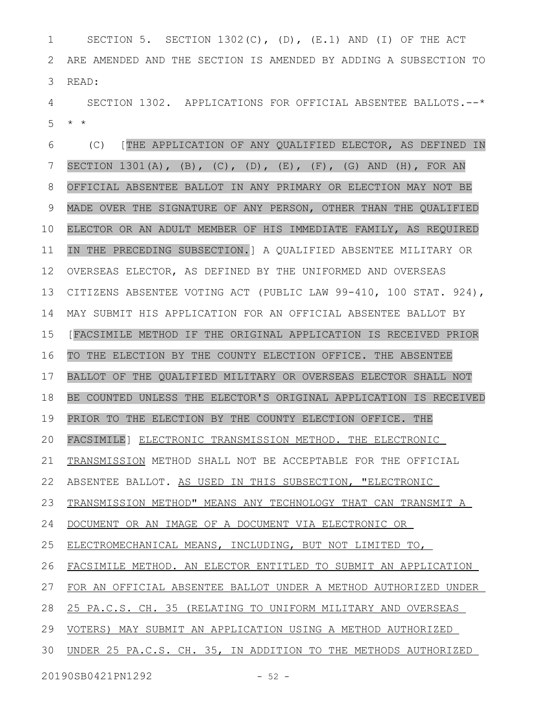SECTION 5. SECTION 1302(C), (D), (E.1) AND (I) OF THE ACT ARE AMENDED AND THE SECTION IS AMENDED BY ADDING A SUBSECTION TO READ: 1 2 3

SECTION 1302. APPLICATIONS FOR OFFICIAL ABSENTEE BALLOTS.--\* \* \* 4 5

(C) [THE APPLICATION OF ANY QUALIFIED ELECTOR, AS DEFINED IN SECTION 1301(A), (B), (C), (D), (E), (F), (G) AND (H), FOR AN OFFICIAL ABSENTEE BALLOT IN ANY PRIMARY OR ELECTION MAY NOT BE MADE OVER THE SIGNATURE OF ANY PERSON, OTHER THAN THE QUALIFIED ELECTOR OR AN ADULT MEMBER OF HIS IMMEDIATE FAMILY, AS REQUIRED IN THE PRECEDING SUBSECTION.] A QUALIFIED ABSENTEE MILITARY OR OVERSEAS ELECTOR, AS DEFINED BY THE UNIFORMED AND OVERSEAS CITIZENS ABSENTEE VOTING ACT (PUBLIC LAW 99-410, 100 STAT. 924), MAY SUBMIT HIS APPLICATION FOR AN OFFICIAL ABSENTEE BALLOT BY [FACSIMILE METHOD IF THE ORIGINAL APPLICATION IS RECEIVED PRIOR TO THE ELECTION BY THE COUNTY ELECTION OFFICE. THE ABSENTEE BALLOT OF THE QUALIFIED MILITARY OR OVERSEAS ELECTOR SHALL NOT BE COUNTED UNLESS THE ELECTOR'S ORIGINAL APPLICATION IS RECEIVED PRIOR TO THE ELECTION BY THE COUNTY ELECTION OFFICE. THE FACSIMILE] ELECTRONIC TRANSMISSION METHOD. THE ELECTRONIC TRANSMISSION METHOD SHALL NOT BE ACCEPTABLE FOR THE OFFICIAL ABSENTEE BALLOT. AS USED IN THIS SUBSECTION, "ELECTRONIC TRANSMISSION METHOD" MEANS ANY TECHNOLOGY THAT CAN TRANSMIT A DOCUMENT OR AN IMAGE OF A DOCUMENT VIA ELECTRONIC OR ELECTROMECHANICAL MEANS, INCLUDING, BUT NOT LIMITED TO, FACSIMILE METHOD. AN ELECTOR ENTITLED TO SUBMIT AN APPLICATION FOR AN OFFICIAL ABSENTEE BALLOT UNDER A METHOD AUTHORIZED UNDER 25 PA.C.S. CH. 35 (RELATING TO UNIFORM MILITARY AND OVERSEAS VOTERS) MAY SUBMIT AN APPLICATION USING A METHOD AUTHORIZED UNDER 25 PA.C.S. CH. 35, IN ADDITION TO THE METHODS AUTHORIZED 6 7 8 9 10 11 12 13 14 15 16 17 18 19 20 21 22 23 24 25 26 27 28 29 30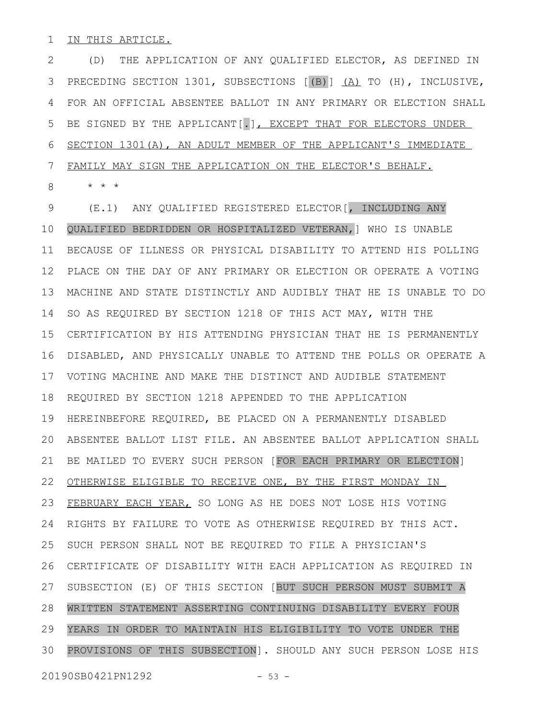IN THIS ARTICLE. 1

(D) THE APPLICATION OF ANY QUALIFIED ELECTOR, AS DEFINED IN PRECEDING SECTION 1301, SUBSECTIONS [(B)] (A) TO (H), INCLUSIVE, FOR AN OFFICIAL ABSENTEE BALLOT IN ANY PRIMARY OR ELECTION SHALL BE SIGNED BY THE APPLICANT[.], EXCEPT THAT FOR ELECTORS UNDER SECTION 1301(A), AN ADULT MEMBER OF THE APPLICANT'S IMMEDIATE FAMILY MAY SIGN THE APPLICATION ON THE ELECTOR'S BEHALF. 2 3 4 5 6 7

\* \* \* 8

(E.1) ANY QUALIFIED REGISTERED ELECTOR[, INCLUDING ANY QUALIFIED BEDRIDDEN OR HOSPITALIZED VETERAN,] WHO IS UNABLE BECAUSE OF ILLNESS OR PHYSICAL DISABILITY TO ATTEND HIS POLLING PLACE ON THE DAY OF ANY PRIMARY OR ELECTION OR OPERATE A VOTING MACHINE AND STATE DISTINCTLY AND AUDIBLY THAT HE IS UNABLE TO DO SO AS REQUIRED BY SECTION 1218 OF THIS ACT MAY, WITH THE CERTIFICATION BY HIS ATTENDING PHYSICIAN THAT HE IS PERMANENTLY DISABLED, AND PHYSICALLY UNABLE TO ATTEND THE POLLS OR OPERATE A VOTING MACHINE AND MAKE THE DISTINCT AND AUDIBLE STATEMENT REQUIRED BY SECTION 1218 APPENDED TO THE APPLICATION HEREINBEFORE REQUIRED, BE PLACED ON A PERMANENTLY DISABLED ABSENTEE BALLOT LIST FILE. AN ABSENTEE BALLOT APPLICATION SHALL BE MAILED TO EVERY SUCH PERSON [FOR EACH PRIMARY OR ELECTION] 22 OTHERWISE ELIGIBLE TO RECEIVE ONE, BY THE FIRST MONDAY IN FEBRUARY EACH YEAR, SO LONG AS HE DOES NOT LOSE HIS VOTING RIGHTS BY FAILURE TO VOTE AS OTHERWISE REQUIRED BY THIS ACT. SUCH PERSON SHALL NOT BE REQUIRED TO FILE A PHYSICIAN'S CERTIFICATE OF DISABILITY WITH EACH APPLICATION AS REQUIRED IN SUBSECTION (E) OF THIS SECTION [BUT SUCH PERSON MUST SUBMIT A WRITTEN STATEMENT ASSERTING CONTINUING DISABILITY EVERY FOUR YEARS IN ORDER TO MAINTAIN HIS ELIGIBILITY TO VOTE UNDER THE PROVISIONS OF THIS SUBSECTION]. SHOULD ANY SUCH PERSON LOSE HIS 9 10 11 12 13 14 15 16 17 18 19 20 21 23 24 25 26 27 28 29 30

20190SB0421PN1292 - 53 -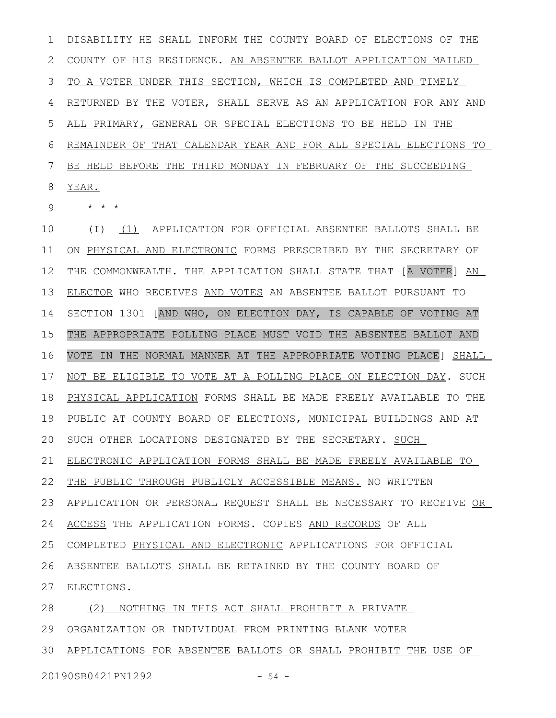DISABILITY HE SHALL INFORM THE COUNTY BOARD OF ELECTIONS OF THE COUNTY OF HIS RESIDENCE. AN ABSENTEE BALLOT APPLICATION MAILED TO A VOTER UNDER THIS SECTION, WHICH IS COMPLETED AND TIMELY RETURNED BY THE VOTER, SHALL SERVE AS AN APPLICATION FOR ANY AND ALL PRIMARY, GENERAL OR SPECIAL ELECTIONS TO BE HELD IN THE REMAINDER OF THAT CALENDAR YEAR AND FOR ALL SPECIAL ELECTIONS TO BE HELD BEFORE THE THIRD MONDAY IN FEBRUARY OF THE SUCCEEDING YEAR. 1 2 3 4 5 6 7 8

\* \* \* 9

(I) (1) APPLICATION FOR OFFICIAL ABSENTEE BALLOTS SHALL BE ON PHYSICAL AND ELECTRONIC FORMS PRESCRIBED BY THE SECRETARY OF THE COMMONWEALTH. THE APPLICATION SHALL STATE THAT [A VOTER] AN ELECTOR WHO RECEIVES AND VOTES AN ABSENTEE BALLOT PURSUANT TO SECTION 1301 [AND WHO, ON ELECTION DAY, IS CAPABLE OF VOTING AT THE APPROPRIATE POLLING PLACE MUST VOID THE ABSENTEE BALLOT AND VOTE IN THE NORMAL MANNER AT THE APPROPRIATE VOTING PLACE] SHALL NOT BE ELIGIBLE TO VOTE AT A POLLING PLACE ON ELECTION DAY. SUCH PHYSICAL APPLICATION FORMS SHALL BE MADE FREELY AVAILABLE TO THE PUBLIC AT COUNTY BOARD OF ELECTIONS, MUNICIPAL BUILDINGS AND AT SUCH OTHER LOCATIONS DESIGNATED BY THE SECRETARY. SUCH ELECTRONIC APPLICATION FORMS SHALL BE MADE FREELY AVAILABLE TO THE PUBLIC THROUGH PUBLICLY ACCESSIBLE MEANS. NO WRITTEN APPLICATION OR PERSONAL REQUEST SHALL BE NECESSARY TO RECEIVE OR ACCESS THE APPLICATION FORMS. COPIES AND RECORDS OF ALL COMPLETED PHYSICAL AND ELECTRONIC APPLICATIONS FOR OFFICIAL ABSENTEE BALLOTS SHALL BE RETAINED BY THE COUNTY BOARD OF ELECTIONS. 27 (2) NOTHING IN THIS ACT SHALL PROHIBIT A PRIVATE ORGANIZATION OR INDIVIDUAL FROM PRINTING BLANK VOTER 10 11 12 13 14 15 16 17 18 19 20 21 22 23 24 25 26 28 29

APPLICATIONS FOR ABSENTEE BALLOTS OR SHALL PROHIBIT THE USE OF 30

20190SB0421PN1292 - 54 -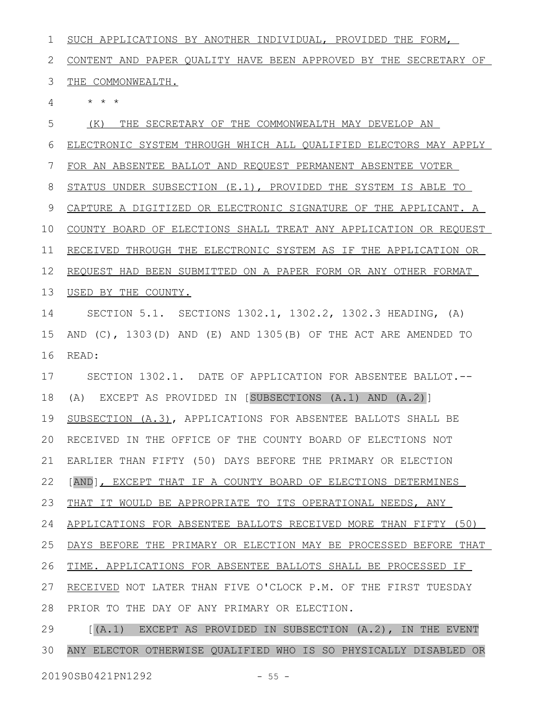SUCH APPLICATIONS BY ANOTHER INDIVIDUAL, PROVIDED THE FORM, CONTENT AND PAPER QUALITY HAVE BEEN APPROVED BY THE SECRETARY OF THE COMMONWEALTH. \* \* \* (K) THE SECRETARY OF THE COMMONWEALTH MAY DEVELOP AN ELECTRONIC SYSTEM THROUGH WHICH ALL QUALIFIED ELECTORS MAY APPLY FOR AN ABSENTEE BALLOT AND REQUEST PERMANENT ABSENTEE VOTER STATUS UNDER SUBSECTION (E.1), PROVIDED THE SYSTEM IS ABLE TO CAPTURE A DIGITIZED OR ELECTRONIC SIGNATURE OF THE APPLICANT. A COUNTY BOARD OF ELECTIONS SHALL TREAT ANY APPLICATION OR REQUEST RECEIVED THROUGH THE ELECTRONIC SYSTEM AS IF THE APPLICATION OR REQUEST HAD BEEN SUBMITTED ON A PAPER FORM OR ANY OTHER FORMAT USED BY THE COUNTY. SECTION 5.1. SECTIONS 1302.1, 1302.2, 1302.3 HEADING, (A) AND (C), 1303(D) AND (E) AND 1305(B) OF THE ACT ARE AMENDED TO READ: SECTION 1302.1. DATE OF APPLICATION FOR ABSENTEE BALLOT.-- (A) EXCEPT AS PROVIDED IN [SUBSECTIONS (A.1) AND (A.2)] SUBSECTION (A.3), APPLICATIONS FOR ABSENTEE BALLOTS SHALL BE RECEIVED IN THE OFFICE OF THE COUNTY BOARD OF ELECTIONS NOT EARLIER THAN FIFTY (50) DAYS BEFORE THE PRIMARY OR ELECTION [AND], EXCEPT THAT IF A COUNTY BOARD OF ELECTIONS DETERMINES THAT IT WOULD BE APPROPRIATE TO ITS OPERATIONAL NEEDS, ANY APPLICATIONS FOR ABSENTEE BALLOTS RECEIVED MORE THAN FIFTY (50) DAYS BEFORE THE PRIMARY OR ELECTION MAY BE PROCESSED BEFORE THAT TIME. APPLICATIONS FOR ABSENTEE BALLOTS SHALL BE PROCESSED IF RECEIVED NOT LATER THAN FIVE O'CLOCK P.M. OF THE FIRST TUESDAY PRIOR TO THE DAY OF ANY PRIMARY OR ELECTION. [(A.1) EXCEPT AS PROVIDED IN SUBSECTION (A.2), IN THE EVENT ANY ELECTOR OTHERWISE QUALIFIED WHO IS SO PHYSICALLY DISABLED OR 1 2 3 4 5 6 7 8 9 10 11 12 13 14 15 16 17 18 19 20 21 22 23 24 25 26 27 28 29 30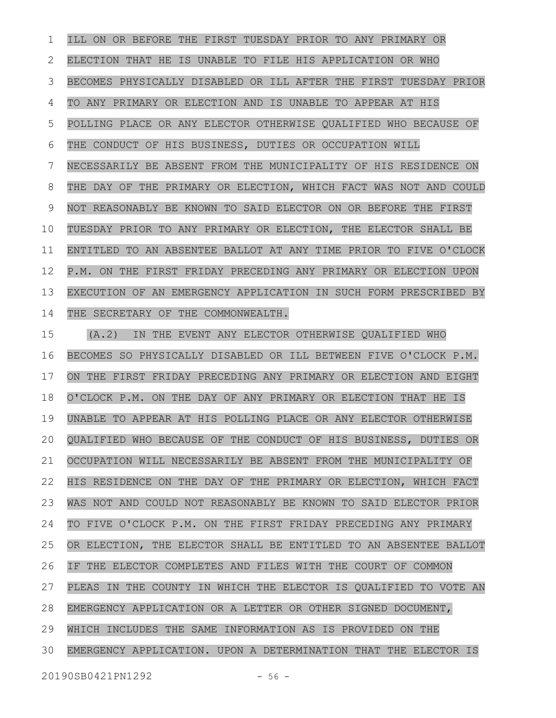ILL ON OR BEFORE THE FIRST TUESDAY PRIOR TO ANY PRIMARY OR ELECTION THAT HE IS UNABLE TO FILE HIS APPLICATION OR WHO BECOMES PHYSICALLY DISABLED OR ILL AFTER THE FIRST TUESDAY PRIOR TO ANY PRIMARY OR ELECTION AND IS UNABLE TO APPEAR AT HIS POLLING PLACE OR ANY ELECTOR OTHERWISE QUALIFIED WHO BECAUSE OF THE CONDUCT OF HIS BUSINESS, DUTIES OR OCCUPATION WILL NECESSARILY BE ABSENT FROM THE MUNICIPALITY OF HIS RESIDENCE ON THE DAY OF THE PRIMARY OR ELECTION, WHICH FACT WAS NOT AND COULD NOT REASONABLY BE KNOWN TO SAID ELECTOR ON OR BEFORE THE FIRST TUESDAY PRIOR TO ANY PRIMARY OR ELECTION, THE ELECTOR SHALL BE ENTITLED TO AN ABSENTEE BALLOT AT ANY TIME PRIOR TO FIVE O'CLOCK P.M. ON THE FIRST FRIDAY PRECEDING ANY PRIMARY OR ELECTION UPON EXECUTION OF AN EMERGENCY APPLICATION IN SUCH FORM PRESCRIBED BY THE SECRETARY OF THE COMMONWEALTH. 1 2 3 4 5 6 7 8 9 10 11 12 13 14

(A.2) IN THE EVENT ANY ELECTOR OTHERWISE QUALIFIED WHO BECOMES SO PHYSICALLY DISABLED OR ILL BETWEEN FIVE O'CLOCK P.M. ON THE FIRST FRIDAY PRECEDING ANY PRIMARY OR ELECTION AND EIGHT O'CLOCK P.M. ON THE DAY OF ANY PRIMARY OR ELECTION THAT HE IS UNABLE TO APPEAR AT HIS POLLING PLACE OR ANY ELECTOR OTHERWISE QUALIFIED WHO BECAUSE OF THE CONDUCT OF HIS BUSINESS, DUTIES OR OCCUPATION WILL NECESSARILY BE ABSENT FROM THE MUNICIPALITY OF HIS RESIDENCE ON THE DAY OF THE PRIMARY OR ELECTION, WHICH FACT WAS NOT AND COULD NOT REASONABLY BE KNOWN TO SAID ELECTOR PRIOR TO FIVE O'CLOCK P.M. ON THE FIRST FRIDAY PRECEDING ANY PRIMARY OR ELECTION, THE ELECTOR SHALL BE ENTITLED TO AN ABSENTEE BALLOT IF THE ELECTOR COMPLETES AND FILES WITH THE COURT OF COMMON PLEAS IN THE COUNTY IN WHICH THE ELECTOR IS QUALIFIED TO VOTE AN EMERGENCY APPLICATION OR A LETTER OR OTHER SIGNED DOCUMENT, WHICH INCLUDES THE SAME INFORMATION AS IS PROVIDED ON THE EMERGENCY APPLICATION. UPON A DETERMINATION THAT THE ELECTOR IS 15 16 17 18 19 20 21 22 23 24 25 26 27 28 29 30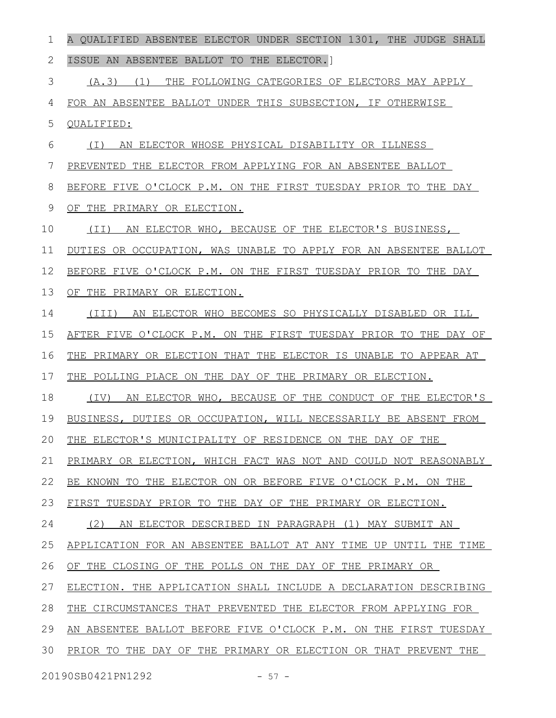| 1                             | A QUALIFIED ABSENTEE ELECTOR UNDER SECTION 1301, THE JUDGE SHALL    |
|-------------------------------|---------------------------------------------------------------------|
| 2                             | ISSUE AN ABSENTEE BALLOT TO THE ELECTOR.                            |
| 3                             | (A.3)<br>(1)<br>THE FOLLOWING CATEGORIES OF ELECTORS MAY APPLY      |
| 4                             | FOR AN ABSENTEE BALLOT UNDER THIS SUBSECTION, IF OTHERWISE          |
| 5                             | QUALIFIED:                                                          |
| 6                             | AN ELECTOR WHOSE PHYSICAL DISABILITY OR ILLNESS<br>( I )            |
| 7                             | PREVENTED THE ELECTOR FROM APPLYING FOR AN ABSENTEE BALLOT          |
| 8                             | BEFORE FIVE O'CLOCK P.M. ON THE FIRST TUESDAY PRIOR TO THE DAY      |
| 9                             | OF THE PRIMARY OR ELECTION.                                         |
| 10                            | AN ELECTOR WHO, BECAUSE OF THE ELECTOR'S BUSINESS,<br>(TI)          |
| 11                            | DUTIES OR OCCUPATION, WAS UNABLE TO APPLY FOR AN ABSENTEE BALLOT    |
| 12                            | BEFORE FIVE O'CLOCK P.M. ON THE FIRST TUESDAY PRIOR TO THE DAY      |
| 13                            | OF THE PRIMARY OR ELECTION.                                         |
| 14                            | AN ELECTOR WHO BECOMES SO PHYSICALLY DISABLED OR ILL<br>$(\I{III})$ |
| 15                            | AFTER FIVE O'CLOCK P.M. ON THE FIRST TUESDAY PRIOR TO THE DAY OF    |
| 16                            | THE PRIMARY OR ELECTION THAT THE ELECTOR IS UNABLE TO APPEAR AT     |
| 17                            | THE POLLING PLACE ON THE DAY OF THE PRIMARY OR ELECTION.            |
| 18                            | AN ELECTOR WHO, BECAUSE OF THE CONDUCT OF THE ELECTOR'S<br>(IV)     |
| 19                            | BUSINESS, DUTIES OR OCCUPATION, WILL NECESSARILY BE ABSENT FROM     |
| 20                            | THE ELECTOR'S MUNICIPALITY OF RESIDENCE ON THE DAY OF THE           |
| 21                            | PRIMARY OR ELECTION, WHICH FACT WAS NOT AND COULD NOT REASONABLY    |
| 22                            | BE KNOWN TO THE ELECTOR ON OR BEFORE FIVE O'CLOCK P.M. ON THE       |
| 23                            | FIRST TUESDAY PRIOR TO THE DAY OF THE PRIMARY OR ELECTION.          |
| 24                            | (2)<br>AN ELECTOR DESCRIBED IN PARAGRAPH (1) MAY SUBMIT AN          |
| 25                            | APPLICATION FOR AN ABSENTEE BALLOT AT ANY TIME UP UNTIL THE TIME    |
| 26                            | OF THE CLOSING OF THE POLLS ON THE DAY OF THE PRIMARY OR            |
| 27                            | ELECTION. THE APPLICATION SHALL INCLUDE A DECLARATION DESCRIBING    |
| 28                            | THE CIRCUMSTANCES THAT PREVENTED THE ELECTOR FROM APPLYING FOR      |
| 29                            | AN ABSENTEE BALLOT BEFORE FIVE O'CLOCK P.M. ON THE FIRST TUESDAY    |
| 30                            | PRIOR TO THE DAY OF THE PRIMARY OR ELECTION OR THAT PREVENT THE     |
| $\bigcap$ $\bigcap$ $\bigcap$ | $\overline{a}$                                                      |

20190SB0421PN1292 - 57 -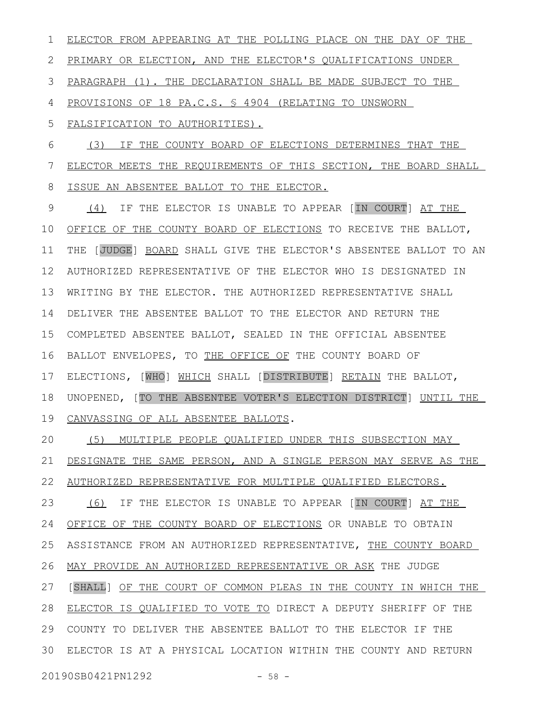ELECTOR FROM APPEARING AT THE POLLING PLACE ON THE DAY OF THE PRIMARY OR ELECTION, AND THE ELECTOR'S QUALIFICATIONS UNDER PARAGRAPH (1). THE DECLARATION SHALL BE MADE SUBJECT TO THE PROVISIONS OF 18 PA.C.S. § 4904 (RELATING TO UNSWORN FALSIFICATION TO AUTHORITIES). (3) IF THE COUNTY BOARD OF ELECTIONS DETERMINES THAT THE ELECTOR MEETS THE REQUIREMENTS OF THIS SECTION, THE BOARD SHALL ISSUE AN ABSENTEE BALLOT TO THE ELECTOR. (4) IF THE ELECTOR IS UNABLE TO APPEAR [IN COURT] AT THE OFFICE OF THE COUNTY BOARD OF ELECTIONS TO RECEIVE THE BALLOT, THE [JUDGE] BOARD SHALL GIVE THE ELECTOR'S ABSENTEE BALLOT TO AN AUTHORIZED REPRESENTATIVE OF THE ELECTOR WHO IS DESIGNATED IN WRITING BY THE ELECTOR. THE AUTHORIZED REPRESENTATIVE SHALL DELIVER THE ABSENTEE BALLOT TO THE ELECTOR AND RETURN THE COMPLETED ABSENTEE BALLOT, SEALED IN THE OFFICIAL ABSENTEE BALLOT ENVELOPES, TO THE OFFICE OF THE COUNTY BOARD OF ELECTIONS, [WHO] WHICH SHALL [DISTRIBUTE] RETAIN THE BALLOT, UNOPENED, [TO THE ABSENTEE VOTER'S ELECTION DISTRICT] UNTIL THE CANVASSING OF ALL ABSENTEE BALLOTS. (5) MULTIPLE PEOPLE QUALIFIED UNDER THIS SUBSECTION MAY DESIGNATE THE SAME PERSON, AND A SINGLE PERSON MAY SERVE AS THE AUTHORIZED REPRESENTATIVE FOR MULTIPLE QUALIFIED ELECTORS. (6) IF THE ELECTOR IS UNABLE TO APPEAR [IN COURT] AT THE OFFICE OF THE COUNTY BOARD OF ELECTIONS OR UNABLE TO OBTAIN ASSISTANCE FROM AN AUTHORIZED REPRESENTATIVE, THE COUNTY BOARD MAY PROVIDE AN AUTHORIZED REPRESENTATIVE OR ASK THE JUDGE [SHALL] OF THE COURT OF COMMON PLEAS IN THE COUNTY IN WHICH THE ELECTOR IS QUALIFIED TO VOTE TO DIRECT A DEPUTY SHERIFF OF THE 29 COUNTY TO DELIVER THE ABSENTEE BALLOT TO THE ELECTOR IF THE ELECTOR IS AT A PHYSICAL LOCATION WITHIN THE COUNTY AND RETURN 301 2 3 4 5 6 7 8 9 10 11 12 13 14 15 16 17 18 19 20 21 22 23 24 25 26 27 28

20190SB0421PN1292 - 58 -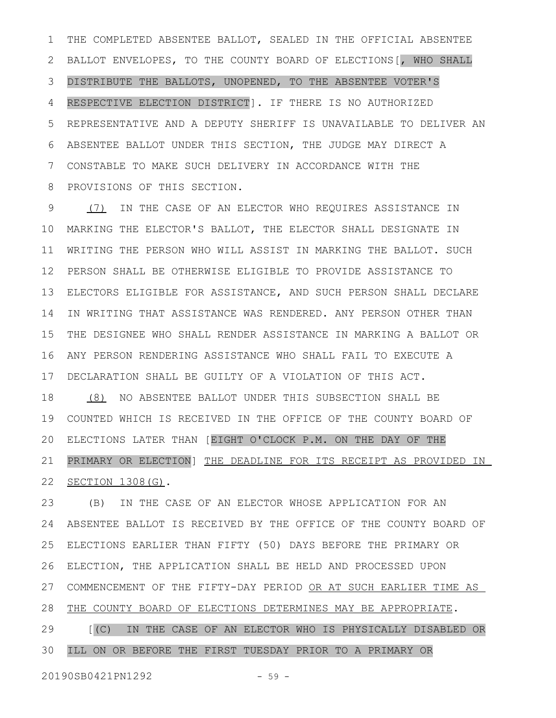THE COMPLETED ABSENTEE BALLOT, SEALED IN THE OFFICIAL ABSENTEE BALLOT ENVELOPES, TO THE COUNTY BOARD OF ELECTIONS[, WHO SHALL DISTRIBUTE THE BALLOTS, UNOPENED, TO THE ABSENTEE VOTER'S RESPECTIVE ELECTION DISTRICT]. IF THERE IS NO AUTHORIZED REPRESENTATIVE AND A DEPUTY SHERIFF IS UNAVAILABLE TO DELIVER AN ABSENTEE BALLOT UNDER THIS SECTION, THE JUDGE MAY DIRECT A CONSTABLE TO MAKE SUCH DELIVERY IN ACCORDANCE WITH THE PROVISIONS OF THIS SECTION. 1 2 3 4 5 6 7 8

(7) IN THE CASE OF AN ELECTOR WHO REQUIRES ASSISTANCE IN MARKING THE ELECTOR'S BALLOT, THE ELECTOR SHALL DESIGNATE IN WRITING THE PERSON WHO WILL ASSIST IN MARKING THE BALLOT. SUCH PERSON SHALL BE OTHERWISE ELIGIBLE TO PROVIDE ASSISTANCE TO ELECTORS ELIGIBLE FOR ASSISTANCE, AND SUCH PERSON SHALL DECLARE IN WRITING THAT ASSISTANCE WAS RENDERED. ANY PERSON OTHER THAN THE DESIGNEE WHO SHALL RENDER ASSISTANCE IN MARKING A BALLOT OR ANY PERSON RENDERING ASSISTANCE WHO SHALL FAIL TO EXECUTE A DECLARATION SHALL BE GUILTY OF A VIOLATION OF THIS ACT. 9 10 11 12 13 14 15 16 17

(8) NO ABSENTEE BALLOT UNDER THIS SUBSECTION SHALL BE COUNTED WHICH IS RECEIVED IN THE OFFICE OF THE COUNTY BOARD OF ELECTIONS LATER THAN [EIGHT O'CLOCK P.M. ON THE DAY OF THE PRIMARY OR ELECTION] THE DEADLINE FOR ITS RECEIPT AS PROVIDED IN SECTION 1308(G). 18 19 20 21 22

(B) IN THE CASE OF AN ELECTOR WHOSE APPLICATION FOR AN ABSENTEE BALLOT IS RECEIVED BY THE OFFICE OF THE COUNTY BOARD OF ELECTIONS EARLIER THAN FIFTY (50) DAYS BEFORE THE PRIMARY OR ELECTION, THE APPLICATION SHALL BE HELD AND PROCESSED UPON COMMENCEMENT OF THE FIFTY-DAY PERIOD OR AT SUCH EARLIER TIME AS THE COUNTY BOARD OF ELECTIONS DETERMINES MAY BE APPROPRIATE. [(C) IN THE CASE OF AN ELECTOR WHO IS PHYSICALLY DISABLED OR ILL ON OR BEFORE THE FIRST TUESDAY PRIOR TO A PRIMARY OR 23 24 25 26 27 28 29 30

20190SB0421PN1292 - 59 -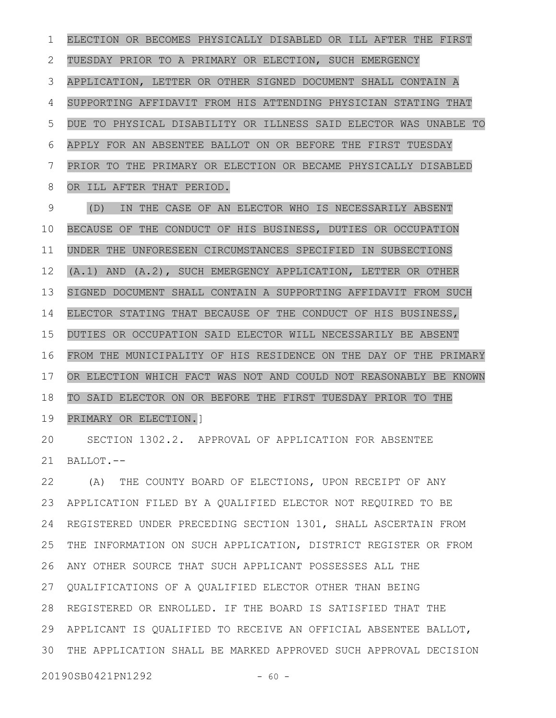ELECTION OR BECOMES PHYSICALLY DISABLED OR ILL AFTER THE FIRST TUESDAY PRIOR TO A PRIMARY OR ELECTION, SUCH EMERGENCY APPLICATION, LETTER OR OTHER SIGNED DOCUMENT SHALL CONTAIN A SUPPORTING AFFIDAVIT FROM HIS ATTENDING PHYSICIAN STATING THAT DUE TO PHYSICAL DISABILITY OR ILLNESS SAID ELECTOR WAS UNABLE TO APPLY FOR AN ABSENTEE BALLOT ON OR BEFORE THE FIRST TUESDAY PRIOR TO THE PRIMARY OR ELECTION OR BECAME PHYSICALLY DISABLED OR ILL AFTER THAT PERIOD. (D) IN THE CASE OF AN ELECTOR WHO IS NECESSARILY ABSENT BECAUSE OF THE CONDUCT OF HIS BUSINESS, DUTIES OR OCCUPATION UNDER THE UNFORESEEN CIRCUMSTANCES SPECIFIED IN SUBSECTIONS (A.1) AND (A.2), SUCH EMERGENCY APPLICATION, LETTER OR OTHER SIGNED DOCUMENT SHALL CONTAIN A SUPPORTING AFFIDAVIT FROM SUCH ELECTOR STATING THAT BECAUSE OF THE CONDUCT OF HIS BUSINESS, DUTIES OR OCCUPATION SAID ELECTOR WILL NECESSARILY BE ABSENT FROM THE MUNICIPALITY OF HIS RESIDENCE ON THE DAY OF THE PRIMARY OR ELECTION WHICH FACT WAS NOT AND COULD NOT REASONABLY BE KNOWN TO SAID ELECTOR ON OR BEFORE THE FIRST TUESDAY PRIOR TO THE PRIMARY OR ELECTION.] 1 2 3 4 5 6 7 8 9 10 11 12 13 14 15 16 17 18 19

SECTION 1302.2. APPROVAL OF APPLICATION FOR ABSENTEE BALLOT.-- 20 21

(A) THE COUNTY BOARD OF ELECTIONS, UPON RECEIPT OF ANY APPLICATION FILED BY A QUALIFIED ELECTOR NOT REQUIRED TO BE REGISTERED UNDER PRECEDING SECTION 1301, SHALL ASCERTAIN FROM THE INFORMATION ON SUCH APPLICATION, DISTRICT REGISTER OR FROM ANY OTHER SOURCE THAT SUCH APPLICANT POSSESSES ALL THE 26 QUALIFICATIONS OF A QUALIFIED ELECTOR OTHER THAN BEING 27 REGISTERED OR ENROLLED. IF THE BOARD IS SATISFIED THAT THE 28 APPLICANT IS QUALIFIED TO RECEIVE AN OFFICIAL ABSENTEE BALLOT, 29 THE APPLICATION SHALL BE MARKED APPROVED SUCH APPROVAL DECISION 3022 23 24 25

20190SB0421PN1292 - 60 -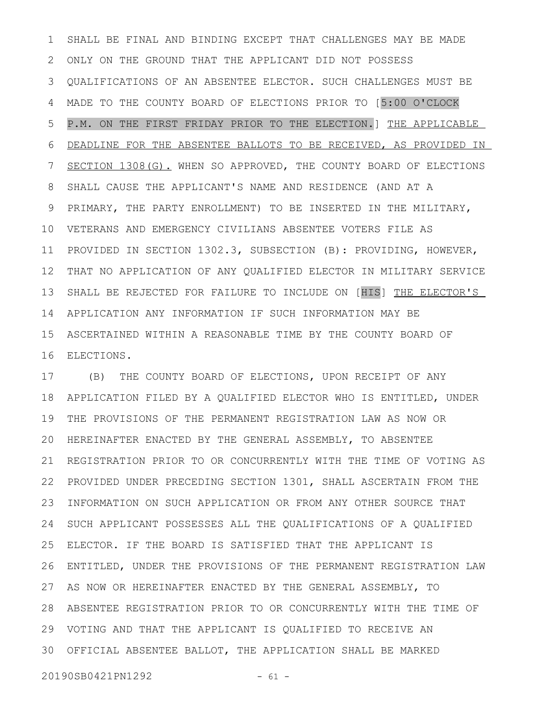SHALL BE FINAL AND BINDING EXCEPT THAT CHALLENGES MAY BE MADE ONLY ON THE GROUND THAT THE APPLICANT DID NOT POSSESS QUALIFICATIONS OF AN ABSENTEE ELECTOR. SUCH CHALLENGES MUST BE MADE TO THE COUNTY BOARD OF ELECTIONS PRIOR TO [5:00 O'CLOCK P.M. ON THE FIRST FRIDAY PRIOR TO THE ELECTION.] THE APPLICABLE DEADLINE FOR THE ABSENTEE BALLOTS TO BE RECEIVED, AS PROVIDED IN SECTION 1308(G). WHEN SO APPROVED, THE COUNTY BOARD OF ELECTIONS SHALL CAUSE THE APPLICANT'S NAME AND RESIDENCE (AND AT A PRIMARY, THE PARTY ENROLLMENT) TO BE INSERTED IN THE MILITARY, VETERANS AND EMERGENCY CIVILIANS ABSENTEE VOTERS FILE AS PROVIDED IN SECTION 1302.3, SUBSECTION (B): PROVIDING, HOWEVER, THAT NO APPLICATION OF ANY QUALIFIED ELECTOR IN MILITARY SERVICE SHALL BE REJECTED FOR FAILURE TO INCLUDE ON [HIS] THE ELECTOR'S 14 APPLICATION ANY INFORMATION IF SUCH INFORMATION MAY BE ASCERTAINED WITHIN A REASONABLE TIME BY THE COUNTY BOARD OF 15 ELECTIONS. 16 1 2 3 4 5 6 7 8 9 10 11 12 13

(B) THE COUNTY BOARD OF ELECTIONS, UPON RECEIPT OF ANY APPLICATION FILED BY A QUALIFIED ELECTOR WHO IS ENTITLED, UNDER THE PROVISIONS OF THE PERMANENT REGISTRATION LAW AS NOW OR HEREINAFTER ENACTED BY THE GENERAL ASSEMBLY, TO ABSENTEE 20 21 REGISTRATION PRIOR TO OR CONCURRENTLY WITH THE TIME OF VOTING AS 22 PROVIDED UNDER PRECEDING SECTION 1301, SHALL ASCERTAIN FROM THE INFORMATION ON SUCH APPLICATION OR FROM ANY OTHER SOURCE THAT SUCH APPLICANT POSSESSES ALL THE QUALIFICATIONS OF A QUALIFIED ELECTOR. IF THE BOARD IS SATISFIED THAT THE APPLICANT IS ENTITLED, UNDER THE PROVISIONS OF THE PERMANENT REGISTRATION LAW AS NOW OR HEREINAFTER ENACTED BY THE GENERAL ASSEMBLY, TO ABSENTEE REGISTRATION PRIOR TO OR CONCURRENTLY WITH THE TIME OF 28 VOTING AND THAT THE APPLICANT IS QUALIFIED TO RECEIVE AN 29 OFFICIAL ABSENTEE BALLOT, THE APPLICATION SHALL BE MARKED 3017 18 19 23 24 25 26 27

20190SB0421PN1292 - 61 -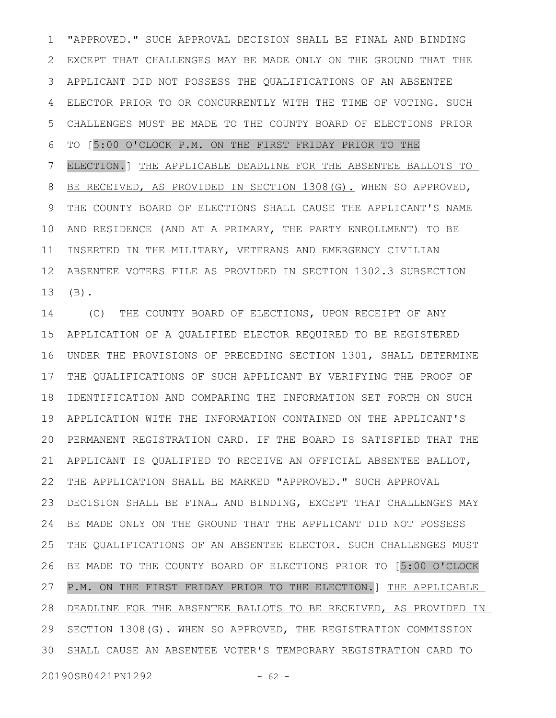"APPROVED." SUCH APPROVAL DECISION SHALL BE FINAL AND BINDING EXCEPT THAT CHALLENGES MAY BE MADE ONLY ON THE GROUND THAT THE APPLICANT DID NOT POSSESS THE QUALIFICATIONS OF AN ABSENTEE ELECTOR PRIOR TO OR CONCURRENTLY WITH THE TIME OF VOTING. SUCH CHALLENGES MUST BE MADE TO THE COUNTY BOARD OF ELECTIONS PRIOR TO [5:00 O'CLOCK P.M. ON THE FIRST FRIDAY PRIOR TO THE ELECTION.] THE APPLICABLE DEADLINE FOR THE ABSENTEE BALLOTS TO BE RECEIVED, AS PROVIDED IN SECTION 1308(G). WHEN SO APPROVED, THE COUNTY BOARD OF ELECTIONS SHALL CAUSE THE APPLICANT'S NAME AND RESIDENCE (AND AT A PRIMARY, THE PARTY ENROLLMENT) TO BE INSERTED IN THE MILITARY, VETERANS AND EMERGENCY CIVILIAN ABSENTEE VOTERS FILE AS PROVIDED IN SECTION 1302.3 SUBSECTION (B). 1 2 3 4 5 6 7 8 9 10 11 12 13

(C) THE COUNTY BOARD OF ELECTIONS, UPON RECEIPT OF ANY APPLICATION OF A QUALIFIED ELECTOR REQUIRED TO BE REGISTERED UNDER THE PROVISIONS OF PRECEDING SECTION 1301, SHALL DETERMINE THE QUALIFICATIONS OF SUCH APPLICANT BY VERIFYING THE PROOF OF IDENTIFICATION AND COMPARING THE INFORMATION SET FORTH ON SUCH APPLICATION WITH THE INFORMATION CONTAINED ON THE APPLICANT'S PERMANENT REGISTRATION CARD. IF THE BOARD IS SATISFIED THAT THE APPLICANT IS QUALIFIED TO RECEIVE AN OFFICIAL ABSENTEE BALLOT, THE APPLICATION SHALL BE MARKED "APPROVED." SUCH APPROVAL DECISION SHALL BE FINAL AND BINDING, EXCEPT THAT CHALLENGES MAY BE MADE ONLY ON THE GROUND THAT THE APPLICANT DID NOT POSSESS THE QUALIFICATIONS OF AN ABSENTEE ELECTOR. SUCH CHALLENGES MUST BE MADE TO THE COUNTY BOARD OF ELECTIONS PRIOR TO [5:00 O'CLOCK P.M. ON THE FIRST FRIDAY PRIOR TO THE ELECTION.] THE APPLICABLE DEADLINE FOR THE ABSENTEE BALLOTS TO BE RECEIVED, AS PROVIDED IN 29 SECTION 1308(G). WHEN SO APPROVED, THE REGISTRATION COMMISSION SHALL CAUSE AN ABSENTEE VOTER'S TEMPORARY REGISTRATION CARD TO 3014 15 16 17 18 19 20 21 22 23 24 25 26 27 28

20190SB0421PN1292 - 62 -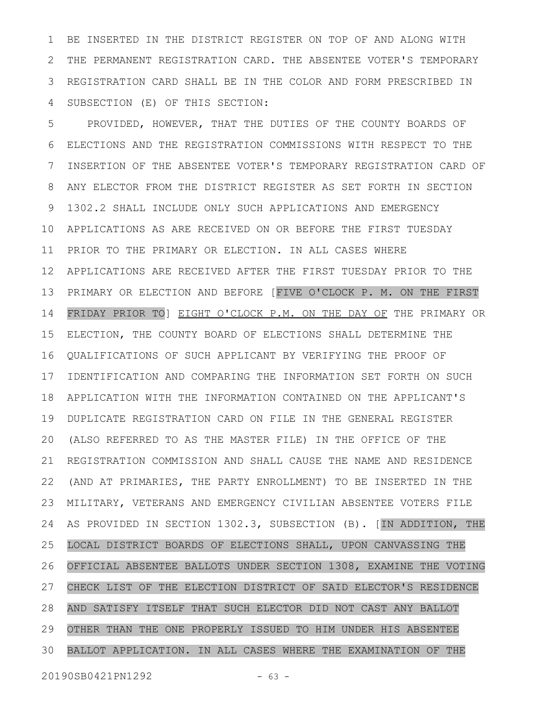BE INSERTED IN THE DISTRICT REGISTER ON TOP OF AND ALONG WITH THE PERMANENT REGISTRATION CARD. THE ABSENTEE VOTER'S TEMPORARY REGISTRATION CARD SHALL BE IN THE COLOR AND FORM PRESCRIBED IN SUBSECTION (E) OF THIS SECTION: 1 2 3 4

PROVIDED, HOWEVER, THAT THE DUTIES OF THE COUNTY BOARDS OF ELECTIONS AND THE REGISTRATION COMMISSIONS WITH RESPECT TO THE INSERTION OF THE ABSENTEE VOTER'S TEMPORARY REGISTRATION CARD OF ANY ELECTOR FROM THE DISTRICT REGISTER AS SET FORTH IN SECTION 1302.2 SHALL INCLUDE ONLY SUCH APPLICATIONS AND EMERGENCY APPLICATIONS AS ARE RECEIVED ON OR BEFORE THE FIRST TUESDAY PRIOR TO THE PRIMARY OR ELECTION. IN ALL CASES WHERE APPLICATIONS ARE RECEIVED AFTER THE FIRST TUESDAY PRIOR TO THE PRIMARY OR ELECTION AND BEFORE [FIVE O'CLOCK P. M. ON THE FIRST FRIDAY PRIOR TO] EIGHT O'CLOCK P.M. ON THE DAY OF THE PRIMARY OR ELECTION, THE COUNTY BOARD OF ELECTIONS SHALL DETERMINE THE QUALIFICATIONS OF SUCH APPLICANT BY VERIFYING THE PROOF OF IDENTIFICATION AND COMPARING THE INFORMATION SET FORTH ON SUCH APPLICATION WITH THE INFORMATION CONTAINED ON THE APPLICANT'S DUPLICATE REGISTRATION CARD ON FILE IN THE GENERAL REGISTER (ALSO REFERRED TO AS THE MASTER FILE) IN THE OFFICE OF THE REGISTRATION COMMISSION AND SHALL CAUSE THE NAME AND RESIDENCE (AND AT PRIMARIES, THE PARTY ENROLLMENT) TO BE INSERTED IN THE MILITARY, VETERANS AND EMERGENCY CIVILIAN ABSENTEE VOTERS FILE AS PROVIDED IN SECTION 1302.3, SUBSECTION (B). [IN ADDITION, THE LOCAL DISTRICT BOARDS OF ELECTIONS SHALL, UPON CANVASSING THE OFFICIAL ABSENTEE BALLOTS UNDER SECTION 1308, EXAMINE THE VOTING CHECK LIST OF THE ELECTION DISTRICT OF SAID ELECTOR'S RESIDENCE AND SATISFY ITSELF THAT SUCH ELECTOR DID NOT CAST ANY BALLOT OTHER THAN THE ONE PROPERLY ISSUED TO HIM UNDER HIS ABSENTEE BALLOT APPLICATION. IN ALL CASES WHERE THE EXAMINATION OF THE 5 6 7 8 9 10 11 12 13 14 15 16 17 18 19 20 21 22 23 24 25 26 27 28 29 30

20190SB0421PN1292 - 63 -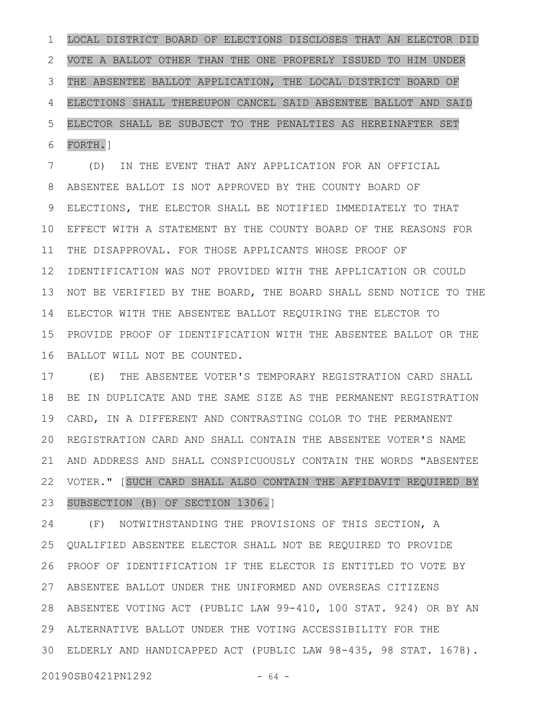LOCAL DISTRICT BOARD OF ELECTIONS DISCLOSES THAT AN ELECTOR DID VOTE A BALLOT OTHER THAN THE ONE PROPERLY ISSUED TO HIM UNDER THE ABSENTEE BALLOT APPLICATION, THE LOCAL DISTRICT BOARD OF ELECTIONS SHALL THEREUPON CANCEL SAID ABSENTEE BALLOT AND SAID ELECTOR SHALL BE SUBJECT TO THE PENALTIES AS HEREINAFTER SET FORTH.] 1 2 3 4 5 6

(D) IN THE EVENT THAT ANY APPLICATION FOR AN OFFICIAL ABSENTEE BALLOT IS NOT APPROVED BY THE COUNTY BOARD OF ELECTIONS, THE ELECTOR SHALL BE NOTIFIED IMMEDIATELY TO THAT EFFECT WITH A STATEMENT BY THE COUNTY BOARD OF THE REASONS FOR THE DISAPPROVAL. FOR THOSE APPLICANTS WHOSE PROOF OF IDENTIFICATION WAS NOT PROVIDED WITH THE APPLICATION OR COULD NOT BE VERIFIED BY THE BOARD, THE BOARD SHALL SEND NOTICE TO THE ELECTOR WITH THE ABSENTEE BALLOT REQUIRING THE ELECTOR TO PROVIDE PROOF OF IDENTIFICATION WITH THE ABSENTEE BALLOT OR THE BALLOT WILL NOT BE COUNTED. 7 8 9 10 11 12 13 14 15 16

(E) THE ABSENTEE VOTER'S TEMPORARY REGISTRATION CARD SHALL BE IN DUPLICATE AND THE SAME SIZE AS THE PERMANENT REGISTRATION CARD, IN A DIFFERENT AND CONTRASTING COLOR TO THE PERMANENT REGISTRATION CARD AND SHALL CONTAIN THE ABSENTEE VOTER'S NAME AND ADDRESS AND SHALL CONSPICUOUSLY CONTAIN THE WORDS "ABSENTEE VOTER." [SUCH CARD SHALL ALSO CONTAIN THE AFFIDAVIT REQUIRED BY SUBSECTION (B) OF SECTION 1306.] 17 18 19 20 21 22 23

(F) NOTWITHSTANDING THE PROVISIONS OF THIS SECTION, A QUALIFIED ABSENTEE ELECTOR SHALL NOT BE REQUIRED TO PROVIDE PROOF OF IDENTIFICATION IF THE ELECTOR IS ENTITLED TO VOTE BY ABSENTEE BALLOT UNDER THE UNIFORMED AND OVERSEAS CITIZENS ABSENTEE VOTING ACT (PUBLIC LAW 99-410, 100 STAT. 924) OR BY AN 28 ALTERNATIVE BALLOT UNDER THE VOTING ACCESSIBILITY FOR THE 29 ELDERLY AND HANDICAPPED ACT (PUBLIC LAW 98-435, 98 STAT. 1678). 3024 25 26 27

20190SB0421PN1292 - 64 -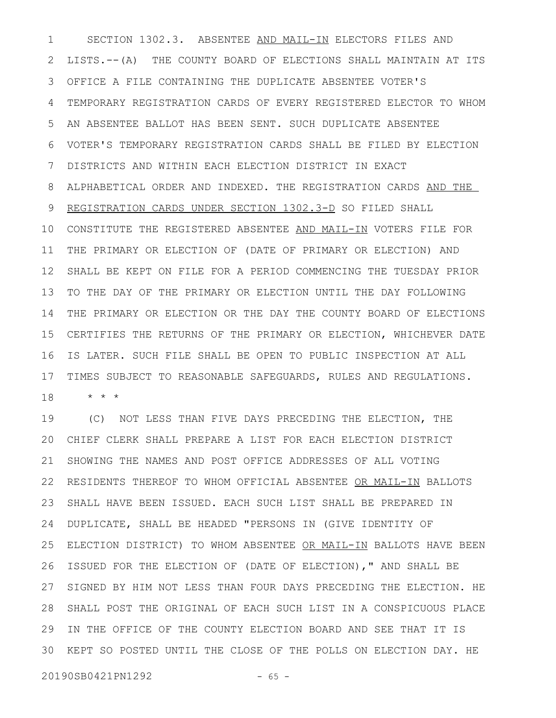SECTION 1302.3. ABSENTEE AND MAIL-IN ELECTORS FILES AND LISTS.--(A) THE COUNTY BOARD OF ELECTIONS SHALL MAINTAIN AT ITS OFFICE A FILE CONTAINING THE DUPLICATE ABSENTEE VOTER'S TEMPORARY REGISTRATION CARDS OF EVERY REGISTERED ELECTOR TO WHOM AN ABSENTEE BALLOT HAS BEEN SENT. SUCH DUPLICATE ABSENTEE VOTER'S TEMPORARY REGISTRATION CARDS SHALL BE FILED BY ELECTION DISTRICTS AND WITHIN EACH ELECTION DISTRICT IN EXACT ALPHABETICAL ORDER AND INDEXED. THE REGISTRATION CARDS AND THE REGISTRATION CARDS UNDER SECTION 1302.3-D SO FILED SHALL 10 CONSTITUTE THE REGISTERED ABSENTEE AND MAIL-IN VOTERS FILE FOR THE PRIMARY OR ELECTION OF (DATE OF PRIMARY OR ELECTION) AND SHALL BE KEPT ON FILE FOR A PERIOD COMMENCING THE TUESDAY PRIOR TO THE DAY OF THE PRIMARY OR ELECTION UNTIL THE DAY FOLLOWING THE PRIMARY OR ELECTION OR THE DAY THE COUNTY BOARD OF ELECTIONS CERTIFIES THE RETURNS OF THE PRIMARY OR ELECTION, WHICHEVER DATE IS LATER. SUCH FILE SHALL BE OPEN TO PUBLIC INSPECTION AT ALL TIMES SUBJECT TO REASONABLE SAFEGUARDS, RULES AND REGULATIONS. \* \* \* 1 2 3 4 5 6 7 8 9 11 12 13 14 15 16 17 18

(C) NOT LESS THAN FIVE DAYS PRECEDING THE ELECTION, THE CHIEF CLERK SHALL PREPARE A LIST FOR EACH ELECTION DISTRICT SHOWING THE NAMES AND POST OFFICE ADDRESSES OF ALL VOTING RESIDENTS THEREOF TO WHOM OFFICIAL ABSENTEE OR MAIL-IN BALLOTS SHALL HAVE BEEN ISSUED. EACH SUCH LIST SHALL BE PREPARED IN DUPLICATE, SHALL BE HEADED "PERSONS IN (GIVE IDENTITY OF ELECTION DISTRICT) TO WHOM ABSENTEE OR MAIL-IN BALLOTS HAVE BEEN ISSUED FOR THE ELECTION OF (DATE OF ELECTION)," AND SHALL BE SIGNED BY HIM NOT LESS THAN FOUR DAYS PRECEDING THE ELECTION. HE SHALL POST THE ORIGINAL OF EACH SUCH LIST IN A CONSPICUOUS PLACE 28 IN THE OFFICE OF THE COUNTY ELECTION BOARD AND SEE THAT IT IS KEPT SO POSTED UNTIL THE CLOSE OF THE POLLS ON ELECTION DAY. HE 3019 20 21 22 23 24 25 26 27 29

20190SB0421PN1292 - 65 -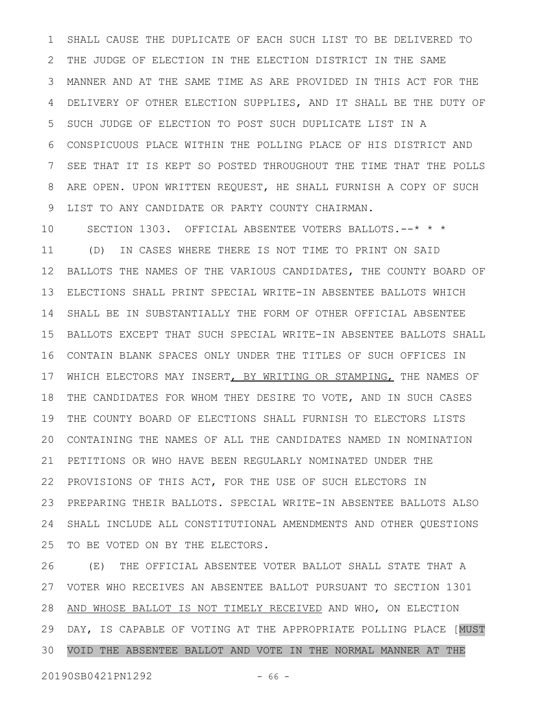SHALL CAUSE THE DUPLICATE OF EACH SUCH LIST TO BE DELIVERED TO THE JUDGE OF ELECTION IN THE ELECTION DISTRICT IN THE SAME MANNER AND AT THE SAME TIME AS ARE PROVIDED IN THIS ACT FOR THE DELIVERY OF OTHER ELECTION SUPPLIES, AND IT SHALL BE THE DUTY OF SUCH JUDGE OF ELECTION TO POST SUCH DUPLICATE LIST IN A CONSPICUOUS PLACE WITHIN THE POLLING PLACE OF HIS DISTRICT AND SEE THAT IT IS KEPT SO POSTED THROUGHOUT THE TIME THAT THE POLLS ARE OPEN. UPON WRITTEN REQUEST, HE SHALL FURNISH A COPY OF SUCH LIST TO ANY CANDIDATE OR PARTY COUNTY CHAIRMAN. 1 2 3 4 5 6 7 8 9

SECTION 1303. OFFICIAL ABSENTEE VOTERS BALLOTS.--\* \* \* (D) IN CASES WHERE THERE IS NOT TIME TO PRINT ON SAID BALLOTS THE NAMES OF THE VARIOUS CANDIDATES, THE COUNTY BOARD OF ELECTIONS SHALL PRINT SPECIAL WRITE-IN ABSENTEE BALLOTS WHICH SHALL BE IN SUBSTANTIALLY THE FORM OF OTHER OFFICIAL ABSENTEE BALLOTS EXCEPT THAT SUCH SPECIAL WRITE-IN ABSENTEE BALLOTS SHALL CONTAIN BLANK SPACES ONLY UNDER THE TITLES OF SUCH OFFICES IN WHICH ELECTORS MAY INSERT, BY WRITING OR STAMPING, THE NAMES OF THE CANDIDATES FOR WHOM THEY DESIRE TO VOTE, AND IN SUCH CASES THE COUNTY BOARD OF ELECTIONS SHALL FURNISH TO ELECTORS LISTS CONTAINING THE NAMES OF ALL THE CANDIDATES NAMED IN NOMINATION PETITIONS OR WHO HAVE BEEN REGULARLY NOMINATED UNDER THE PROVISIONS OF THIS ACT, FOR THE USE OF SUCH ELECTORS IN PREPARING THEIR BALLOTS. SPECIAL WRITE-IN ABSENTEE BALLOTS ALSO SHALL INCLUDE ALL CONSTITUTIONAL AMENDMENTS AND OTHER QUESTIONS TO BE VOTED ON BY THE ELECTORS. 10 11 12 13 14 15 16 17 18 19 20 21 22 23 24 25

(E) THE OFFICIAL ABSENTEE VOTER BALLOT SHALL STATE THAT A VOTER WHO RECEIVES AN ABSENTEE BALLOT PURSUANT TO SECTION 1301 AND WHOSE BALLOT IS NOT TIMELY RECEIVED AND WHO, ON ELECTION DAY, IS CAPABLE OF VOTING AT THE APPROPRIATE POLLING PLACE [MUST VOID THE ABSENTEE BALLOT AND VOTE IN THE NORMAL MANNER AT THE 26 27 28 29 30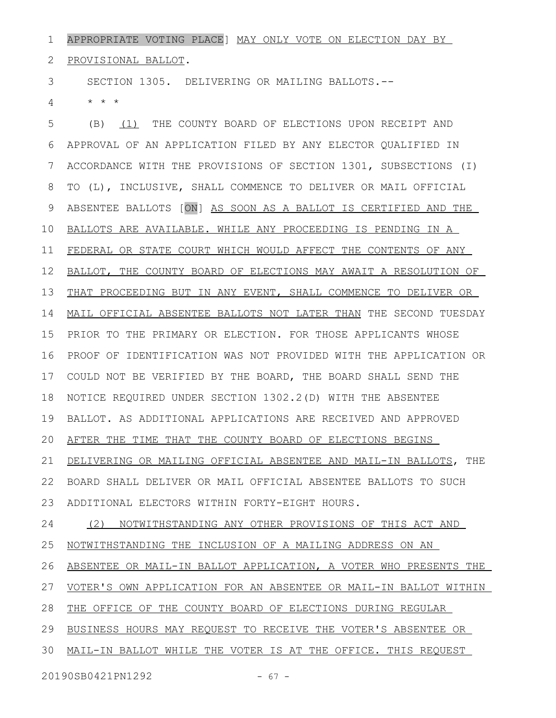APPROPRIATE VOTING PLACE] MAY ONLY VOTE ON ELECTION DAY BY 1

PROVISIONAL BALLOT. 2

SECTION 1305. DELIVERING OR MAILING BALLOTS.-- 3

\* \* \* 4

(B) (1) THE COUNTY BOARD OF ELECTIONS UPON RECEIPT AND APPROVAL OF AN APPLICATION FILED BY ANY ELECTOR QUALIFIED IN ACCORDANCE WITH THE PROVISIONS OF SECTION 1301, SUBSECTIONS (I) TO (L), INCLUSIVE, SHALL COMMENCE TO DELIVER OR MAIL OFFICIAL ABSENTEE BALLOTS [ON] AS SOON AS A BALLOT IS CERTIFIED AND THE BALLOTS ARE AVAILABLE. WHILE ANY PROCEEDING IS PENDING IN A FEDERAL OR STATE COURT WHICH WOULD AFFECT THE CONTENTS OF ANY BALLOT, THE COUNTY BOARD OF ELECTIONS MAY AWAIT A RESOLUTION OF THAT PROCEEDING BUT IN ANY EVENT, SHALL COMMENCE TO DELIVER OR MAIL OFFICIAL ABSENTEE BALLOTS NOT LATER THAN THE SECOND TUESDAY PRIOR TO THE PRIMARY OR ELECTION. FOR THOSE APPLICANTS WHOSE PROOF OF IDENTIFICATION WAS NOT PROVIDED WITH THE APPLICATION OR COULD NOT BE VERIFIED BY THE BOARD, THE BOARD SHALL SEND THE NOTICE REQUIRED UNDER SECTION 1302.2(D) WITH THE ABSENTEE BALLOT. AS ADDITIONAL APPLICATIONS ARE RECEIVED AND APPROVED AFTER THE TIME THAT THE COUNTY BOARD OF ELECTIONS BEGINS DELIVERING OR MAILING OFFICIAL ABSENTEE AND MAIL-IN BALLOTS, THE BOARD SHALL DELIVER OR MAIL OFFICIAL ABSENTEE BALLOTS TO SUCH ADDITIONAL ELECTORS WITHIN FORTY-EIGHT HOURS. (2) NOTWITHSTANDING ANY OTHER PROVISIONS OF THIS ACT AND NOTWITHSTANDING THE INCLUSION OF A MAILING ADDRESS ON AN ABSENTEE OR MAIL-IN BALLOT APPLICATION, A VOTER WHO PRESENTS THE VOTER'S OWN APPLICATION FOR AN ABSENTEE OR MAIL-IN BALLOT WITHIN THE OFFICE OF THE COUNTY BOARD OF ELECTIONS DURING REGULAR BUSINESS HOURS MAY REQUEST TO RECEIVE THE VOTER'S ABSENTEE OR 30 MAIL-IN BALLOT WHILE THE VOTER IS AT THE OFFICE. THIS REQUEST 5 6 7 8 9 10 11 12 13 14 15 16 17 18 19 20 21 22 23 24 25 26 27 28 29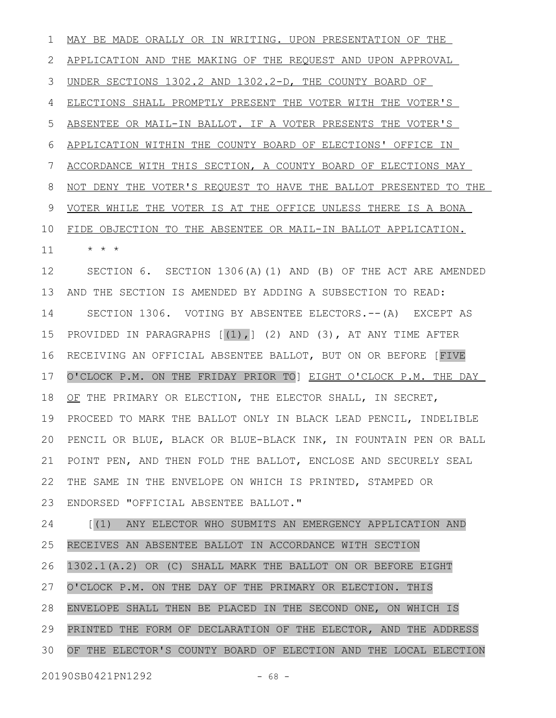MAY BE MADE ORALLY OR IN WRITING. UPON PRESENTATION OF THE APPLICATION AND THE MAKING OF THE REQUEST AND UPON APPROVAL UNDER SECTIONS 1302.2 AND 1302.2-D, THE COUNTY BOARD OF ELECTIONS SHALL PROMPTLY PRESENT THE VOTER WITH THE VOTER'S ABSENTEE OR MAIL-IN BALLOT. IF A VOTER PRESENTS THE VOTER'S APPLICATION WITHIN THE COUNTY BOARD OF ELECTIONS' OFFICE IN ACCORDANCE WITH THIS SECTION, A COUNTY BOARD OF ELECTIONS MAY NOT DENY THE VOTER'S REQUEST TO HAVE THE BALLOT PRESENTED TO THE VOTER WHILE THE VOTER IS AT THE OFFICE UNLESS THERE IS A BONA FIDE OBJECTION TO THE ABSENTEE OR MAIL-IN BALLOT APPLICATION. \* \* \* SECTION 6. SECTION 1306(A)(1) AND (B) OF THE ACT ARE AMENDED AND THE SECTION IS AMENDED BY ADDING A SUBSECTION TO READ: SECTION 1306. VOTING BY ABSENTEE ELECTORS.--(A) EXCEPT AS PROVIDED IN PARAGRAPHS  $[(1),]$   $(2)$  AND  $(3)$ , AT ANY TIME AFTER RECEIVING AN OFFICIAL ABSENTEE BALLOT, BUT ON OR BEFORE [FIVE O'CLOCK P.M. ON THE FRIDAY PRIOR TO] EIGHT O'CLOCK P.M. THE DAY OF THE PRIMARY OR ELECTION, THE ELECTOR SHALL, IN SECRET, PROCEED TO MARK THE BALLOT ONLY IN BLACK LEAD PENCIL, INDELIBLE PENCIL OR BLUE, BLACK OR BLUE-BLACK INK, IN FOUNTAIN PEN OR BALL POINT PEN, AND THEN FOLD THE BALLOT, ENCLOSE AND SECURELY SEAL THE SAME IN THE ENVELOPE ON WHICH IS PRINTED, STAMPED OR ENDORSED "OFFICIAL ABSENTEE BALLOT." [(1) ANY ELECTOR WHO SUBMITS AN EMERGENCY APPLICATION AND RECEIVES AN ABSENTEE BALLOT IN ACCORDANCE WITH SECTION 1 2 3 4 5 6 7 8 9 10 11 12 13 14 15 16 17 18 19 20 21 22 23 24 25

1302.1(A.2) OR (C) SHALL MARK THE BALLOT ON OR BEFORE EIGHT O'CLOCK P.M. ON THE DAY OF THE PRIMARY OR ELECTION. THIS 26 27

ENVELOPE SHALL THEN BE PLACED IN THE SECOND ONE, ON WHICH IS PRINTED THE FORM OF DECLARATION OF THE ELECTOR, AND THE ADDRESS OF THE ELECTOR'S COUNTY BOARD OF ELECTION AND THE LOCAL ELECTION 28 29 30

20190SB0421PN1292 - 68 -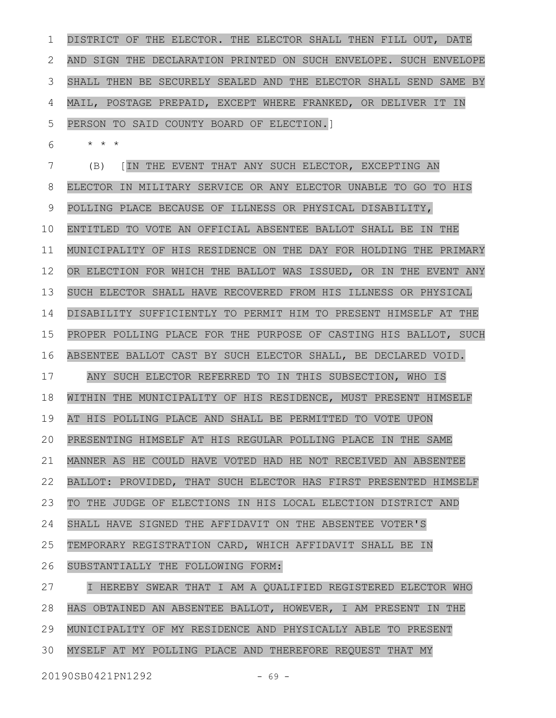DISTRICT OF THE ELECTOR. THE ELECTOR SHALL THEN FILL OUT, DATE AND SIGN THE DECLARATION PRINTED ON SUCH ENVELOPE. SUCH ENVELOPE SHALL THEN BE SECURELY SEALED AND THE ELECTOR SHALL SEND SAME BY MAIL, POSTAGE PREPAID, EXCEPT WHERE FRANKED, OR DELIVER IT IN PERSON TO SAID COUNTY BOARD OF ELECTION.] 1 2 3 4 5

\* \* \* 6

(B) [IN THE EVENT THAT ANY SUCH ELECTOR, EXCEPTING AN ELECTOR IN MILITARY SERVICE OR ANY ELECTOR UNABLE TO GO TO HIS POLLING PLACE BECAUSE OF ILLNESS OR PHYSICAL DISABILITY, ENTITLED TO VOTE AN OFFICIAL ABSENTEE BALLOT SHALL BE IN THE MUNICIPALITY OF HIS RESIDENCE ON THE DAY FOR HOLDING THE PRIMARY OR ELECTION FOR WHICH THE BALLOT WAS ISSUED, OR IN THE EVENT ANY SUCH ELECTOR SHALL HAVE RECOVERED FROM HIS ILLNESS OR PHYSICAL DISABILITY SUFFICIENTLY TO PERMIT HIM TO PRESENT HIMSELF AT THE PROPER POLLING PLACE FOR THE PURPOSE OF CASTING HIS BALLOT, SUCH ABSENTEE BALLOT CAST BY SUCH ELECTOR SHALL, BE DECLARED VOID. ANY SUCH ELECTOR REFERRED TO IN THIS SUBSECTION, WHO IS WITHIN THE MUNICIPALITY OF HIS RESIDENCE, MUST PRESENT HIMSELF AT HIS POLLING PLACE AND SHALL BE PERMITTED TO VOTE UPON PRESENTING HIMSELF AT HIS REGULAR POLLING PLACE IN THE SAME MANNER AS HE COULD HAVE VOTED HAD HE NOT RECEIVED AN ABSENTEE BALLOT: PROVIDED, THAT SUCH ELECTOR HAS FIRST PRESENTED HIMSELF TO THE JUDGE OF ELECTIONS IN HIS LOCAL ELECTION DISTRICT AND SHALL HAVE SIGNED THE AFFIDAVIT ON THE ABSENTEE VOTER'S TEMPORARY REGISTRATION CARD, WHICH AFFIDAVIT SHALL BE IN SUBSTANTIALLY THE FOLLOWING FORM: 7 8 9 10 11 12 13 14 15 16 17 18 19 20 21 22 23 24 25 26

I HEREBY SWEAR THAT I AM A QUALIFIED REGISTERED ELECTOR WHO HAS OBTAINED AN ABSENTEE BALLOT, HOWEVER, I AM PRESENT IN THE MUNICIPALITY OF MY RESIDENCE AND PHYSICALLY ABLE TO PRESENT MYSELF AT MY POLLING PLACE AND THEREFORE REQUEST THAT MY 27 28 29 30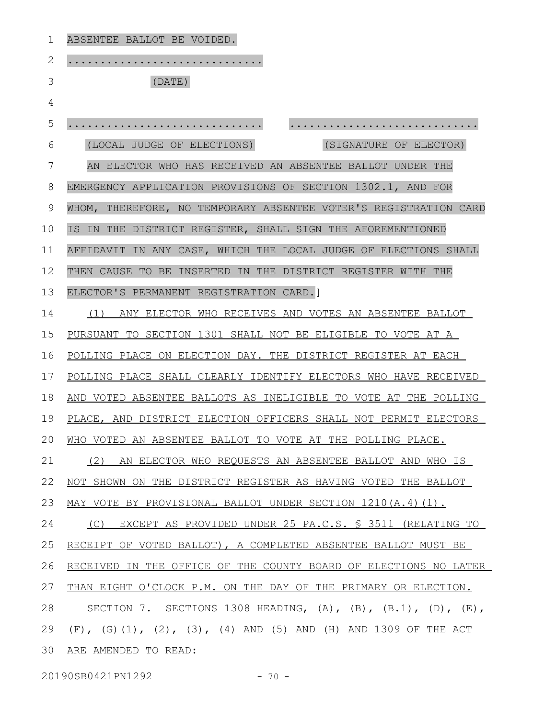| 1  | ABSENTEE BALLOT BE VOIDED.                                         |
|----|--------------------------------------------------------------------|
| 2  |                                                                    |
| 3  | (DATE)                                                             |
| 4  |                                                                    |
| 5  |                                                                    |
| 6  | (LOCAL JUDGE OF ELECTIONS)<br>(SIGNATURE OF ELECTOR)               |
| 7  | AN ELECTOR WHO HAS RECEIVED AN ABSENTEE BALLOT UNDER THE           |
| 8  | EMERGENCY APPLICATION PROVISIONS OF SECTION 1302.1, AND FOR        |
| 9  | WHOM, THEREFORE, NO TEMPORARY ABSENTEE VOTER'S REGISTRATION CARD   |
| 10 | IS IN THE DISTRICT REGISTER, SHALL SIGN THE AFOREMENTIONED         |
| 11 | AFFIDAVIT IN ANY CASE, WHICH THE LOCAL JUDGE OF ELECTIONS SHALL    |
| 12 | THEN CAUSE TO BE INSERTED IN THE DISTRICT REGISTER WITH THE        |
| 13 | ELECTOR'S PERMANENT REGISTRATION CARD.]                            |
| 14 | (1) ANY ELECTOR WHO RECEIVES AND VOTES AN ABSENTEE BALLOT          |
| 15 | PURSUANT TO SECTION 1301 SHALL NOT BE ELIGIBLE TO VOTE AT A        |
| 16 | POLLING PLACE ON ELECTION DAY. THE DISTRICT REGISTER AT EACH       |
| 17 | POLLING PLACE SHALL CLEARLY IDENTIFY ELECTORS WHO HAVE RECEIVED    |
| 18 | AND VOTED ABSENTEE BALLOTS AS INELIGIBLE TO VOTE AT THE POLLING    |
| 19 | PLACE, AND DISTRICT ELECTION OFFICERS SHALL NOT PERMIT ELECTORS    |
|    | 20 WHO VOTED AN ABSENTEE BALLOT TO VOTE AT THE POLLING PLACE.      |
| 21 | (2) AN ELECTOR WHO REQUESTS AN ABSENTEE BALLOT AND WHO IS          |
| 22 | NOT SHOWN ON THE DISTRICT REGISTER AS HAVING VOTED THE BALLOT      |
| 23 | MAY VOTE BY PROVISIONAL BALLOT UNDER SECTION 1210(A.4)(1).         |
| 24 | (C) EXCEPT AS PROVIDED UNDER 25 PA.C.S. § 3511 (RELATING TO        |
| 25 | RECEIPT OF VOTED BALLOT), A COMPLETED ABSENTEE BALLOT MUST BE      |
| 26 | RECEIVED IN THE OFFICE OF THE COUNTY BOARD OF ELECTIONS NO LATER   |
| 27 | THAN EIGHT O'CLOCK P.M. ON THE DAY OF THE PRIMARY OR ELECTION.     |
| 28 | SECTION 7. SECTIONS 1308 HEADING, (A), (B), $(B.1)$ , (D), $(E)$ , |
| 29 | $(F)$ , (G)(1), (2), (3), (4) AND (5) AND (H) AND 1309 OF THE ACT  |
| 30 | ARE AMENDED TO READ:                                               |
|    |                                                                    |

20190SB0421PN1292 - 70 -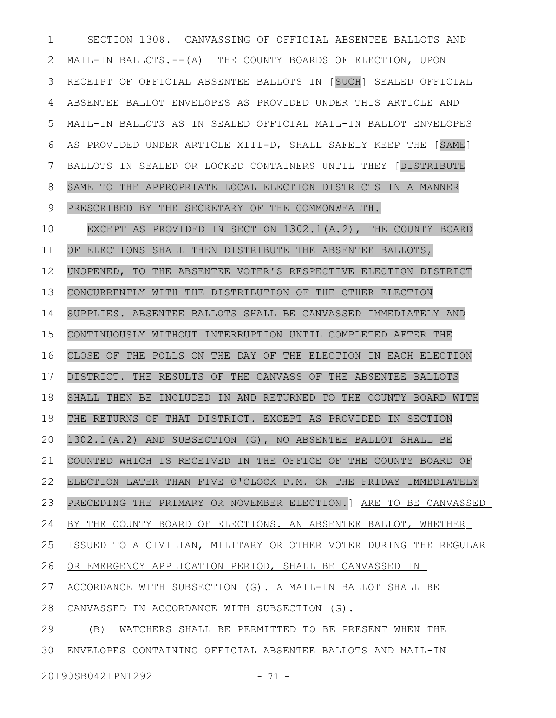SECTION 1308. CANVASSING OF OFFICIAL ABSENTEE BALLOTS AND MAIL-IN BALLOTS.--(A) THE COUNTY BOARDS OF ELECTION, UPON RECEIPT OF OFFICIAL ABSENTEE BALLOTS IN [SUCH] SEALED OFFICIAL ABSENTEE BALLOT ENVELOPES AS PROVIDED UNDER THIS ARTICLE AND MAIL-IN BALLOTS AS IN SEALED OFFICIAL MAIL-IN BALLOT ENVELOPES AS PROVIDED UNDER ARTICLE XIII-D, SHALL SAFELY KEEP THE [SAME] BALLOTS IN SEALED OR LOCKED CONTAINERS UNTIL THEY [DISTRIBUTE SAME TO THE APPROPRIATE LOCAL ELECTION DISTRICTS IN A MANNER PRESCRIBED BY THE SECRETARY OF THE COMMONWEALTH. EXCEPT AS PROVIDED IN SECTION 1302.1(A.2), THE COUNTY BOARD OF ELECTIONS SHALL THEN DISTRIBUTE THE ABSENTEE BALLOTS, UNOPENED, TO THE ABSENTEE VOTER'S RESPECTIVE ELECTION DISTRICT CONCURRENTLY WITH THE DISTRIBUTION OF THE OTHER ELECTION SUPPLIES. ABSENTEE BALLOTS SHALL BE CANVASSED IMMEDIATELY AND CONTINUOUSLY WITHOUT INTERRUPTION UNTIL COMPLETED AFTER THE CLOSE OF THE POLLS ON THE DAY OF THE ELECTION IN EACH ELECTION DISTRICT. THE RESULTS OF THE CANVASS OF THE ABSENTEE BALLOTS 1 2 3 4 5 6 7 8 9 10 11 12 13 14 15 16 17

SHALL THEN BE INCLUDED IN AND RETURNED TO THE COUNTY BOARD WITH 18

THE RETURNS OF THAT DISTRICT. EXCEPT AS PROVIDED IN SECTION 19

1302.1(A.2) AND SUBSECTION (G), NO ABSENTEE BALLOT SHALL BE 20

COUNTED WHICH IS RECEIVED IN THE OFFICE OF THE COUNTY BOARD OF 21

ELECTION LATER THAN FIVE O'CLOCK P.M. ON THE FRIDAY IMMEDIATELY 22

PRECEDING THE PRIMARY OR NOVEMBER ELECTION.] ARE TO BE CANVASSED 23

 BY THE COUNTY BOARD OF ELECTIONS. AN ABSENTEE BALLOT, WHETHER 24

ISSUED TO A CIVILIAN, MILITARY OR OTHER VOTER DURING THE REGULAR 25

OR EMERGENCY APPLICATION PERIOD, SHALL BE CANVASSED IN 26

ACCORDANCE WITH SUBSECTION (G). A MAIL-IN BALLOT SHALL BE 27

CANVASSED IN ACCORDANCE WITH SUBSECTION (G). 28

(B) WATCHERS SHALL BE PERMITTED TO BE PRESENT WHEN THE 30 ENVELOPES CONTAINING OFFICIAL ABSENTEE BALLOTS AND MAIL-IN 29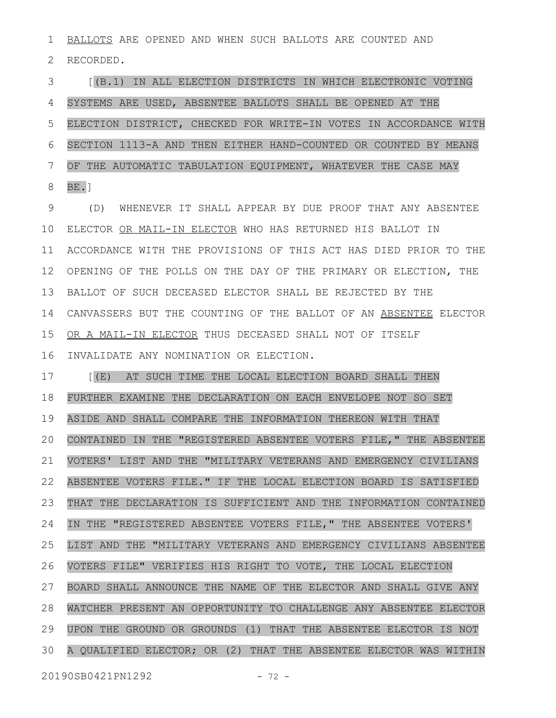BALLOTS ARE OPENED AND WHEN SUCH BALLOTS ARE COUNTED AND RECORDED. 1 2

[(B.1) IN ALL ELECTION DISTRICTS IN WHICH ELECTRONIC VOTING SYSTEMS ARE USED, ABSENTEE BALLOTS SHALL BE OPENED AT THE ELECTION DISTRICT, CHECKED FOR WRITE-IN VOTES IN ACCORDANCE WITH SECTION 1113-A AND THEN EITHER HAND-COUNTED OR COUNTED BY MEANS OF THE AUTOMATIC TABULATION EQUIPMENT, WHATEVER THE CASE MAY BE.] 3 4 5 6 7 8

(D) WHENEVER IT SHALL APPEAR BY DUE PROOF THAT ANY ABSENTEE ELECTOR OR MAIL-IN ELECTOR WHO HAS RETURNED HIS BALLOT IN ACCORDANCE WITH THE PROVISIONS OF THIS ACT HAS DIED PRIOR TO THE OPENING OF THE POLLS ON THE DAY OF THE PRIMARY OR ELECTION, THE BALLOT OF SUCH DECEASED ELECTOR SHALL BE REJECTED BY THE CANVASSERS BUT THE COUNTING OF THE BALLOT OF AN ABSENTEE ELECTOR OR A MAIL-IN ELECTOR THUS DECEASED SHALL NOT OF ITSELF INVALIDATE ANY NOMINATION OR ELECTION. 9 10 11 12 13 14 15 16

[(E) AT SUCH TIME THE LOCAL ELECTION BOARD SHALL THEN FURTHER EXAMINE THE DECLARATION ON EACH ENVELOPE NOT SO SET ASIDE AND SHALL COMPARE THE INFORMATION THEREON WITH THAT CONTAINED IN THE "REGISTERED ABSENTEE VOTERS FILE," THE ABSENTEE VOTERS' LIST AND THE "MILITARY VETERANS AND EMERGENCY CIVILIANS ABSENTEE VOTERS FILE." IF THE LOCAL ELECTION BOARD IS SATISFIED THAT THE DECLARATION IS SUFFICIENT AND THE INFORMATION CONTAINED IN THE "REGISTERED ABSENTEE VOTERS FILE," THE ABSENTEE VOTERS' LIST AND THE "MILITARY VETERANS AND EMERGENCY CIVILIANS ABSENTEE VOTERS FILE" VERIFIES HIS RIGHT TO VOTE, THE LOCAL ELECTION BOARD SHALL ANNOUNCE THE NAME OF THE ELECTOR AND SHALL GIVE ANY WATCHER PRESENT AN OPPORTUNITY TO CHALLENGE ANY ABSENTEE ELECTOR UPON THE GROUND OR GROUNDS (1) THAT THE ABSENTEE ELECTOR IS NOT A QUALIFIED ELECTOR; OR (2) THAT THE ABSENTEE ELECTOR WAS WITHIN 17 18 19 20 21 22 23 24 25 26 27 28 29 30

20190SB0421PN1292 - 72 -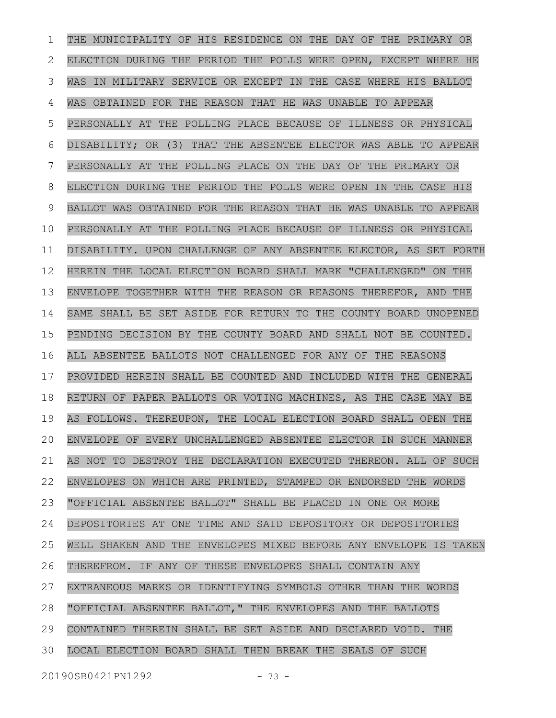THE MUNICIPALITY OF HIS RESIDENCE ON THE DAY OF THE PRIMARY OR ELECTION DURING THE PERIOD THE POLLS WERE OPEN, EXCEPT WHERE HE WAS IN MILITARY SERVICE OR EXCEPT IN THE CASE WHERE HIS BALLOT WAS OBTAINED FOR THE REASON THAT HE WAS UNABLE TO APPEAR PERSONALLY AT THE POLLING PLACE BECAUSE OF ILLNESS OR PHYSICAL DISABILITY; OR (3) THAT THE ABSENTEE ELECTOR WAS ABLE TO APPEAR PERSONALLY AT THE POLLING PLACE ON THE DAY OF THE PRIMARY OR ELECTION DURING THE PERIOD THE POLLS WERE OPEN IN THE CASE HIS BALLOT WAS OBTAINED FOR THE REASON THAT HE WAS UNABLE TO APPEAR PERSONALLY AT THE POLLING PLACE BECAUSE OF ILLNESS OR PHYSICAL DISABILITY. UPON CHALLENGE OF ANY ABSENTEE ELECTOR, AS SET FORTH HEREIN THE LOCAL ELECTION BOARD SHALL MARK "CHALLENGED" ON THE ENVELOPE TOGETHER WITH THE REASON OR REASONS THEREFOR, AND THE SAME SHALL BE SET ASIDE FOR RETURN TO THE COUNTY BOARD UNOPENED PENDING DECISION BY THE COUNTY BOARD AND SHALL NOT BE COUNTED. ALL ABSENTEE BALLOTS NOT CHALLENGED FOR ANY OF THE REASONS PROVIDED HEREIN SHALL BE COUNTED AND INCLUDED WITH THE GENERAL RETURN OF PAPER BALLOTS OR VOTING MACHINES, AS THE CASE MAY BE AS FOLLOWS. THEREUPON, THE LOCAL ELECTION BOARD SHALL OPEN THE ENVELOPE OF EVERY UNCHALLENGED ABSENTEE ELECTOR IN SUCH MANNER AS NOT TO DESTROY THE DECLARATION EXECUTED THEREON. ALL OF SUCH ENVELOPES ON WHICH ARE PRINTED, STAMPED OR ENDORSED THE WORDS "OFFICIAL ABSENTEE BALLOT" SHALL BE PLACED IN ONE OR MORE DEPOSITORIES AT ONE TIME AND SAID DEPOSITORY OR DEPOSITORIES WELL SHAKEN AND THE ENVELOPES MIXED BEFORE ANY ENVELOPE IS TAKEN THEREFROM. IF ANY OF THESE ENVELOPES SHALL CONTAIN ANY EXTRANEOUS MARKS OR IDENTIFYING SYMBOLS OTHER THAN THE WORDS "OFFICIAL ABSENTEE BALLOT," THE ENVELOPES AND THE BALLOTS CONTAINED THEREIN SHALL BE SET ASIDE AND DECLARED VOID. THE LOCAL ELECTION BOARD SHALL THEN BREAK THE SEALS OF SUCH 1 2 3 4 5 6 7 8 9 10 11 12 13 14 15 16 17 18 19 20 21 22 23 24 25 26 27 28 29 30

20190SB0421PN1292 - 73 -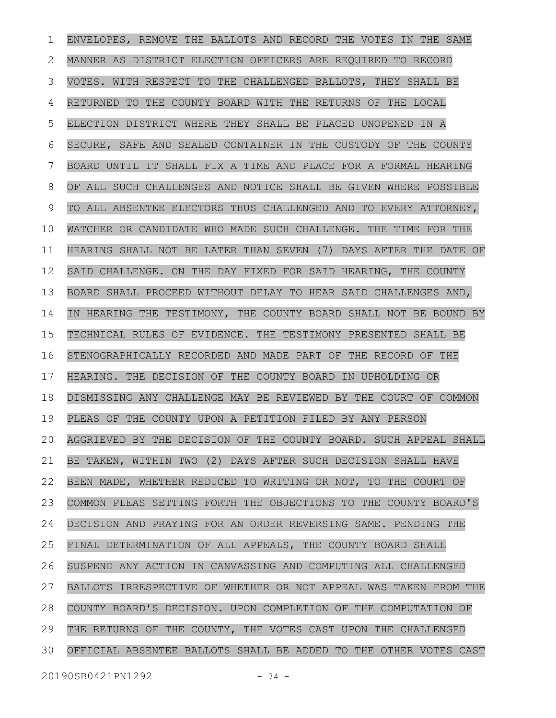ENVELOPES, REMOVE THE BALLOTS AND RECORD THE VOTES IN THE SAME MANNER AS DISTRICT ELECTION OFFICERS ARE REQUIRED TO RECORD VOTES. WITH RESPECT TO THE CHALLENGED BALLOTS, THEY SHALL BE RETURNED TO THE COUNTY BOARD WITH THE RETURNS OF THE LOCAL ELECTION DISTRICT WHERE THEY SHALL BE PLACED UNOPENED IN A SECURE, SAFE AND SEALED CONTAINER IN THE CUSTODY OF THE COUNTY BOARD UNTIL IT SHALL FIX A TIME AND PLACE FOR A FORMAL HEARING OF ALL SUCH CHALLENGES AND NOTICE SHALL BE GIVEN WHERE POSSIBLE TO ALL ABSENTEE ELECTORS THUS CHALLENGED AND TO EVERY ATTORNEY, WATCHER OR CANDIDATE WHO MADE SUCH CHALLENGE. THE TIME FOR THE HEARING SHALL NOT BE LATER THAN SEVEN (7) DAYS AFTER THE DATE OF SAID CHALLENGE. ON THE DAY FIXED FOR SAID HEARING, THE COUNTY BOARD SHALL PROCEED WITHOUT DELAY TO HEAR SAID CHALLENGES AND, IN HEARING THE TESTIMONY, THE COUNTY BOARD SHALL NOT BE BOUND BY TECHNICAL RULES OF EVIDENCE. THE TESTIMONY PRESENTED SHALL BE STENOGRAPHICALLY RECORDED AND MADE PART OF THE RECORD OF THE HEARING. THE DECISION OF THE COUNTY BOARD IN UPHOLDING OR DISMISSING ANY CHALLENGE MAY BE REVIEWED BY THE COURT OF COMMON PLEAS OF THE COUNTY UPON A PETITION FILED BY ANY PERSON AGGRIEVED BY THE DECISION OF THE COUNTY BOARD. SUCH APPEAL SHALL BE TAKEN, WITHIN TWO (2) DAYS AFTER SUCH DECISION SHALL HAVE BEEN MADE, WHETHER REDUCED TO WRITING OR NOT, TO THE COURT OF COMMON PLEAS SETTING FORTH THE OBJECTIONS TO THE COUNTY BOARD'S DECISION AND PRAYING FOR AN ORDER REVERSING SAME. PENDING THE FINAL DETERMINATION OF ALL APPEALS, THE COUNTY BOARD SHALL SUSPEND ANY ACTION IN CANVASSING AND COMPUTING ALL CHALLENGED BALLOTS IRRESPECTIVE OF WHETHER OR NOT APPEAL WAS TAKEN FROM THE COUNTY BOARD'S DECISION. UPON COMPLETION OF THE COMPUTATION OF THE RETURNS OF THE COUNTY, THE VOTES CAST UPON THE CHALLENGED OFFICIAL ABSENTEE BALLOTS SHALL BE ADDED TO THE OTHER VOTES CAST 1 2 3 4 5 6 7 8 9 10 11 12 13 14 15 16 17 18 19 20 21 22 23 24 25 26 27 28 29 30

20190SB0421PN1292 - 74 -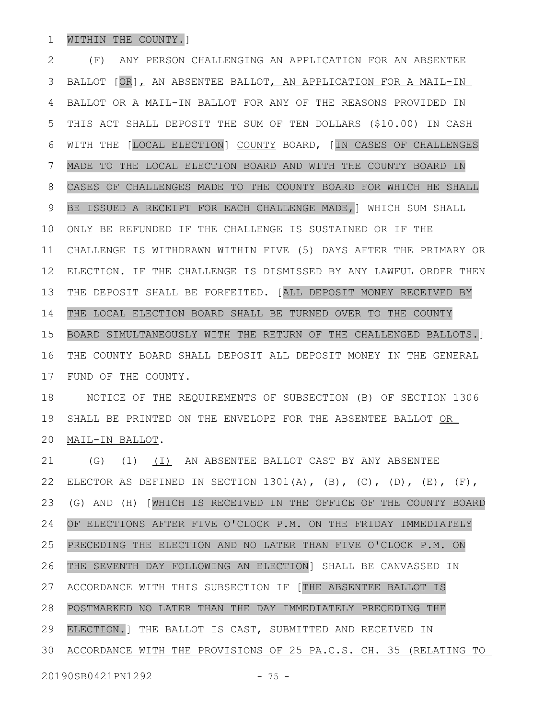## WITHIN THE COUNTY.] 1

(F) ANY PERSON CHALLENGING AN APPLICATION FOR AN ABSENTEE BALLOT [OR], AN ABSENTEE BALLOT, AN APPLICATION FOR A MAIL-IN BALLOT OR A MAIL-IN BALLOT FOR ANY OF THE REASONS PROVIDED IN THIS ACT SHALL DEPOSIT THE SUM OF TEN DOLLARS (\$10.00) IN CASH WITH THE [LOCAL ELECTION] COUNTY BOARD, [IN CASES OF CHALLENGES MADE TO THE LOCAL ELECTION BOARD AND WITH THE COUNTY BOARD IN CASES OF CHALLENGES MADE TO THE COUNTY BOARD FOR WHICH HE SHALL BE ISSUED A RECEIPT FOR EACH CHALLENGE MADE,] WHICH SUM SHALL ONLY BE REFUNDED IF THE CHALLENGE IS SUSTAINED OR IF THE CHALLENGE IS WITHDRAWN WITHIN FIVE (5) DAYS AFTER THE PRIMARY OR ELECTION. IF THE CHALLENGE IS DISMISSED BY ANY LAWFUL ORDER THEN THE DEPOSIT SHALL BE FORFEITED. [ALL DEPOSIT MONEY RECEIVED BY THE LOCAL ELECTION BOARD SHALL BE TURNED OVER TO THE COUNTY BOARD SIMULTANEOUSLY WITH THE RETURN OF THE CHALLENGED BALLOTS.] THE COUNTY BOARD SHALL DEPOSIT ALL DEPOSIT MONEY IN THE GENERAL FUND OF THE COUNTY. NOTICE OF THE REQUIREMENTS OF SUBSECTION (B) OF SECTION 1306 SHALL BE PRINTED ON THE ENVELOPE FOR THE ABSENTEE BALLOT OR 2 3 4 5 6 7 8 9 10 11 12 13 14 15 16 17 18 19

MAIL-IN BALLOT. 20

(G) (1) (I) AN ABSENTEE BALLOT CAST BY ANY ABSENTEE ELECTOR AS DEFINED IN SECTION 1301(A), (B), (C), (D), (E), (F), (G) AND (H) [WHICH IS RECEIVED IN THE OFFICE OF THE COUNTY BOARD OF ELECTIONS AFTER FIVE O'CLOCK P.M. ON THE FRIDAY IMMEDIATELY PRECEDING THE ELECTION AND NO LATER THAN FIVE O'CLOCK P.M. ON THE SEVENTH DAY FOLLOWING AN ELECTION] SHALL BE CANVASSED IN ACCORDANCE WITH THIS SUBSECTION IF [THE ABSENTEE BALLOT IS POSTMARKED NO LATER THAN THE DAY IMMEDIATELY PRECEDING THE ELECTION.] THE BALLOT IS CAST, SUBMITTED AND RECEIVED IN ACCORDANCE WITH THE PROVISIONS OF 25 PA.C.S. CH. 35 (RELATING TO 21 22 23 24 25 26 27 28 29 30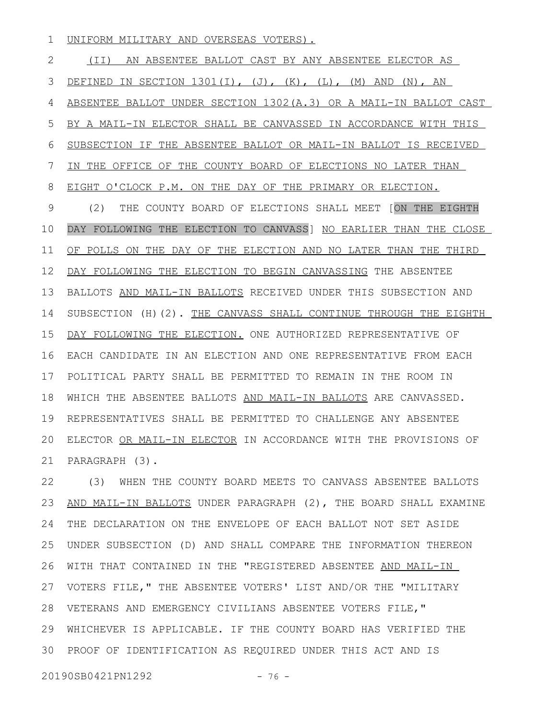UNIFORM MILITARY AND OVERSEAS VOTERS). 1

(II) AN ABSENTEE BALLOT CAST BY ANY ABSENTEE ELECTOR AS DEFINED IN SECTION  $1301(I)$ ,  $(J)$ ,  $(K)$ ,  $(L)$ ,  $(M)$  AND  $(N)$ , AN ABSENTEE BALLOT UNDER SECTION 1302(A.3) OR A MAIL-IN BALLOT CAST BY A MAIL-IN ELECTOR SHALL BE CANVASSED IN ACCORDANCE WITH THIS SUBSECTION IF THE ABSENTEE BALLOT OR MAIL-IN BALLOT IS RECEIVED IN THE OFFICE OF THE COUNTY BOARD OF ELECTIONS NO LATER THAN EIGHT O'CLOCK P.M. ON THE DAY OF THE PRIMARY OR ELECTION. (2) THE COUNTY BOARD OF ELECTIONS SHALL MEET [ON THE EIGHTH DAY FOLLOWING THE ELECTION TO CANVASS] NO EARLIER THAN THE CLOSE OF POLLS ON THE DAY OF THE ELECTION AND NO LATER THAN THE THIRD DAY FOLLOWING THE ELECTION TO BEGIN CANVASSING THE ABSENTEE BALLOTS AND MAIL-IN BALLOTS RECEIVED UNDER THIS SUBSECTION AND SUBSECTION (H)(2). THE CANVASS SHALL CONTINUE THROUGH THE EIGHTH DAY FOLLOWING THE ELECTION. ONE AUTHORIZED REPRESENTATIVE OF EACH CANDIDATE IN AN ELECTION AND ONE REPRESENTATIVE FROM EACH POLITICAL PARTY SHALL BE PERMITTED TO REMAIN IN THE ROOM IN WHICH THE ABSENTEE BALLOTS AND MAIL-IN BALLOTS ARE CANVASSED. REPRESENTATIVES SHALL BE PERMITTED TO CHALLENGE ANY ABSENTEE ELECTOR OR MAIL-IN ELECTOR IN ACCORDANCE WITH THE PROVISIONS OF PARAGRAPH (3). 2 3 4 5 6 7 8 9 10 11 12 13 14 15 16 17 18 19 20 21

(3) WHEN THE COUNTY BOARD MEETS TO CANVASS ABSENTEE BALLOTS AND MAIL-IN BALLOTS UNDER PARAGRAPH (2), THE BOARD SHALL EXAMINE THE DECLARATION ON THE ENVELOPE OF EACH BALLOT NOT SET ASIDE UNDER SUBSECTION (D) AND SHALL COMPARE THE INFORMATION THEREON WITH THAT CONTAINED IN THE "REGISTERED ABSENTEE AND MAIL-IN 27 VOTERS FILE, " THE ABSENTEE VOTERS' LIST AND/OR THE "MILITARY VETERANS AND EMERGENCY CIVILIANS ABSENTEE VOTERS FILE," 28 WHICHEVER IS APPLICABLE. IF THE COUNTY BOARD HAS VERIFIED THE 29 30 PROOF OF IDENTIFICATION AS REQUIRED UNDER THIS ACT AND IS 22 23 24 25 26

20190SB0421PN1292 - 76 -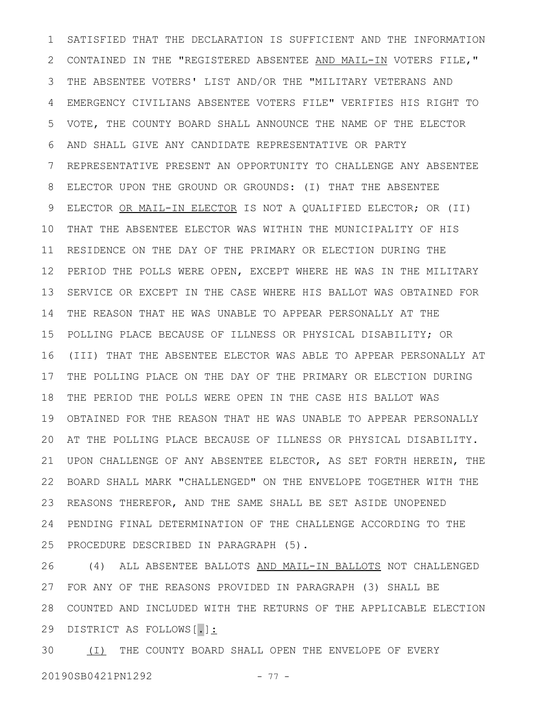SATISFIED THAT THE DECLARATION IS SUFFICIENT AND THE INFORMATION CONTAINED IN THE "REGISTERED ABSENTEE AND MAIL-IN VOTERS FILE," THE ABSENTEE VOTERS' LIST AND/OR THE "MILITARY VETERANS AND EMERGENCY CIVILIANS ABSENTEE VOTERS FILE" VERIFIES HIS RIGHT TO VOTE, THE COUNTY BOARD SHALL ANNOUNCE THE NAME OF THE ELECTOR AND SHALL GIVE ANY CANDIDATE REPRESENTATIVE OR PARTY REPRESENTATIVE PRESENT AN OPPORTUNITY TO CHALLENGE ANY ABSENTEE ELECTOR UPON THE GROUND OR GROUNDS: (I) THAT THE ABSENTEE ELECTOR OR MAIL-IN ELECTOR IS NOT A QUALIFIED ELECTOR; OR (II) THAT THE ABSENTEE ELECTOR WAS WITHIN THE MUNICIPALITY OF HIS RESIDENCE ON THE DAY OF THE PRIMARY OR ELECTION DURING THE PERIOD THE POLLS WERE OPEN, EXCEPT WHERE HE WAS IN THE MILITARY SERVICE OR EXCEPT IN THE CASE WHERE HIS BALLOT WAS OBTAINED FOR THE REASON THAT HE WAS UNABLE TO APPEAR PERSONALLY AT THE POLLING PLACE BECAUSE OF ILLNESS OR PHYSICAL DISABILITY; OR (III) THAT THE ABSENTEE ELECTOR WAS ABLE TO APPEAR PERSONALLY AT THE POLLING PLACE ON THE DAY OF THE PRIMARY OR ELECTION DURING THE PERIOD THE POLLS WERE OPEN IN THE CASE HIS BALLOT WAS OBTAINED FOR THE REASON THAT HE WAS UNABLE TO APPEAR PERSONALLY AT THE POLLING PLACE BECAUSE OF ILLNESS OR PHYSICAL DISABILITY. 20 UPON CHALLENGE OF ANY ABSENTEE ELECTOR, AS SET FORTH HEREIN, THE BOARD SHALL MARK "CHALLENGED" ON THE ENVELOPE TOGETHER WITH THE REASONS THEREFOR, AND THE SAME SHALL BE SET ASIDE UNOPENED PENDING FINAL DETERMINATION OF THE CHALLENGE ACCORDING TO THE PROCEDURE DESCRIBED IN PARAGRAPH (5). 1 2 3 4 5 6 7 8 9 10 11 12 13 14 15 16 17 18 19 21 22 23 24 25

(4) ALL ABSENTEE BALLOTS AND MAIL-IN BALLOTS NOT CHALLENGED FOR ANY OF THE REASONS PROVIDED IN PARAGRAPH (3) SHALL BE COUNTED AND INCLUDED WITH THE RETURNS OF THE APPLICABLE ELECTION 28 DISTRICT AS FOLLOWS[.]: 26 27 29

(I) THE COUNTY BOARD SHALL OPEN THE ENVELOPE OF EVERY 20190SB0421PN1292 - 77 -30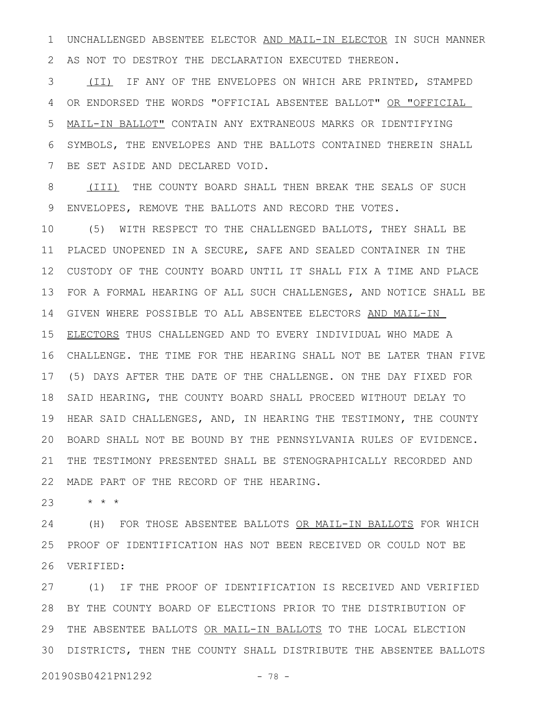UNCHALLENGED ABSENTEE ELECTOR AND MAIL-IN ELECTOR IN SUCH MANNER AS NOT TO DESTROY THE DECLARATION EXECUTED THEREON. 1 2

(II) IF ANY OF THE ENVELOPES ON WHICH ARE PRINTED, STAMPED OR ENDORSED THE WORDS "OFFICIAL ABSENTEE BALLOT" OR "OFFICIAL MAIL-IN BALLOT" CONTAIN ANY EXTRANEOUS MARKS OR IDENTIFYING SYMBOLS, THE ENVELOPES AND THE BALLOTS CONTAINED THEREIN SHALL BE SET ASIDE AND DECLARED VOID. 3 4 5 6 7

(III) THE COUNTY BOARD SHALL THEN BREAK THE SEALS OF SUCH ENVELOPES, REMOVE THE BALLOTS AND RECORD THE VOTES. 8 9

(5) WITH RESPECT TO THE CHALLENGED BALLOTS, THEY SHALL BE PLACED UNOPENED IN A SECURE, SAFE AND SEALED CONTAINER IN THE CUSTODY OF THE COUNTY BOARD UNTIL IT SHALL FIX A TIME AND PLACE FOR A FORMAL HEARING OF ALL SUCH CHALLENGES, AND NOTICE SHALL BE GIVEN WHERE POSSIBLE TO ALL ABSENTEE ELECTORS AND MAIL-IN ELECTORS THUS CHALLENGED AND TO EVERY INDIVIDUAL WHO MADE A CHALLENGE. THE TIME FOR THE HEARING SHALL NOT BE LATER THAN FIVE (5) DAYS AFTER THE DATE OF THE CHALLENGE. ON THE DAY FIXED FOR 17 SAID HEARING, THE COUNTY BOARD SHALL PROCEED WITHOUT DELAY TO HEAR SAID CHALLENGES, AND, IN HEARING THE TESTIMONY, THE COUNTY BOARD SHALL NOT BE BOUND BY THE PENNSYLVANIA RULES OF EVIDENCE. 20 THE TESTIMONY PRESENTED SHALL BE STENOGRAPHICALLY RECORDED AND MADE PART OF THE RECORD OF THE HEARING. 10 11 12 13 14 15 16 18 19 21 22

\* \* \* 23

(H) FOR THOSE ABSENTEE BALLOTS OR MAIL-IN BALLOTS FOR WHICH PROOF OF IDENTIFICATION HAS NOT BEEN RECEIVED OR COULD NOT BE VERIFIED: 26 24 25

(1) IF THE PROOF OF IDENTIFICATION IS RECEIVED AND VERIFIED BY THE COUNTY BOARD OF ELECTIONS PRIOR TO THE DISTRIBUTION OF 28 29 THE ABSENTEE BALLOTS OR MAIL-IN BALLOTS TO THE LOCAL ELECTION DISTRICTS, THEN THE COUNTY SHALL DISTRIBUTE THE ABSENTEE BALLOTS 3027

20190SB0421PN1292 - 78 -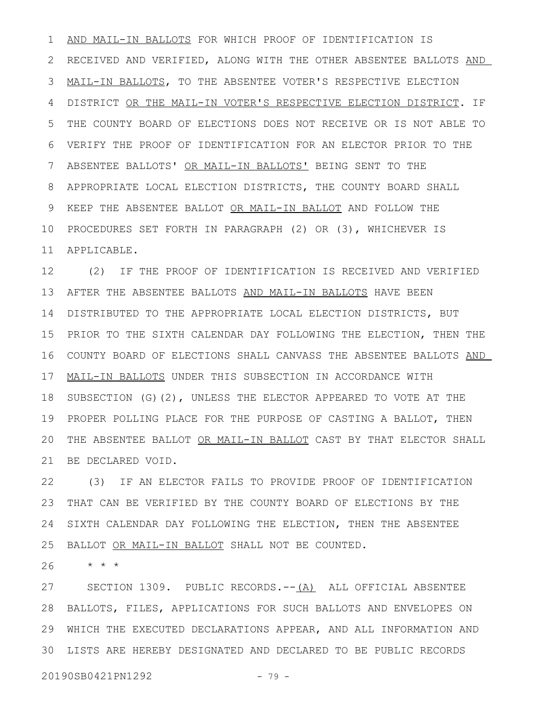AND MAIL-IN BALLOTS FOR WHICH PROOF OF IDENTIFICATION IS RECEIVED AND VERIFIED, ALONG WITH THE OTHER ABSENTEE BALLOTS AND MAIL-IN BALLOTS, TO THE ABSENTEE VOTER'S RESPECTIVE ELECTION DISTRICT OR THE MAIL-IN VOTER'S RESPECTIVE ELECTION DISTRICT. IF THE COUNTY BOARD OF ELECTIONS DOES NOT RECEIVE OR IS NOT ABLE TO VERIFY THE PROOF OF IDENTIFICATION FOR AN ELECTOR PRIOR TO THE ABSENTEE BALLOTS' OR MAIL-IN BALLOTS' BEING SENT TO THE APPROPRIATE LOCAL ELECTION DISTRICTS, THE COUNTY BOARD SHALL KEEP THE ABSENTEE BALLOT OR MAIL-IN BALLOT AND FOLLOW THE 10 PROCEDURES SET FORTH IN PARAGRAPH (2) OR (3), WHICHEVER IS APPLICABLE. 11 1 2 3 4 5 6 7 8 9

(2) IF THE PROOF OF IDENTIFICATION IS RECEIVED AND VERIFIED AFTER THE ABSENTEE BALLOTS AND MAIL-IN BALLOTS HAVE BEEN DISTRIBUTED TO THE APPROPRIATE LOCAL ELECTION DISTRICTS, BUT 14 PRIOR TO THE SIXTH CALENDAR DAY FOLLOWING THE ELECTION, THEN THE 16 COUNTY BOARD OF ELECTIONS SHALL CANVASS THE ABSENTEE BALLOTS AND MAIL-IN BALLOTS UNDER THIS SUBSECTION IN ACCORDANCE WITH 18 SUBSECTION (G)(2), UNLESS THE ELECTOR APPEARED TO VOTE AT THE PROPER POLLING PLACE FOR THE PURPOSE OF CASTING A BALLOT, THEN THE ABSENTEE BALLOT OR MAIL-IN BALLOT CAST BY THAT ELECTOR SHALL BE DECLARED VOID. 12 13 15 17 19 20 21

(3) IF AN ELECTOR FAILS TO PROVIDE PROOF OF IDENTIFICATION THAT CAN BE VERIFIED BY THE COUNTY BOARD OF ELECTIONS BY THE SIXTH CALENDAR DAY FOLLOWING THE ELECTION, THEN THE ABSENTEE BALLOT OR MAIL-IN BALLOT SHALL NOT BE COUNTED. 22 23 24 25

 $\star$   $\;\star$   $\;\star$ 26

SECTION 1309. PUBLIC RECORDS.--(A) ALL OFFICIAL ABSENTEE BALLOTS, FILES, APPLICATIONS FOR SUCH BALLOTS AND ENVELOPES ON 28 WHICH THE EXECUTED DECLARATIONS APPEAR, AND ALL INFORMATION AND 29 LISTS ARE HEREBY DESIGNATED AND DECLARED TO BE PUBLIC RECORDS 3027

20190SB0421PN1292 - 79 -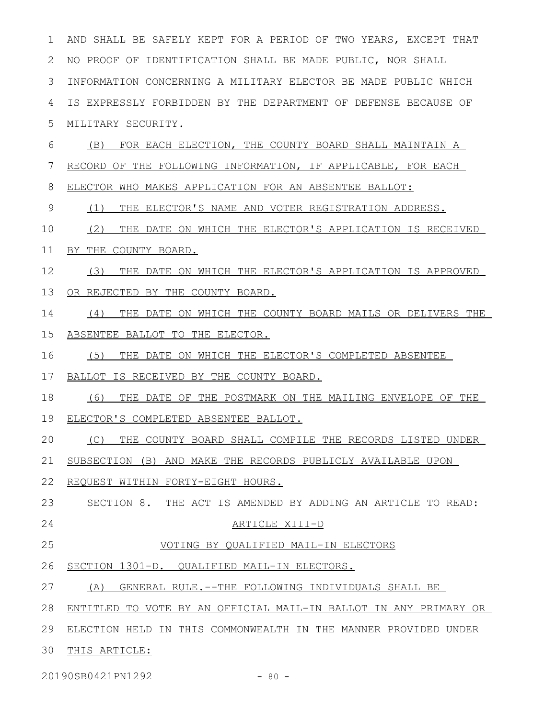AND SHALL BE SAFELY KEPT FOR A PERIOD OF TWO YEARS, EXCEPT THAT NO PROOF OF IDENTIFICATION SHALL BE MADE PUBLIC, NOR SHALL INFORMATION CONCERNING A MILITARY ELECTOR BE MADE PUBLIC WHICH IS EXPRESSLY FORBIDDEN BY THE DEPARTMENT OF DEFENSE BECAUSE OF MILITARY SECURITY. (B) FOR EACH ELECTION, THE COUNTY BOARD SHALL MAINTAIN A RECORD OF THE FOLLOWING INFORMATION, IF APPLICABLE, FOR EACH ELECTOR WHO MAKES APPLICATION FOR AN ABSENTEE BALLOT: (1) THE ELECTOR'S NAME AND VOTER REGISTRATION ADDRESS. (2) THE DATE ON WHICH THE ELECTOR'S APPLICATION IS RECEIVED BY THE COUNTY BOARD. (3) THE DATE ON WHICH THE ELECTOR'S APPLICATION IS APPROVED OR REJECTED BY THE COUNTY BOARD. (4) THE DATE ON WHICH THE COUNTY BOARD MAILS OR DELIVERS THE ABSENTEE BALLOT TO THE ELECTOR. (5) THE DATE ON WHICH THE ELECTOR'S COMPLETED ABSENTEE BALLOT IS RECEIVED BY THE COUNTY BOARD. (6) THE DATE OF THE POSTMARK ON THE MAILING ENVELOPE OF THE ELECTOR'S COMPLETED ABSENTEE BALLOT. (C) THE COUNTY BOARD SHALL COMPILE THE RECORDS LISTED UNDER SUBSECTION (B) AND MAKE THE RECORDS PUBLICLY AVAILABLE UPON REQUEST WITHIN FORTY-EIGHT HOURS. SECTION 8. THE ACT IS AMENDED BY ADDING AN ARTICLE TO READ: ARTICLE XIII-D VOTING BY QUALIFIED MAIL-IN ELECTORS 26 SECTION 1301-D. QUALIFIED MAIL-IN ELECTORS. (A) GENERAL RULE.--THE FOLLOWING INDIVIDUALS SHALL BE ENTITLED TO VOTE BY AN OFFICIAL MAIL-IN BALLOT IN ANY PRIMARY OR ELECTION HELD IN THIS COMMONWEALTH IN THE MANNER PROVIDED UNDER 29 30 THIS ARTICLE: 1 2 3 4 5 6 7 8 9 10 11 12 13 14 15 16 17 18 19 20 21 22 23 24 25 27 28

20190SB0421PN1292 - 80 -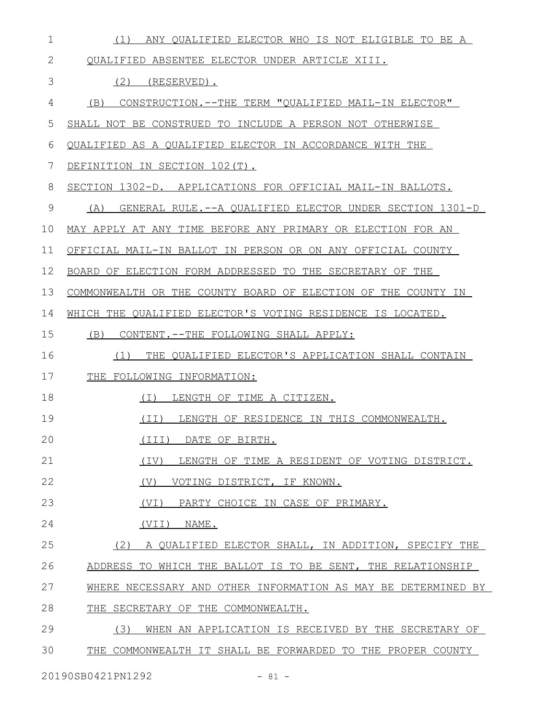| $\mathbf 1$ | (1)<br>ANY QUALIFIED ELECTOR WHO IS NOT ELIGIBLE TO BE A       |
|-------------|----------------------------------------------------------------|
| 2           | QUALIFIED ABSENTEE ELECTOR UNDER ARTICLE XIII.                 |
| 3           | $(2)$ (RESERVED).                                              |
| 4           | CONSTRUCTION. -- THE TERM "QUALIFIED MAIL-IN ELECTOR"<br>(B)   |
| 5           | SHALL NOT BE CONSTRUED TO INCLUDE A PERSON NOT OTHERWISE       |
| 6           | QUALIFIED AS A QUALIFIED ELECTOR IN ACCORDANCE WITH THE        |
| 7           | DEFINITION IN SECTION 102(T).                                  |
| 8           | SECTION 1302-D. APPLICATIONS FOR OFFICIAL MAIL-IN BALLOTS.     |
| 9           | (A)<br>GENERAL RULE.--A QUALIFIED ELECTOR UNDER SECTION 1301-D |
| 10          | MAY APPLY AT ANY TIME BEFORE ANY PRIMARY OR ELECTION FOR AN    |
| 11          | OFFICIAL MAIL-IN BALLOT IN PERSON OR ON ANY OFFICIAL COUNTY    |
| 12          | BOARD OF ELECTION FORM ADDRESSED TO THE SECRETARY OF THE       |
| 13          | COMMONWEALTH OR THE COUNTY BOARD OF ELECTION OF THE COUNTY IN  |
| 14          | WHICH THE QUALIFIED ELECTOR'S VOTING RESIDENCE IS LOCATED.     |
| 15          | (B)<br>CONTENT. -- THE FOLLOWING SHALL APPLY:                  |
| 16          | THE QUALIFIED ELECTOR'S APPLICATION SHALL CONTAIN<br>(1)       |
| 17          | THE FOLLOWING INFORMATION:                                     |
| 18          | LENGTH OF TIME A CITIZEN.<br>(1)                               |
| 19          | (II) LENGTH OF RESIDENCE IN THIS COMMONWEALTH.                 |
| 20          | (III) DATE OF BIRTH.                                           |
| 21          | (TV)<br>LENGTH OF TIME A RESIDENT OF VOTING DISTRICT.          |
| 22          | (V)<br>VOTING DISTRICT, IF KNOWN.                              |
| 23          | (VI)<br>PARTY CHOICE IN CASE OF PRIMARY.                       |
| 24          | (VII)<br>NAME.                                                 |
| 25          | (2) A QUALIFIED ELECTOR SHALL, IN ADDITION, SPECIFY THE        |
| 26          | ADDRESS TO WHICH THE BALLOT IS TO BE SENT, THE RELATIONSHIP    |
| 27          | WHERE NECESSARY AND OTHER INFORMATION AS MAY BE DETERMINED BY  |
| 28          | THE SECRETARY OF THE COMMONWEALTH.                             |
| 29          | (3)<br>WHEN AN APPLICATION IS RECEIVED BY THE SECRETARY OF     |
| 30          | THE COMMONWEALTH IT SHALL BE FORWARDED TO THE PROPER COUNTY    |
|             |                                                                |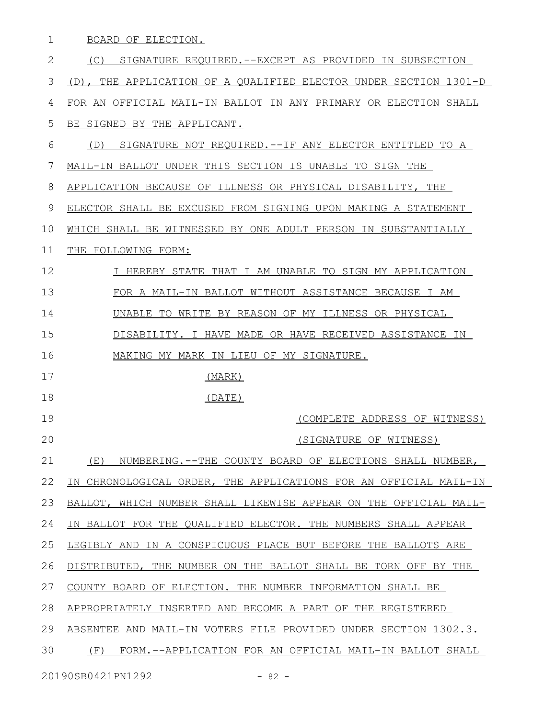BOARD OF ELECTION. 1

(C) SIGNATURE REQUIRED.--EXCEPT AS PROVIDED IN SUBSECTION (D), THE APPLICATION OF A QUALIFIED ELECTOR UNDER SECTION 1301-D FOR AN OFFICIAL MAIL-IN BALLOT IN ANY PRIMARY OR ELECTION SHALL BE SIGNED BY THE APPLICANT. (D) SIGNATURE NOT REQUIRED.--IF ANY ELECTOR ENTITLED TO A MAIL-IN BALLOT UNDER THIS SECTION IS UNABLE TO SIGN THE APPLICATION BECAUSE OF ILLNESS OR PHYSICAL DISABILITY, THE ELECTOR SHALL BE EXCUSED FROM SIGNING UPON MAKING A STATEMENT WHICH SHALL BE WITNESSED BY ONE ADULT PERSON IN SUBSTANTIALLY THE FOLLOWING FORM: I HEREBY STATE THAT I AM UNABLE TO SIGN MY APPLICATION FOR A MAIL-IN BALLOT WITHOUT ASSISTANCE BECAUSE I AM UNABLE TO WRITE BY REASON OF MY ILLNESS OR PHYSICAL DISABILITY. I HAVE MADE OR HAVE RECEIVED ASSISTANCE IN MAKING MY MARK IN LIEU OF MY SIGNATURE. (MARK) (DATE) (COMPLETE ADDRESS OF WITNESS) (SIGNATURE OF WITNESS) (E) NUMBERING.--THE COUNTY BOARD OF ELECTIONS SHALL NUMBER, IN CHRONOLOGICAL ORDER, THE APPLICATIONS FOR AN OFFICIAL MAIL-IN BALLOT, WHICH NUMBER SHALL LIKEWISE APPEAR ON THE OFFICIAL MAIL-IN BALLOT FOR THE QUALIFIED ELECTOR. THE NUMBERS SHALL APPEAR LEGIBLY AND IN A CONSPICUOUS PLACE BUT BEFORE THE BALLOTS ARE DISTRIBUTED, THE NUMBER ON THE BALLOT SHALL BE TORN OFF BY THE COUNTY BOARD OF ELECTION. THE NUMBER INFORMATION SHALL BE APPROPRIATELY INSERTED AND BECOME A PART OF THE REGISTERED ABSENTEE AND MAIL-IN VOTERS FILE PROVIDED UNDER SECTION 1302.3. (F) FORM.--APPLICATION FOR AN OFFICIAL MAIL-IN BALLOT SHALL 2 3 4 5 6 7 8 9 10 11 12 13 14 15 16 17 18 19 20 21 22 23 24 25 26 27 28 29 30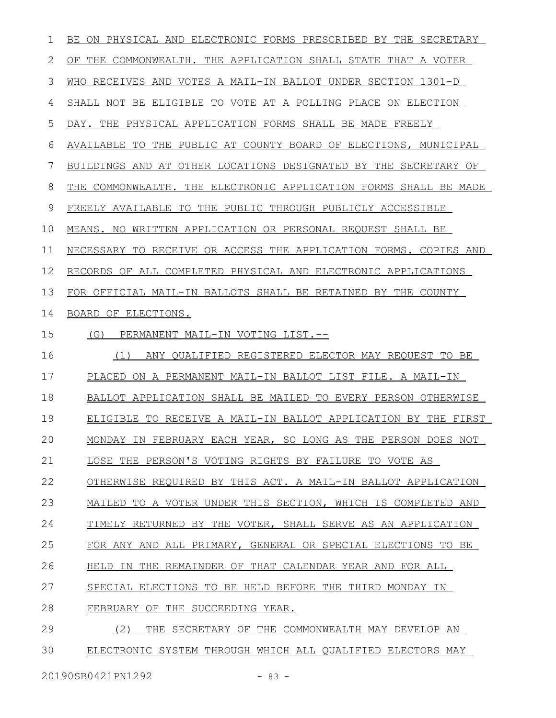| 1  | ON PHYSICAL AND ELECTRONIC FORMS PRESCRIBED BY THE SECRETARY<br>BE |
|----|--------------------------------------------------------------------|
| 2  | OF THE COMMONWEALTH. THE APPLICATION SHALL STATE THAT A VOTER      |
| 3  | RECEIVES AND VOTES A MAIL-IN BALLOT UNDER SECTION 1301-D<br>WHO    |
| 4  | SHALL NOT BE ELIGIBLE TO VOTE AT A POLLING PLACE ON ELECTION       |
| 5  | DAY. THE PHYSICAL APPLICATION FORMS SHALL BE MADE FREELY           |
| 6  | AVAILABLE TO THE PUBLIC AT COUNTY BOARD OF ELECTIONS, MUNICIPAL    |
| 7  | BUILDINGS AND AT OTHER LOCATIONS DESIGNATED BY THE SECRETARY OF    |
| 8  | THE COMMONWEALTH. THE ELECTRONIC APPLICATION FORMS SHALL BE MADE   |
| 9  | FREELY AVAILABLE TO THE PUBLIC THROUGH PUBLICLY ACCESSIBLE         |
| 10 | MEANS. NO WRITTEN APPLICATION OR PERSONAL REQUEST SHALL BE         |
| 11 | NECESSARY TO RECEIVE OR ACCESS THE APPLICATION FORMS. COPIES AND   |
| 12 | RECORDS OF ALL COMPLETED PHYSICAL AND ELECTRONIC APPLICATIONS      |
| 13 | FOR OFFICIAL MAIL-IN BALLOTS SHALL BE RETAINED BY THE COUNTY       |
| 14 | BOARD OF ELECTIONS.                                                |
| 15 | (G)<br>PERMANENT MAIL-IN VOTING LIST.--                            |
| 16 | (1)<br>ANY QUALIFIED REGISTERED ELECTOR MAY REQUEST TO BE          |
| 17 | PLACED ON A PERMANENT MAIL-IN BALLOT LIST FILE. A MAIL-IN          |
| 18 | BALLOT APPLICATION SHALL BE MAILED TO EVERY PERSON OTHERWISE       |
| 19 | ELIGIBLE TO RECEIVE A MAIL-IN BALLOT APPLICATION BY THE FIRST      |
| 20 | MONDAY IN FEBRUARY EACH YEAR, SO LONG AS THE PERSON DOES NOT       |
| 21 | LOSE THE PERSON'S VOTING RIGHTS BY FAILURE TO VOTE AS              |
| 22 | OTHERWISE REQUIRED BY THIS ACT. A MAIL-IN BALLOT APPLICATION       |
| 23 | MAILED TO A VOTER UNDER THIS SECTION, WHICH IS COMPLETED AND       |
| 24 | TIMELY RETURNED BY THE VOTER, SHALL SERVE AS AN APPLICATION        |
| 25 |                                                                    |
|    | FOR ANY AND ALL PRIMARY, GENERAL OR SPECIAL ELECTIONS TO BE        |
| 26 | HELD IN THE REMAINDER OF THAT CALENDAR YEAR AND FOR ALL            |
| 27 | SPECIAL ELECTIONS TO BE HELD BEFORE THE THIRD MONDAY IN            |
| 28 | FEBRUARY OF THE SUCCEEDING YEAR.                                   |
| 29 | (2)<br>THE SECRETARY OF THE COMMONWEALTH MAY DEVELOP AN            |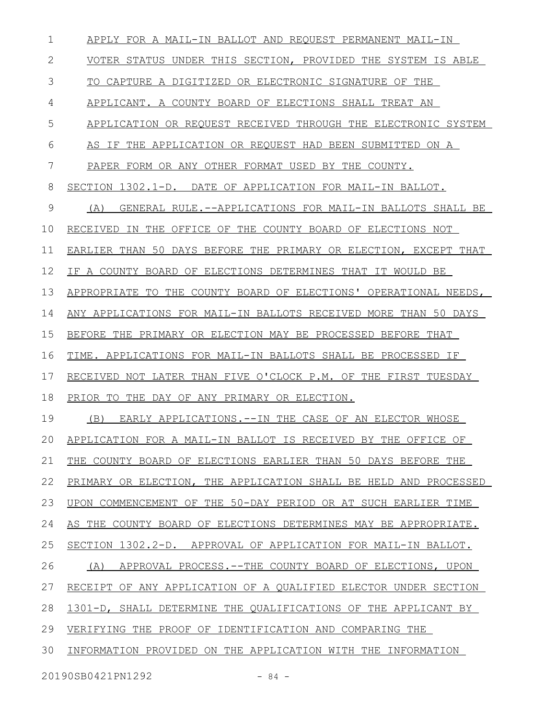| 1  | APPLY FOR A MAIL-IN BALLOT AND REQUEST PERMANENT MAIL-IN         |
|----|------------------------------------------------------------------|
| 2  | VOTER STATUS UNDER THIS SECTION, PROVIDED THE SYSTEM IS ABLE     |
| 3  | TO CAPTURE A DIGITIZED OR ELECTRONIC SIGNATURE OF THE            |
| 4  | APPLICANT. A COUNTY BOARD OF ELECTIONS SHALL TREAT AN            |
| 5  | APPLICATION OR REQUEST RECEIVED THROUGH THE ELECTRONIC SYSTEM    |
| 6  | AS IF THE APPLICATION OR REQUEST HAD BEEN SUBMITTED ON A         |
| 7  | PAPER FORM OR ANY OTHER FORMAT USED BY THE COUNTY.               |
| 8  | SECTION 1302.1-D. DATE OF APPLICATION FOR MAIL-IN BALLOT.        |
| 9  | (A)<br>GENERAL RULE.--APPLICATIONS FOR MAIL-IN BALLOTS SHALL BE  |
| 10 | RECEIVED IN THE OFFICE OF THE COUNTY BOARD OF ELECTIONS NOT      |
| 11 | EARLIER THAN 50 DAYS BEFORE THE PRIMARY OR ELECTION, EXCEPT THAT |
| 12 | IF A COUNTY BOARD OF ELECTIONS DETERMINES THAT IT WOULD BE       |
| 13 | APPROPRIATE TO THE COUNTY BOARD OF ELECTIONS' OPERATIONAL NEEDS, |
| 14 | ANY APPLICATIONS FOR MAIL-IN BALLOTS RECEIVED MORE THAN 50 DAYS  |
| 15 | BEFORE THE PRIMARY OR ELECTION MAY BE PROCESSED BEFORE THAT      |
| 16 | TIME. APPLICATIONS FOR MAIL-IN BALLOTS SHALL BE PROCESSED IF     |
| 17 | RECEIVED NOT LATER THAN FIVE O'CLOCK P.M. OF THE FIRST TUESDAY   |
| 18 | PRIOR TO THE DAY OF ANY PRIMARY OR ELECTION.                     |
| 19 | (B) EARLY APPLICATIONS.--IN THE CASE OF AN ELECTOR WHOSE         |
| 20 | APPLICATION FOR A MAIL-IN BALLOT IS RECEIVED BY THE OFFICE OF    |
| 21 | THE COUNTY BOARD OF ELECTIONS EARLIER THAN 50 DAYS BEFORE THE    |
| 22 | PRIMARY OR ELECTION, THE APPLICATION SHALL BE HELD AND PROCESSED |
| 23 | UPON COMMENCEMENT OF THE 50-DAY PERIOD OR AT SUCH EARLIER TIME   |
| 24 | AS THE COUNTY BOARD OF ELECTIONS DETERMINES MAY BE APPROPRIATE.  |
| 25 | SECTION 1302.2-D. APPROVAL OF APPLICATION FOR MAIL-IN BALLOT.    |
| 26 | (A) APPROVAL PROCESS.--THE COUNTY BOARD OF ELECTIONS, UPON       |
| 27 | RECEIPT OF ANY APPLICATION OF A QUALIFIED ELECTOR UNDER SECTION  |
| 28 | 1301-D, SHALL DETERMINE THE QUALIFICATIONS OF THE APPLICANT BY   |
| 29 | VERIFYING THE PROOF OF IDENTIFICATION AND COMPARING THE          |
| 30 | INFORMATION PROVIDED ON THE APPLICATION WITH THE INFORMATION     |
|    | 20190SB0421PN1292<br>$-84 -$                                     |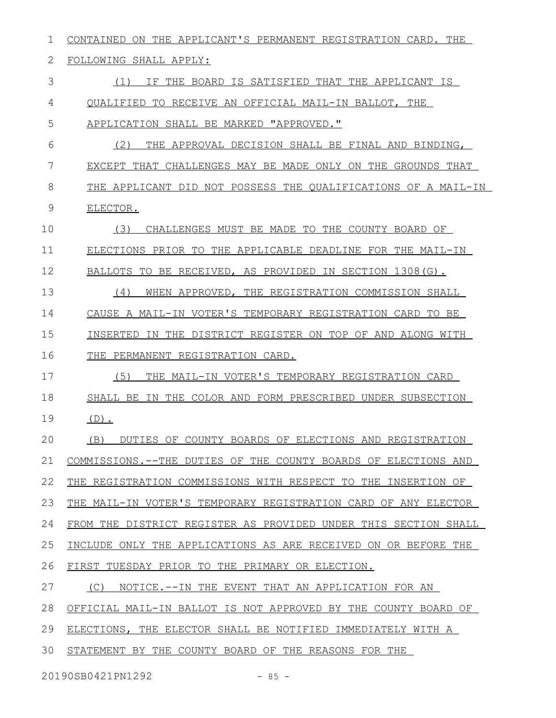| 1             | ON THE APPLICANT'S PERMANENT REGISTRATION CARD. THE<br>CONTAINED |
|---------------|------------------------------------------------------------------|
| 2             | FOLLOWING SHALL APPLY:                                           |
| 3             | THE BOARD IS SATISFIED THAT THE APPLICANT IS<br>(1)<br>ΤF        |
| 4             | OUALIFIED<br>TO RECEIVE AN OFFICIAL MAIL-IN BALLOT, THE          |
| 5             | APPLICATION SHALL BE MARKED "APPROVED."                          |
| 6             | (2)<br>THE APPROVAL DECISION SHALL BE FINAL AND BINDING,         |
| 7             | EXCEPT THAT CHALLENGES MAY BE MADE ONLY ON THE GROUNDS THAT      |
| 8             | THE APPLICANT DID NOT POSSESS THE QUALIFICATIONS OF A MAIL-IN    |
| $\mathcal{G}$ | ELECTOR.                                                         |
| 10            | (3)<br>CHALLENGES MUST BE MADE TO THE COUNTY BOARD OF            |
| 11            | ELECTIONS PRIOR TO THE APPLICABLE DEADLINE FOR THE MAIL-IN       |
| 12            | BALLOTS TO BE RECEIVED, AS PROVIDED IN SECTION 1308(G).          |
| 13            | (4)<br>WHEN APPROVED, THE REGISTRATION COMMISSION SHALL          |
| 14            | CAUSE A MAIL-IN VOTER'S TEMPORARY REGISTRATION CARD TO BE        |
| 15            | IN THE DISTRICT REGISTER ON TOP OF AND ALONG WITH<br>INSERTED    |
| 16            | THE<br>PERMANENT REGISTRATION CARD.                              |
| 17            | (5)<br>THE MAIL-IN VOTER'S TEMPORARY REGISTRATION CARD           |
| 18            | SHALL BE<br>IN THE COLOR AND FORM PRESCRIBED UNDER SUBSECTION    |
| 19            | $(D)$ .                                                          |
| 20            | (B) DUTIES OF COUNTY BOARDS OF ELECTIONS AND REGISTRATION        |
| 21            | COMMISSIONS.--THE DUTIES OF THE COUNTY BOARDS OF ELECTIONS AND   |
| 22            | THE REGISTRATION COMMISSIONS WITH RESPECT TO THE INSERTION OF    |
| 23            | THE MAIL-IN VOTER'S TEMPORARY REGISTRATION CARD OF ANY ELECTOR   |
| 24            | FROM THE DISTRICT REGISTER AS PROVIDED UNDER THIS SECTION SHALL  |
| 25            | INCLUDE ONLY THE APPLICATIONS AS ARE RECEIVED ON OR BEFORE THE   |
| 26            | FIRST TUESDAY PRIOR TO THE PRIMARY OR ELECTION.                  |
| 27            | (C)<br>NOTICE.--IN THE EVENT THAT AN APPLICATION FOR AN          |
| 28            | OFFICIAL MAIL-IN BALLOT IS NOT APPROVED BY THE COUNTY BOARD OF   |
| 29            | ELECTIONS, THE ELECTOR SHALL BE NOTIFIED IMMEDIATELY WITH A      |
| 30            | STATEMENT BY THE COUNTY BOARD OF THE REASONS FOR THE             |
|               |                                                                  |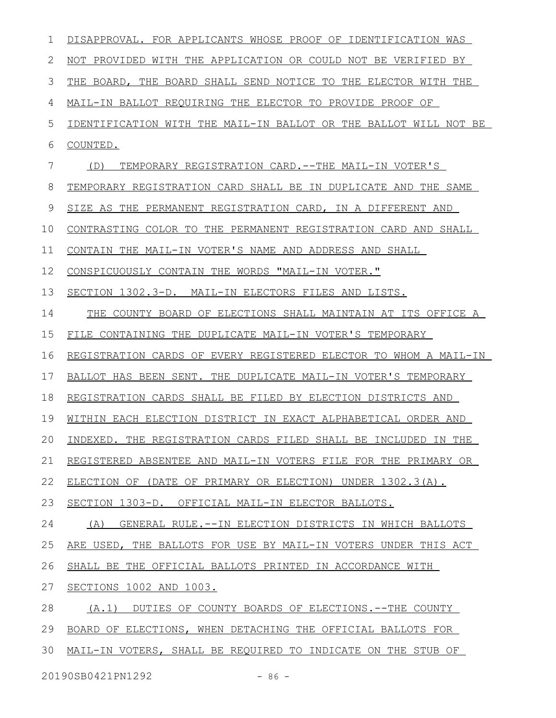| $\mathbf 1$  | DISAPPROVAL. FOR APPLICANTS WHOSE PROOF OF IDENTIFICATION WAS    |
|--------------|------------------------------------------------------------------|
| $\mathbf{2}$ | NOT PROVIDED WITH THE APPLICATION OR COULD NOT BE VERIFIED BY    |
| 3            | THE BOARD, THE BOARD SHALL SEND NOTICE TO THE ELECTOR WITH THE   |
| 4            | MAIL-IN BALLOT REQUIRING THE ELECTOR TO PROVIDE PROOF OF         |
| 5            | IDENTIFICATION WITH THE MAIL-IN BALLOT OR THE BALLOT WILL NOT BE |
| 6            | COUNTED.                                                         |
| 7            | TEMPORARY REGISTRATION CARD.--THE MAIL-IN VOTER'S<br>(D)         |
| 8            | TEMPORARY REGISTRATION CARD SHALL BE IN DUPLICATE AND THE SAME   |
| 9            | SIZE AS THE PERMANENT REGISTRATION CARD, IN A DIFFERENT AND      |
| 10           | CONTRASTING COLOR TO THE PERMANENT REGISTRATION CARD AND SHALL   |
| 11           | CONTAIN THE MAIL-IN VOTER'S NAME AND ADDRESS AND SHALL           |
| 12           | CONSPICUOUSLY CONTAIN THE WORDS "MAIL-IN VOTER."                 |
| 13           | SECTION 1302.3-D. MAIL-IN ELECTORS FILES AND LISTS.              |
| 14           | THE COUNTY BOARD OF ELECTIONS SHALL MAINTAIN AT ITS OFFICE A     |
| 15           | FILE CONTAINING THE DUPLICATE MAIL-IN VOTER'S TEMPORARY          |
| 16           | REGISTRATION CARDS OF EVERY REGISTERED ELECTOR TO WHOM A MAIL-IN |
| 17           | BALLOT HAS BEEN SENT. THE DUPLICATE MAIL-IN VOTER'S TEMPORARY    |
| 18           | REGISTRATION CARDS SHALL BE FILED BY ELECTION DISTRICTS AND      |
| 19           | WITHIN EACH ELECTION DISTRICT IN EXACT ALPHABETICAL ORDER AND    |
| 20           | INDEXED. THE REGISTRATION CARDS FILED SHALL BE INCLUDED IN THE   |
| 21           | REGISTERED ABSENTEE AND MAIL-IN VOTERS FILE FOR THE PRIMARY OR   |
| 22           | ELECTION OF (DATE OF PRIMARY OR ELECTION) UNDER 1302.3(A).       |
| 23           | SECTION 1303-D. OFFICIAL MAIL-IN ELECTOR BALLOTS.                |
| 24           | (A)<br>GENERAL RULE. --IN ELECTION DISTRICTS IN WHICH BALLOTS    |
| 25           | ARE USED, THE BALLOTS FOR USE BY MAIL-IN VOTERS UNDER THIS ACT   |
| 26           | SHALL BE THE OFFICIAL BALLOTS PRINTED IN ACCORDANCE WITH         |
| 27           | SECTIONS 1002 AND 1003.                                          |
| 28           | (A.1)<br>DUTIES OF COUNTY BOARDS OF ELECTIONS.--THE COUNTY       |
| 29           | BOARD OF ELECTIONS, WHEN DETACHING THE OFFICIAL BALLOTS FOR      |
| 30           | MAIL-IN VOTERS, SHALL BE REQUIRED TO INDICATE ON THE STUB OF     |
|              | 20190SB0421PN1292<br>$-86 -$                                     |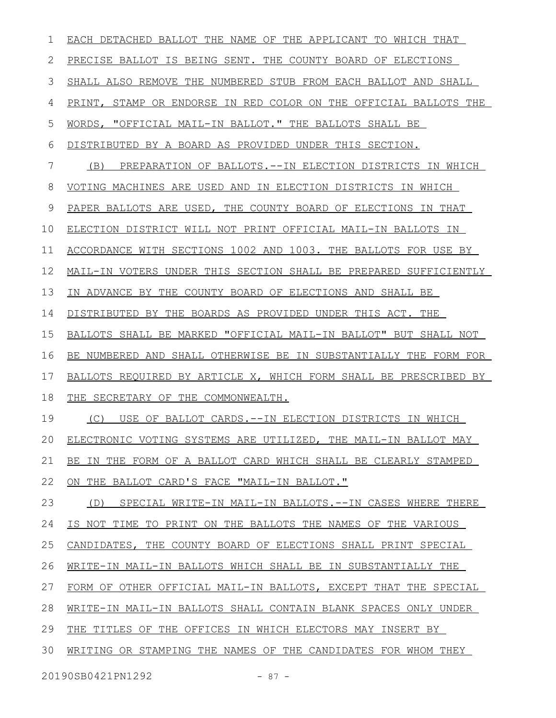| 1  | EACH DETACHED BALLOT THE NAME OF THE APPLICANT TO WHICH THAT       |
|----|--------------------------------------------------------------------|
| 2  | PRECISE BALLOT IS BEING SENT. THE COUNTY BOARD OF ELECTIONS        |
| 3  | SHALL ALSO REMOVE THE NUMBERED STUB FROM EACH BALLOT AND SHALL     |
| 4  | PRINT, STAMP OR ENDORSE IN RED COLOR ON THE OFFICIAL BALLOTS THE   |
| 5  | WORDS, "OFFICIAL MAIL-IN BALLOT." THE BALLOTS SHALL BE             |
| 6  | DISTRIBUTED BY A BOARD AS PROVIDED UNDER THIS SECTION.             |
| 7  | PREPARATION OF BALLOTS. --IN ELECTION DISTRICTS IN WHICH<br>(B)    |
| 8  | VOTING MACHINES ARE USED AND IN ELECTION DISTRICTS IN WHICH        |
| 9  | PAPER BALLOTS ARE USED, THE COUNTY BOARD OF ELECTIONS IN THAT      |
| 10 | ELECTION DISTRICT WILL NOT PRINT OFFICIAL MAIL-IN BALLOTS IN       |
| 11 | ACCORDANCE WITH SECTIONS 1002 AND 1003. THE BALLOTS FOR USE BY     |
| 12 | MAIL-IN VOTERS UNDER THIS SECTION SHALL BE PREPARED SUFFICIENTLY   |
| 13 | IN ADVANCE BY THE COUNTY BOARD OF ELECTIONS AND SHALL BE           |
| 14 | DISTRIBUTED BY THE BOARDS AS PROVIDED UNDER THIS ACT. THE          |
| 15 | BALLOTS SHALL BE MARKED "OFFICIAL MAIL-IN BALLOT" BUT SHALL NOT    |
| 16 | BE NUMBERED AND SHALL OTHERWISE BE IN SUBSTANTIALLY THE FORM FOR   |
| 17 | BALLOTS REQUIRED BY ARTICLE X, WHICH FORM SHALL BE PRESCRIBED BY   |
| 18 | THE SECRETARY OF THE COMMONWEALTH.                                 |
| 19 | (C)<br>USE OF BALLOT CARDS.--IN ELECTION DISTRICTS IN WHICH        |
| 20 | ELECTRONIC VOTING SYSTEMS ARE UTILIZED, THE MAIL-IN BALLOT MAY     |
| 21 | IN THE FORM OF A BALLOT CARD WHICH SHALL BE CLEARLY STAMPED<br>BE. |
| 22 | ON THE BALLOT CARD'S FACE "MAIL-IN BALLOT."                        |
| 23 | SPECIAL WRITE-IN MAIL-IN BALLOTS. --IN CASES WHERE THERE<br>(D)    |
| 24 | IS NOT TIME TO PRINT ON THE BALLOTS THE NAMES OF THE VARIOUS       |
| 25 | CANDIDATES, THE COUNTY BOARD OF ELECTIONS SHALL PRINT SPECIAL      |
| 26 | WRITE-IN MAIL-IN BALLOTS WHICH SHALL BE IN SUBSTANTIALLY THE       |
| 27 | FORM OF OTHER OFFICIAL MAIL-IN BALLOTS, EXCEPT THAT THE SPECIAL    |
| 28 | WRITE-IN MAIL-IN BALLOTS SHALL CONTAIN BLANK SPACES ONLY UNDER     |
| 29 | THE TITLES OF THE OFFICES IN WHICH ELECTORS MAY INSERT BY          |
| 30 | WRITING OR STAMPING THE NAMES OF THE CANDIDATES FOR WHOM THEY      |
|    | 20190SB0421PN1292<br>$-87 -$                                       |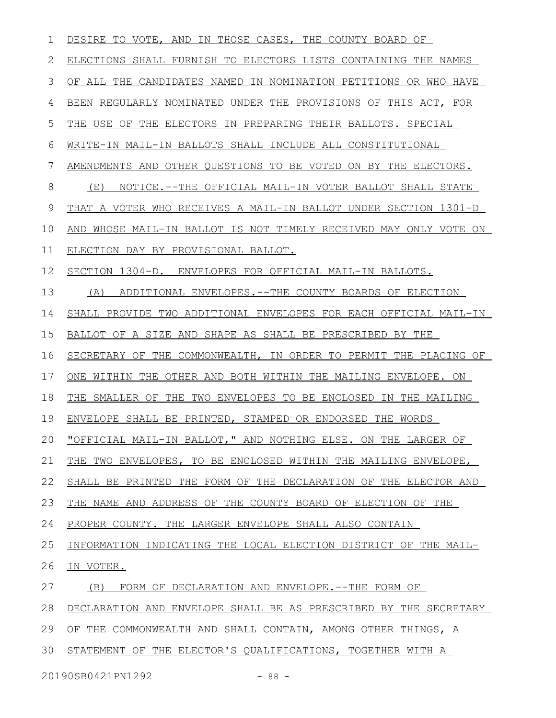| 1  | DESIRE TO VOTE, AND IN THOSE CASES, THE COUNTY BOARD OF             |
|----|---------------------------------------------------------------------|
| 2  | ELECTIONS SHALL FURNISH TO ELECTORS LISTS CONTAINING THE NAMES      |
| 3  | OF ALL THE CANDIDATES NAMED IN NOMINATION PETITIONS OR WHO HAVE     |
| 4  | BEEN REGULARLY NOMINATED UNDER THE PROVISIONS OF THIS ACT, FOR      |
| 5  | THE USE OF THE ELECTORS IN PREPARING THEIR BALLOTS. SPECIAL         |
| 6  | WRITE-IN MAIL-IN BALLOTS SHALL INCLUDE ALL CONSTITUTIONAL           |
| 7  | AMENDMENTS AND OTHER QUESTIONS TO BE VOTED ON BY THE ELECTORS.      |
| 8  | NOTICE.--THE OFFICIAL MAIL-IN VOTER BALLOT SHALL STATE<br>(E)       |
| 9  | THAT A VOTER WHO RECEIVES A MAIL-IN BALLOT UNDER SECTION 1301-D     |
| 10 | WHOSE MAIL-IN BALLOT IS NOT TIMELY RECEIVED MAY ONLY VOTE ON<br>AND |
| 11 | ELECTION DAY BY PROVISIONAL BALLOT.                                 |
| 12 | SECTION 1304-D. ENVELOPES FOR OFFICIAL MAIL-IN BALLOTS.             |
| 13 | (A)<br>ADDITIONAL ENVELOPES. -- THE COUNTY BOARDS OF ELECTION       |
| 14 | SHALL PROVIDE TWO ADDITIONAL ENVELOPES FOR EACH OFFICIAL MAIL-IN    |
| 15 | BALLOT OF A SIZE AND SHAPE AS SHALL BE PRESCRIBED BY THE            |
| 16 | SECRETARY OF THE COMMONWEALTH, IN ORDER TO PERMIT THE PLACING OF    |
| 17 | ONE WITHIN THE OTHER AND BOTH WITHIN THE MAILING ENVELOPE. ON       |
| 18 | THE SMALLER OF THE TWO ENVELOPES TO BE ENCLOSED IN THE MAILING      |
| 19 | ENVELOPE SHALL BE PRINTED, STAMPED OR ENDORSED THE WORDS            |
| 20 | "OFFICIAL MAIL-IN BALLOT," AND NOTHING ELSE. ON THE LARGER OF       |
| 21 | THE TWO ENVELOPES, TO BE ENCLOSED WITHIN THE MAILING ENVELOPE,      |
| 22 | SHALL BE PRINTED THE FORM OF THE DECLARATION OF THE ELECTOR AND     |
| 23 | THE NAME AND ADDRESS OF THE COUNTY BOARD OF ELECTION OF THE         |
| 24 | PROPER COUNTY. THE LARGER ENVELOPE SHALL ALSO CONTAIN               |
| 25 | INFORMATION INDICATING THE LOCAL ELECTION DISTRICT OF THE MAIL-     |
| 26 | IN VOTER.                                                           |
| 27 | FORM OF DECLARATION AND ENVELOPE.--THE FORM OF<br>(B)               |
| 28 | DECLARATION AND ENVELOPE SHALL BE AS PRESCRIBED BY THE SECRETARY    |
| 29 | OF THE COMMONWEALTH AND SHALL CONTAIN, AMONG OTHER THINGS, A        |
| 30 | STATEMENT OF THE ELECTOR'S QUALIFICATIONS, TOGETHER WITH A          |
|    |                                                                     |

20190SB0421PN1292 - 88 -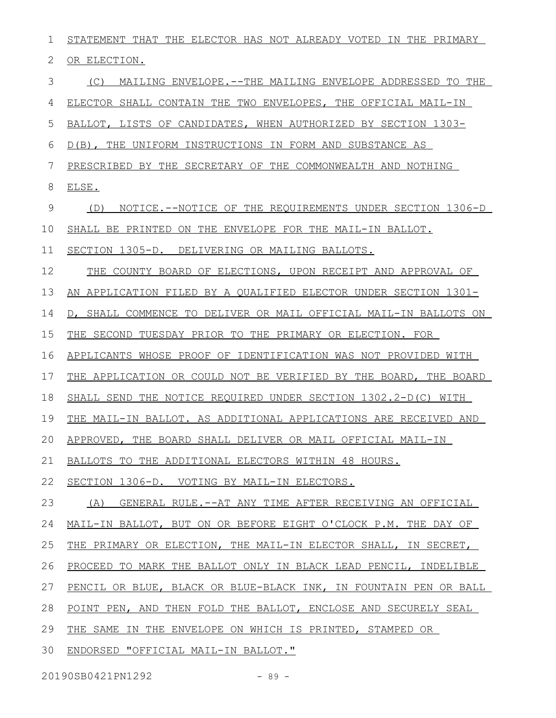| 1             | STATEMENT THAT THE ELECTOR HAS NOT ALREADY VOTED IN THE PRIMARY  |
|---------------|------------------------------------------------------------------|
| 2             | OR ELECTION.                                                     |
| 3             | (C) MAILING ENVELOPE.--THE MAILING ENVELOPE ADDRESSED TO THE     |
| 4             | ELECTOR SHALL CONTAIN THE TWO ENVELOPES, THE OFFICIAL MAIL-IN    |
| 5             | BALLOT, LISTS OF CANDIDATES, WHEN AUTHORIZED BY SECTION 1303-    |
| 6             | D(B), THE UNIFORM INSTRUCTIONS IN FORM AND SUBSTANCE AS          |
| 7             | PRESCRIBED BY THE SECRETARY OF THE COMMONWEALTH AND NOTHING      |
| 8             | ELSE.                                                            |
| $\mathcal{G}$ | NOTICE.--NOTICE OF THE REQUIREMENTS UNDER SECTION 1306-D<br>(D)  |
| 10            | SHALL BE PRINTED ON THE ENVELOPE FOR THE MAIL-IN BALLOT.         |
| 11            | SECTION 1305-D. DELIVERING OR MAILING BALLOTS.                   |
| 12            | THE COUNTY BOARD OF ELECTIONS, UPON RECEIPT AND APPROVAL OF      |
| 13            | AN APPLICATION FILED BY A QUALIFIED ELECTOR UNDER SECTION 1301-  |
| 14            | D, SHALL COMMENCE TO DELIVER OR MAIL OFFICIAL MAIL-IN BALLOTS ON |
| 15            | THE SECOND TUESDAY PRIOR TO THE PRIMARY OR ELECTION. FOR         |
| 16            | APPLICANTS WHOSE PROOF OF IDENTIFICATION WAS NOT PROVIDED WITH   |
| 17            | THE APPLICATION OR COULD NOT BE VERIFIED BY THE BOARD, THE BOARD |
| 18            | SHALL SEND THE NOTICE REQUIRED UNDER SECTION 1302.2-D(C) WITH    |
| 19            | THE MAIL-IN BALLOT. AS ADDITIONAL APPLICATIONS ARE RECEIVED AND  |
| 20            | APPROVED, THE BOARD SHALL DELIVER OR MAIL OFFICIAL MAIL-IN       |
| 21            | BALLOTS TO THE ADDITIONAL ELECTORS WITHIN 48 HOURS.              |
| 22            | SECTION 1306-D. VOTING BY MAIL-IN ELECTORS.                      |
| 23            | (A) GENERAL RULE.--AT ANY TIME AFTER RECEIVING AN OFFICIAL       |
| 24            | MAIL-IN BALLOT, BUT ON OR BEFORE EIGHT O'CLOCK P.M. THE DAY OF   |
| 25            | THE PRIMARY OR ELECTION, THE MAIL-IN ELECTOR SHALL, IN SECRET,   |
| 26            | PROCEED TO MARK THE BALLOT ONLY IN BLACK LEAD PENCIL, INDELIBLE  |
| 27            | PENCIL OR BLUE, BLACK OR BLUE-BLACK INK, IN FOUNTAIN PEN OR BALL |
| 28            | POINT PEN, AND THEN FOLD THE BALLOT, ENCLOSE AND SECURELY SEAL   |
| 29            | THE SAME IN THE ENVELOPE ON WHICH IS PRINTED, STAMPED OR         |
| 30            | ENDORSED "OFFICIAL MAIL-IN BALLOT."                              |

20190SB0421PN1292 - 89 -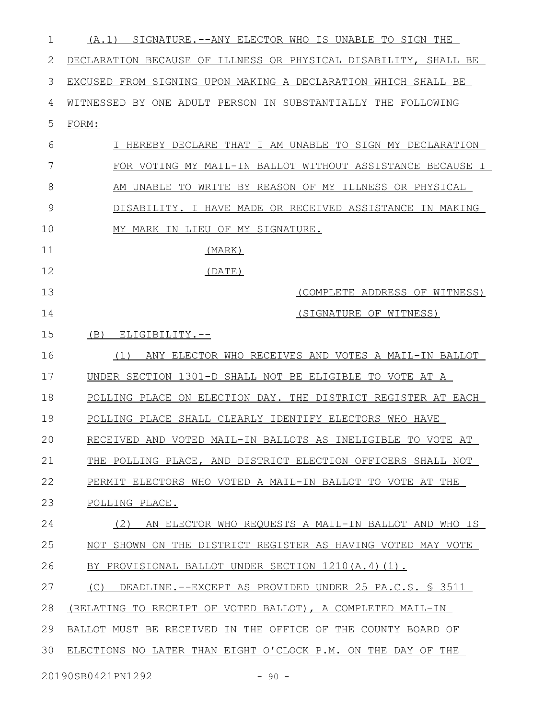| 1  | SIGNATURE.--ANY ELECTOR WHO IS UNABLE TO SIGN THE<br>(A, 1)     |
|----|-----------------------------------------------------------------|
| 2  | DECLARATION BECAUSE OF ILLNESS OR PHYSICAL DISABILITY, SHALL BE |
| 3  | EXCUSED FROM SIGNING UPON MAKING A DECLARATION WHICH SHALL BE   |
| 4  | WITNESSED BY ONE ADULT PERSON IN SUBSTANTIALLY THE FOLLOWING    |
| 5  | FORM:                                                           |
| 6  | I HEREBY DECLARE THAT I AM UNABLE TO SIGN MY DECLARATION        |
| 7  | FOR VOTING MY MAIL-IN BALLOT WITHOUT ASSISTANCE BECAUSE I       |
| 8  | AM UNABLE TO WRITE BY REASON OF MY ILLNESS OR PHYSICAL          |
| 9  | DISABILITY. I HAVE MADE OR RECEIVED ASSISTANCE IN MAKING        |
| 10 | MY MARK IN LIEU OF MY SIGNATURE.                                |
| 11 | (MARK)                                                          |
| 12 | (DATE)                                                          |
| 13 | (COMPLETE ADDRESS OF WITNESS)                                   |
| 14 | (SIGNATURE OF WITNESS)                                          |
| 15 | (B)<br>ELIGIBILITY.--                                           |
| 16 | ANY ELECTOR WHO RECEIVES AND VOTES A MAIL-IN BALLOT<br>(1)      |
| 17 | UNDER SECTION 1301-D SHALL NOT BE ELIGIBLE TO VOTE AT A         |
| 18 | POLLING PLACE ON ELECTION DAY. THE DISTRICT REGISTER AT EACH    |
| 19 | POLLING PLACE SHALL CLEARLY IDENTIFY ELECTORS WHO HAVE          |
| 20 | RECEIVED AND VOTED MAIL-IN BALLOTS AS INELIGIBLE TO VOTE AT     |
| 21 | THE POLLING PLACE, AND DISTRICT ELECTION OFFICERS SHALL NOT     |
| 22 | PERMIT ELECTORS WHO VOTED A MAIL-IN BALLOT TO VOTE AT THE       |
| 23 | POLLING PLACE.                                                  |
| 24 | AN ELECTOR WHO REQUESTS A MAIL-IN BALLOT AND WHO IS<br>(2)      |
| 25 | NOT SHOWN ON THE DISTRICT REGISTER AS HAVING VOTED MAY VOTE     |
| 26 | BY PROVISIONAL BALLOT UNDER SECTION 1210(A.4)(1).               |
| 27 | (C)<br>DEADLINE.--EXCEPT AS PROVIDED UNDER 25 PA.C.S. § 3511    |
| 28 | (RELATING TO RECEIPT OF VOTED BALLOT), A COMPLETED MAIL-IN      |
| 29 | BALLOT MUST BE RECEIVED IN THE OFFICE OF THE COUNTY BOARD OF    |
| 30 | ELECTIONS NO LATER THAN EIGHT O'CLOCK P.M. ON THE DAY OF THE    |
|    |                                                                 |

20190SB0421PN1292 - 90 -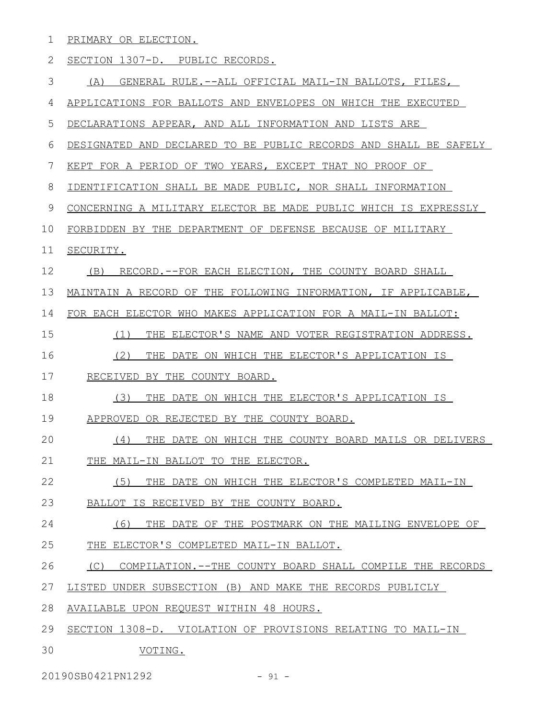|  | 1 PRIMARY OR ELECTION.            |  |
|--|-----------------------------------|--|
|  | 2 SECTION 1307-D. PUBLIC RECORDS. |  |

|  | ∽<br>$\overline{\phantom{0}}$ |  | (-FINFIRA) | ு –−ALப J.<br>RU.<br>. ططا | OFFIC1<br>CIAL | '' MAIL-IN BALLOT |  |  |
|--|-------------------------------|--|------------|----------------------------|----------------|-------------------|--|--|
|--|-------------------------------|--|------------|----------------------------|----------------|-------------------|--|--|

APPLICATIONS FOR BALLOTS AND ENVELOPES ON WHICH THE EXECUTED 4

DECLARATIONS APPEAR, AND ALL INFORMATION AND LISTS ARE 5

DESIGNATED AND DECLARED TO BE PUBLIC RECORDS AND SHALL BE SAFELY 6

KEPT FOR A PERIOD OF TWO YEARS, EXCEPT THAT NO PROOF OF 7

IDENTIFICATION SHALL BE MADE PUBLIC, NOR SHALL INFORMATION 8

CONCERNING A MILITARY ELECTOR BE MADE PUBLIC WHICH IS EXPRESSLY 9

FORBIDDEN BY THE DEPARTMENT OF DEFENSE BECAUSE OF MILITARY 10

## SECURITY. 11

(B) RECORD.--FOR EACH ELECTION, THE COUNTY BOARD SHALL 12

MAINTAIN A RECORD OF THE FOLLOWING INFORMATION, IF APPLICABLE, 13

FOR EACH ELECTOR WHO MAKES APPLICATION FOR A MAIL-IN BALLOT: 14

(1) THE ELECTOR'S NAME AND VOTER REGISTRATION ADDRESS. 15

(2) THE DATE ON WHICH THE ELECTOR'S APPLICATION IS 16

RECEIVED BY THE COUNTY BOARD. 17

(3) THE DATE ON WHICH THE ELECTOR'S APPLICATION IS 18

APPROVED OR REJECTED BY THE COUNTY BOARD. 19

(4) THE DATE ON WHICH THE COUNTY BOARD MAILS OR DELIVERS THE MAIL-IN BALLOT TO THE ELECTOR. 20 21

(5) THE DATE ON WHICH THE ELECTOR'S COMPLETED MAIL-IN BALLOT IS RECEIVED BY THE COUNTY BOARD. 22 23

(6) THE DATE OF THE POSTMARK ON THE MAILING ENVELOPE OF THE ELECTOR'S COMPLETED MAIL-IN BALLOT. 24 25

(C) COMPILATION.--THE COUNTY BOARD SHALL COMPILE THE RECORDS 26

LISTED UNDER SUBSECTION (B) AND MAKE THE RECORDS PUBLICLY 27

AVAILABLE UPON REQUEST WITHIN 48 HOURS. 28

SECTION 1308-D. VIOLATION OF PROVISIONS RELATING TO MAIL-IN 29

VOTING. 30

20190SB0421PN1292 - 91 -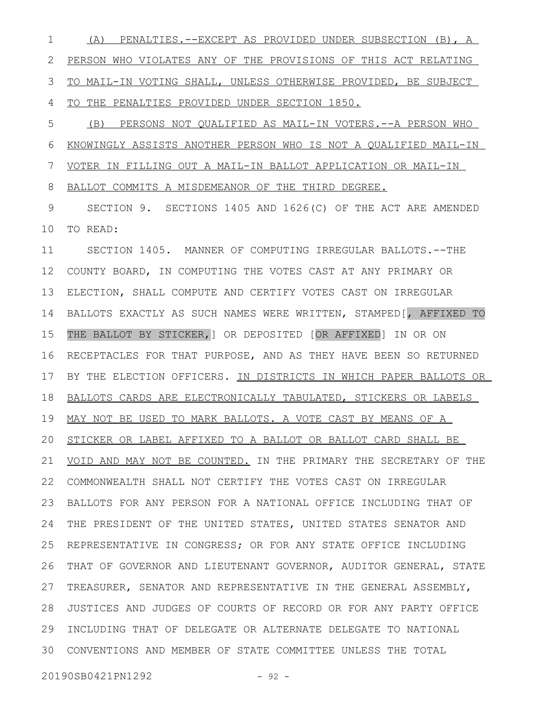(A) PENALTIES.--EXCEPT AS PROVIDED UNDER SUBSECTION (B), A PERSON WHO VIOLATES ANY OF THE PROVISIONS OF THIS ACT RELATING TO MAIL-IN VOTING SHALL, UNLESS OTHERWISE PROVIDED, BE SUBJECT TO THE PENALTIES PROVIDED UNDER SECTION 1850. 1 2 3 4

(B) PERSONS NOT QUALIFIED AS MAIL-IN VOTERS.--A PERSON WHO KNOWINGLY ASSISTS ANOTHER PERSON WHO IS NOT A QUALIFIED MAIL-IN VOTER IN FILLING OUT A MAIL-IN BALLOT APPLICATION OR MAIL-IN BALLOT COMMITS A MISDEMEANOR OF THE THIRD DEGREE. 5 6 7 8

SECTION 9. SECTIONS 1405 AND 1626(C) OF THE ACT ARE AMENDED TO READ: 9 10

SECTION 1405. MANNER OF COMPUTING IRREGULAR BALLOTS.--THE COUNTY BOARD, IN COMPUTING THE VOTES CAST AT ANY PRIMARY OR ELECTION, SHALL COMPUTE AND CERTIFY VOTES CAST ON IRREGULAR BALLOTS EXACTLY AS SUCH NAMES WERE WRITTEN, STAMPED[, AFFIXED TO THE BALLOT BY STICKER,] OR DEPOSITED [OR AFFIXED] IN OR ON RECEPTACLES FOR THAT PURPOSE, AND AS THEY HAVE BEEN SO RETURNED BY THE ELECTION OFFICERS. IN DISTRICTS IN WHICH PAPER BALLOTS OR BALLOTS CARDS ARE ELECTRONICALLY TABULATED, STICKERS OR LABELS 19 MAY NOT BE USED TO MARK BALLOTS. A VOTE CAST BY MEANS OF A 20 STICKER OR LABEL AFFIXED TO A BALLOT OR BALLOT CARD SHALL BE VOID AND MAY NOT BE COUNTED. IN THE PRIMARY THE SECRETARY OF THE COMMONWEALTH SHALL NOT CERTIFY THE VOTES CAST ON IRREGULAR 22 BALLOTS FOR ANY PERSON FOR A NATIONAL OFFICE INCLUDING THAT OF THE PRESIDENT OF THE UNITED STATES, UNITED STATES SENATOR AND REPRESENTATIVE IN CONGRESS; OR FOR ANY STATE OFFICE INCLUDING THAT OF GOVERNOR AND LIEUTENANT GOVERNOR, AUDITOR GENERAL, STATE TREASURER, SENATOR AND REPRESENTATIVE IN THE GENERAL ASSEMBLY, JUSTICES AND JUDGES OF COURTS OF RECORD OR FOR ANY PARTY OFFICE 28 29 INCLUDING THAT OF DELEGATE OR ALTERNATE DELEGATE TO NATIONAL CONVENTIONS AND MEMBER OF STATE COMMITTEE UNLESS THE TOTAL 3011 12 13 14 15 16 17 18 21 23 24 25 26 27

20190SB0421PN1292 - 92 -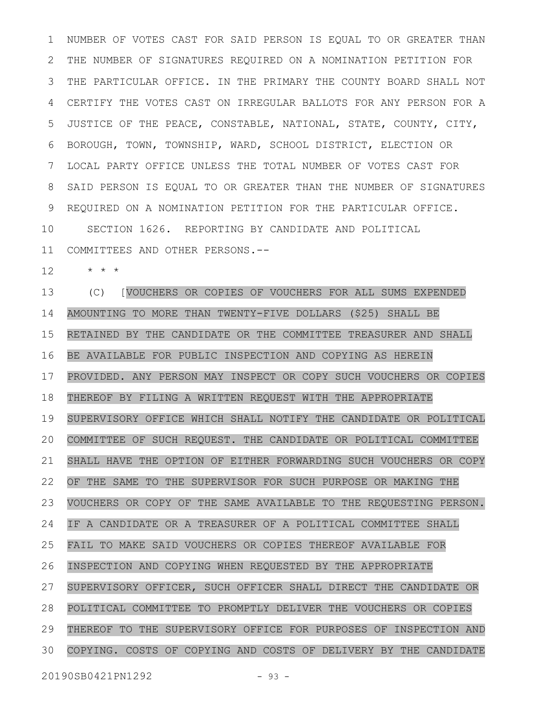NUMBER OF VOTES CAST FOR SAID PERSON IS EQUAL TO OR GREATER THAN THE NUMBER OF SIGNATURES REQUIRED ON A NOMINATION PETITION FOR THE PARTICULAR OFFICE. IN THE PRIMARY THE COUNTY BOARD SHALL NOT CERTIFY THE VOTES CAST ON IRREGULAR BALLOTS FOR ANY PERSON FOR A JUSTICE OF THE PEACE, CONSTABLE, NATIONAL, STATE, COUNTY, CITY, BOROUGH, TOWN, TOWNSHIP, WARD, SCHOOL DISTRICT, ELECTION OR LOCAL PARTY OFFICE UNLESS THE TOTAL NUMBER OF VOTES CAST FOR SAID PERSON IS EQUAL TO OR GREATER THAN THE NUMBER OF SIGNATURES REQUIRED ON A NOMINATION PETITION FOR THE PARTICULAR OFFICE. SECTION 1626. REPORTING BY CANDIDATE AND POLITICAL COMMITTEES AND OTHER PERSONS.-- 1 2 3 4 5 6 7 8 9 10 11

\* \* \* 12

(C) [VOUCHERS OR COPIES OF VOUCHERS FOR ALL SUMS EXPENDED AMOUNTING TO MORE THAN TWENTY-FIVE DOLLARS (\$25) SHALL BE RETAINED BY THE CANDIDATE OR THE COMMITTEE TREASURER AND SHALL BE AVAILABLE FOR PUBLIC INSPECTION AND COPYING AS HEREIN PROVIDED. ANY PERSON MAY INSPECT OR COPY SUCH VOUCHERS OR COPIES THEREOF BY FILING A WRITTEN REQUEST WITH THE APPROPRIATE SUPERVISORY OFFICE WHICH SHALL NOTIFY THE CANDIDATE OR POLITICAL COMMITTEE OF SUCH REQUEST. THE CANDIDATE OR POLITICAL COMMITTEE SHALL HAVE THE OPTION OF EITHER FORWARDING SUCH VOUCHERS OR COPY OF THE SAME TO THE SUPERVISOR FOR SUCH PURPOSE OR MAKING THE VOUCHERS OR COPY OF THE SAME AVAILABLE TO THE REQUESTING PERSON. IF A CANDIDATE OR A TREASURER OF A POLITICAL COMMITTEE SHALL FAIL TO MAKE SAID VOUCHERS OR COPIES THEREOF AVAILABLE FOR INSPECTION AND COPYING WHEN REQUESTED BY THE APPROPRIATE SUPERVISORY OFFICER, SUCH OFFICER SHALL DIRECT THE CANDIDATE OR POLITICAL COMMITTEE TO PROMPTLY DELIVER THE VOUCHERS OR COPIES THEREOF TO THE SUPERVISORY OFFICE FOR PURPOSES OF INSPECTION AND COPYING. COSTS OF COPYING AND COSTS OF DELIVERY BY THE CANDIDATE 13 14 15 16 17 18 19 20 21 22 23 24 25 26 27 28 29 30

20190SB0421PN1292 - 93 -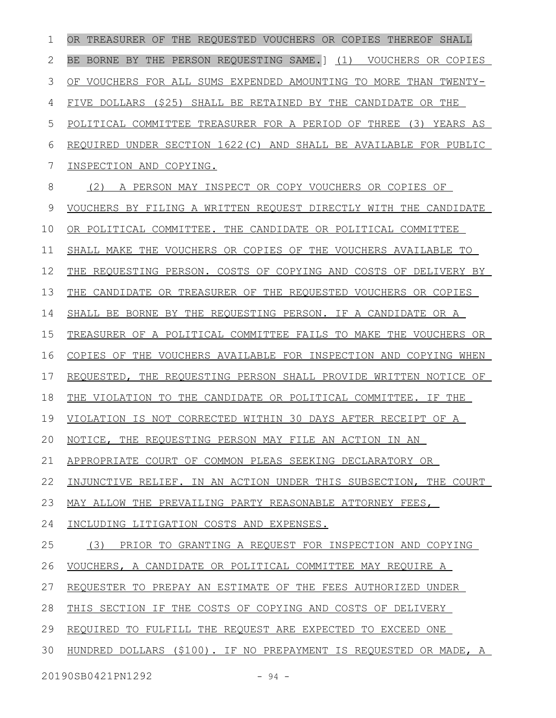OR TREASURER OF THE REQUESTED VOUCHERS OR COPIES THEREOF SHALL BE BORNE BY THE PERSON REQUESTING SAME.] (1) VOUCHERS OR COPIES OF VOUCHERS FOR ALL SUMS EXPENDED AMOUNTING TO MORE THAN TWENTY-FIVE DOLLARS (\$25) SHALL BE RETAINED BY THE CANDIDATE OR THE POLITICAL COMMITTEE TREASURER FOR A PERIOD OF THREE (3) YEARS AS REQUIRED UNDER SECTION 1622(C) AND SHALL BE AVAILABLE FOR PUBLIC INSPECTION AND COPYING. (2) A PERSON MAY INSPECT OR COPY VOUCHERS OR COPIES OF VOUCHERS BY FILING A WRITTEN REQUEST DIRECTLY WITH THE CANDIDATE OR POLITICAL COMMITTEE. THE CANDIDATE OR POLITICAL COMMITTEE SHALL MAKE THE VOUCHERS OR COPIES OF THE VOUCHERS AVAILABLE TO THE REQUESTING PERSON. COSTS OF COPYING AND COSTS OF DELIVERY BY THE CANDIDATE OR TREASURER OF THE REQUESTED VOUCHERS OR COPIES SHALL BE BORNE BY THE REQUESTING PERSON. IF A CANDIDATE OR A TREASURER OF A POLITICAL COMMITTEE FAILS TO MAKE THE VOUCHERS OR COPIES OF THE VOUCHERS AVAILABLE FOR INSPECTION AND COPYING WHEN REQUESTED, THE REQUESTING PERSON SHALL PROVIDE WRITTEN NOTICE OF THE VIOLATION TO THE CANDIDATE OR POLITICAL COMMITTEE. IF THE VIOLATION IS NOT CORRECTED WITHIN 30 DAYS AFTER RECEIPT OF A NOTICE, THE REQUESTING PERSON MAY FILE AN ACTION IN AN APPROPRIATE COURT OF COMMON PLEAS SEEKING DECLARATORY OR INJUNCTIVE RELIEF. IN AN ACTION UNDER THIS SUBSECTION, THE COURT MAY ALLOW THE PREVAILING PARTY REASONABLE ATTORNEY FEES, INCLUDING LITIGATION COSTS AND EXPENSES. (3) PRIOR TO GRANTING A REQUEST FOR INSPECTION AND COPYING VOUCHERS, A CANDIDATE OR POLITICAL COMMITTEE MAY REQUIRE A REQUESTER TO PREPAY AN ESTIMATE OF THE FEES AUTHORIZED UNDER THIS SECTION IF THE COSTS OF COPYING AND COSTS OF DELIVERY REQUIRED TO FULFILL THE REQUEST ARE EXPECTED TO EXCEED ONE HUNDRED DOLLARS (\$100). IF NO PREPAYMENT IS REQUESTED OR MADE, A 20190SB0421PN1292 - 94 -1 2 3 4 5 6 7 8 9 10 11 12 13 14 15 16 17 18 19 20 21 22 23 24 25 26 27 28 29 30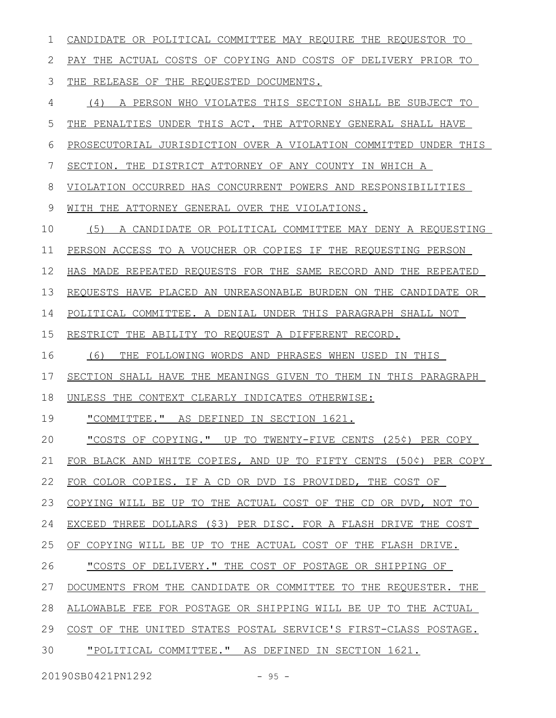CANDIDATE OR POLITICAL COMMITTEE MAY REQUIRE THE REQUESTOR TO PAY THE ACTUAL COSTS OF COPYING AND COSTS OF DELIVERY PRIOR TO THE RELEASE OF THE REQUESTED DOCUMENTS. (4) A PERSON WHO VIOLATES THIS SECTION SHALL BE SUBJECT TO THE PENALTIES UNDER THIS ACT. THE ATTORNEY GENERAL SHALL HAVE PROSECUTORIAL JURISDICTION OVER A VIOLATION COMMITTED UNDER THIS SECTION. THE DISTRICT ATTORNEY OF ANY COUNTY IN WHICH A VIOLATION OCCURRED HAS CONCURRENT POWERS AND RESPONSIBILITIES WITH THE ATTORNEY GENERAL OVER THE VIOLATIONS. (5) A CANDIDATE OR POLITICAL COMMITTEE MAY DENY A REQUESTING PERSON ACCESS TO A VOUCHER OR COPIES IF THE REQUESTING PERSON HAS MADE REPEATED REQUESTS FOR THE SAME RECORD AND THE REPEATED REQUESTS HAVE PLACED AN UNREASONABLE BURDEN ON THE CANDIDATE OR POLITICAL COMMITTEE. A DENIAL UNDER THIS PARAGRAPH SHALL NOT RESTRICT THE ABILITY TO REQUEST A DIFFERENT RECORD. (6) THE FOLLOWING WORDS AND PHRASES WHEN USED IN THIS SECTION SHALL HAVE THE MEANINGS GIVEN TO THEM IN THIS PARAGRAPH UNLESS THE CONTEXT CLEARLY INDICATES OTHERWISE: "COMMITTEE." AS DEFINED IN SECTION 1621. "COSTS OF COPYING." UP TO TWENTY-FIVE CENTS (25¢) PER COPY FOR BLACK AND WHITE COPIES, AND UP TO FIFTY CENTS (50¢) PER COPY FOR COLOR COPIES. IF A CD OR DVD IS PROVIDED, THE COST OF COPYING WILL BE UP TO THE ACTUAL COST OF THE CD OR DVD, NOT TO EXCEED THREE DOLLARS (\$3) PER DISC. FOR A FLASH DRIVE THE COST OF COPYING WILL BE UP TO THE ACTUAL COST OF THE FLASH DRIVE. "COSTS OF DELIVERY." THE COST OF POSTAGE OR SHIPPING OF DOCUMENTS FROM THE CANDIDATE OR COMMITTEE TO THE REQUESTER. THE ALLOWABLE FEE FOR POSTAGE OR SHIPPING WILL BE UP TO THE ACTUAL COST OF THE UNITED STATES POSTAL SERVICE'S FIRST-CLASS POSTAGE. "POLITICAL COMMITTEE." AS DEFINED IN SECTION 1621. 1 2 3 4 5 6 7 8 9 10 11 12 13 14 15 16 17 18 19 20 21 22 23 24 25 26 27 28 29 30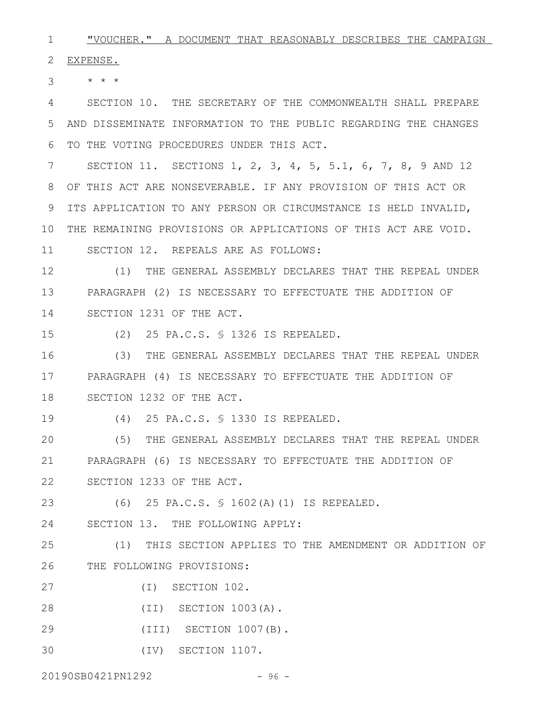"VOUCHER." A DOCUMENT THAT REASONABLY DESCRIBES THE CAMPAIGN 1

EXPENSE. 2

 $\star$   $\star$   $\star$ 3

SECTION 10. THE SECRETARY OF THE COMMONWEALTH SHALL PREPARE AND DISSEMINATE INFORMATION TO THE PUBLIC REGARDING THE CHANGES TO THE VOTING PROCEDURES UNDER THIS ACT. 4 5 6

SECTION 11. SECTIONS 1, 2, 3, 4, 5, 5.1, 6, 7, 8, 9 AND 12 OF THIS ACT ARE NONSEVERABLE. IF ANY PROVISION OF THIS ACT OR 8 9 ITS APPLICATION TO ANY PERSON OR CIRCUMSTANCE IS HELD INVALID, THE REMAINING PROVISIONS OR APPLICATIONS OF THIS ACT ARE VOID. 10 SECTION 12. REPEALS ARE AS FOLLOWS: 7 11

(1) THE GENERAL ASSEMBLY DECLARES THAT THE REPEAL UNDER PARAGRAPH (2) IS NECESSARY TO EFFECTUATE THE ADDITION OF SECTION 1231 OF THE ACT. 12 13 14

15

(2) 25 PA.C.S. § 1326 IS REPEALED.

(3) THE GENERAL ASSEMBLY DECLARES THAT THE REPEAL UNDER PARAGRAPH (4) IS NECESSARY TO EFFECTUATE THE ADDITION OF SECTION 1232 OF THE ACT. 16 17 18

19

(4) 25 PA.C.S. § 1330 IS REPEALED.

(5) THE GENERAL ASSEMBLY DECLARES THAT THE REPEAL UNDER PARAGRAPH (6) IS NECESSARY TO EFFECTUATE THE ADDITION OF SECTION 1233 OF THE ACT. 20 21 22

(6) 25 PA.C.S. § 1602(A)(1) IS REPEALED. 23

SECTION 13. THE FOLLOWING APPLY: 24

(1) THIS SECTION APPLIES TO THE AMENDMENT OR ADDITION OF THE FOLLOWING PROVISIONS: 25 26

- (I) SECTION 102. 27
- (II) SECTION 1003(A). 28
- (III) SECTION 1007(B). 29
- (IV) SECTION 1107. 30

20190SB0421PN1292 - 96 -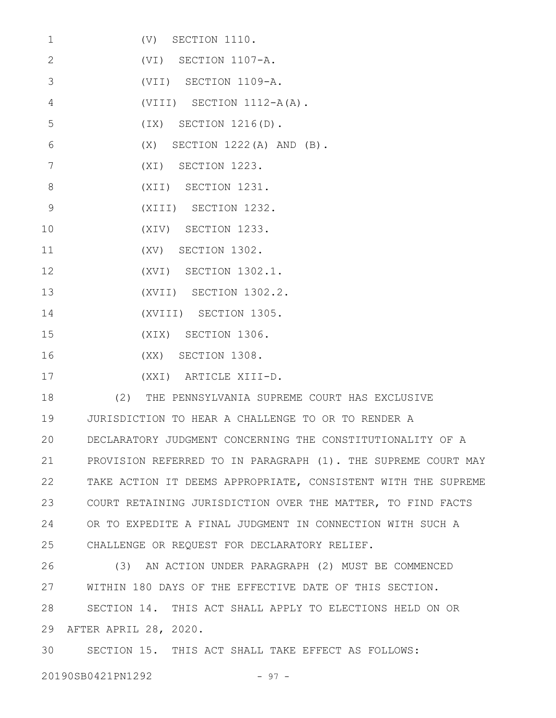| $\mathbf 1$     | $(V)$ SECTION 1110.                              |
|-----------------|--------------------------------------------------|
| $\overline{2}$  | (VI) SECTION 1107-A.                             |
| 3               | (VII) SECTION 1109-A.                            |
| $\overline{4}$  | $(VIII)$ SECTION 1112-A(A).                      |
| 5               | $(IX)$ SECTION $1216(D)$ .                       |
| 6               | $(X)$ SECTION 1222 $(A)$ AND $(B)$ .             |
| $7\overline{ }$ | (XI) SECTION 1223.                               |
| 8               | (XII) SECTION 1231.                              |
| 9               | (XIII) SECTION 1232.                             |
| 10              | (XIV) SECTION 1233.                              |
| 11              | $(XV)$ SECTION 1302.                             |
| 12              | (XVI) SECTION 1302.1.                            |
| 13              | (XVII) SECTION 1302.2.                           |
| 14              | (XVIII) SECTION 1305.                            |
| 15              | (XIX) SECTION 1306.                              |
| 16              | (XX) SECTION 1308.                               |
| 17              | (XXI) ARTICLE XIII-D.                            |
| 18              | (2) THE PENNSYLVANIA SUPREME COURT HAS EXCLUSIVE |

JURISDICTION TO HEAR A CHALLENGE TO OR TO RENDER A DECLARATORY JUDGMENT CONCERNING THE CONSTITUTIONALITY OF A PROVISION REFERRED TO IN PARAGRAPH (1). THE SUPREME COURT MAY TAKE ACTION IT DEEMS APPROPRIATE, CONSISTENT WITH THE SUPREME COURT RETAINING JURISDICTION OVER THE MATTER, TO FIND FACTS OR TO EXPEDITE A FINAL JUDGMENT IN CONNECTION WITH SUCH A CHALLENGE OR REQUEST FOR DECLARATORY RELIEF. 19 20 21 22 23 24 25

(3) AN ACTION UNDER PARAGRAPH (2) MUST BE COMMENCED WITHIN 180 DAYS OF THE EFFECTIVE DATE OF THIS SECTION. SECTION 14. THIS ACT SHALL APPLY TO ELECTIONS HELD ON OR AFTER APRIL 28, 2020. 26 27 28 29

SECTION 15. THIS ACT SHALL TAKE EFFECT AS FOLLOWS: 30